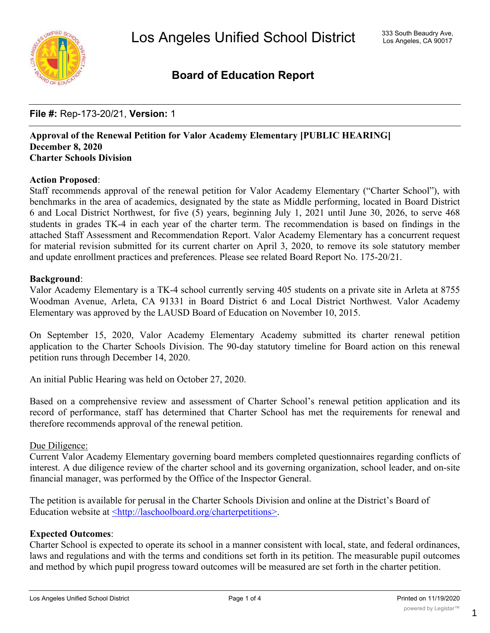

#### **Board of Education Report**

#### **File #:** Rep-173-20/21, **Version:** 1

#### **Approval of the Renewal Petition for Valor Academy Elementary [PUBLIC HEARING] December 8, 2020 Charter Schools Division**

#### **Action Proposed**:

Staff recommends approval of the renewal petition for Valor Academy Elementary ("Charter School"), with benchmarks in the area of academics, designated by the state as Middle performing, located in Board District 6 and Local District Northwest, for five (5) years, beginning July 1, 2021 until June 30, 2026, to serve 468 students in grades TK-4 in each year of the charter term. The recommendation is based on findings in the attached Staff Assessment and Recommendation Report. Valor Academy Elementary has a concurrent request for material revision submitted for its current charter on April 3, 2020, to remove its sole statutory member and update enrollment practices and preferences. Please see related Board Report No. 175-20/21.

#### **Background**:

Valor Academy Elementary is a TK-4 school currently serving 405 students on a private site in Arleta at 8755 Woodman Avenue, Arleta, CA 91331 in Board District 6 and Local District Northwest. Valor Academy Elementary was approved by the LAUSD Board of Education on November 10, 2015.

On September 15, 2020, Valor Academy Elementary Academy submitted its charter renewal petition application to the Charter Schools Division. The 90-day statutory timeline for Board action on this renewal petition runs through December 14, 2020.

An initial Public Hearing was held on October 27, 2020.

Based on a comprehensive review and assessment of Charter School's renewal petition application and its record of performance, staff has determined that Charter School has met the requirements for renewal and therefore recommends approval of the renewal petition.

#### Due Diligence:

Current Valor Academy Elementary governing board members completed questionnaires regarding conflicts of interest. A due diligence review of the charter school and its governing organization, school leader, and on-site financial manager, was performed by the Office of the Inspector General.

The petition is available for perusal in the Charter Schools Division and online at the District's Board of Education website at <http://laschoolboard.org/charterpetitions>.

#### **Expected Outcomes**:

Charter School is expected to operate its school in a manner consistent with local, state, and federal ordinances, laws and regulations and with the terms and conditions set forth in its petition. The measurable pupil outcomes and method by which pupil progress toward outcomes will be measured are set forth in the charter petition.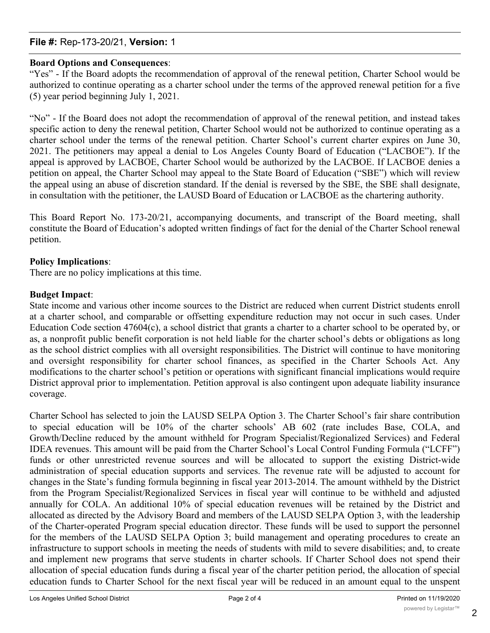#### **File #:** Rep-173-20/21, **Version:** 1

#### **Board Options and Consequences**:

"Yes" - If the Board adopts the recommendation of approval of the renewal petition, Charter School would be authorized to continue operating as a charter school under the terms of the approved renewal petition for a five (5) year period beginning July 1, 2021.

"No" - If the Board does not adopt the recommendation of approval of the renewal petition, and instead takes specific action to deny the renewal petition, Charter School would not be authorized to continue operating as a charter school under the terms of the renewal petition. Charter School's current charter expires on June 30, 2021. The petitioners may appeal a denial to Los Angeles County Board of Education ("LACBOE"). If the appeal is approved by LACBOE, Charter School would be authorized by the LACBOE. If LACBOE denies a petition on appeal, the Charter School may appeal to the State Board of Education ("SBE") which will review the appeal using an abuse of discretion standard. If the denial is reversed by the SBE, the SBE shall designate, in consultation with the petitioner, the LAUSD Board of Education or LACBOE as the chartering authority.

This Board Report No. 173-20/21, accompanying documents, and transcript of the Board meeting, shall constitute the Board of Education's adopted written findings of fact for the denial of the Charter School renewal petition.

#### **Policy Implications**:

There are no policy implications at this time.

#### **Budget Impact**:

State income and various other income sources to the District are reduced when current District students enroll at a charter school, and comparable or offsetting expenditure reduction may not occur in such cases. Under Education Code section 47604(c), a school district that grants a charter to a charter school to be operated by, or as, a nonprofit public benefit corporation is not held liable for the charter school's debts or obligations as long as the school district complies with all oversight responsibilities. The District will continue to have monitoring and oversight responsibility for charter school finances, as specified in the Charter Schools Act. Any modifications to the charter school's petition or operations with significant financial implications would require District approval prior to implementation. Petition approval is also contingent upon adequate liability insurance coverage.

Charter School has selected to join the LAUSD SELPA Option 3. The Charter School's fair share contribution to special education will be 10% of the charter schools' AB 602 (rate includes Base, COLA, and Growth/Decline reduced by the amount withheld for Program Specialist/Regionalized Services) and Federal IDEA revenues. This amount will be paid from the Charter School's Local Control Funding Formula ("LCFF") funds or other unrestricted revenue sources and will be allocated to support the existing District-wide administration of special education supports and services. The revenue rate will be adjusted to account for changes in the State's funding formula beginning in fiscal year 2013-2014. The amount withheld by the District from the Program Specialist/Regionalized Services in fiscal year will continue to be withheld and adjusted annually for COLA. An additional 10% of special education revenues will be retained by the District and allocated as directed by the Advisory Board and members of the LAUSD SELPA Option 3, with the leadership of the Charter-operated Program special education director. These funds will be used to support the personnel for the members of the LAUSD SELPA Option 3; build management and operating procedures to create an infrastructure to support schools in meeting the needs of students with mild to severe disabilities; and, to create and implement new programs that serve students in charter schools. If Charter School does not spend their allocation of special education funds during a fiscal year of the charter petition period, the allocation of special education funds to Charter School for the next fiscal year will be reduced in an amount equal to the unspent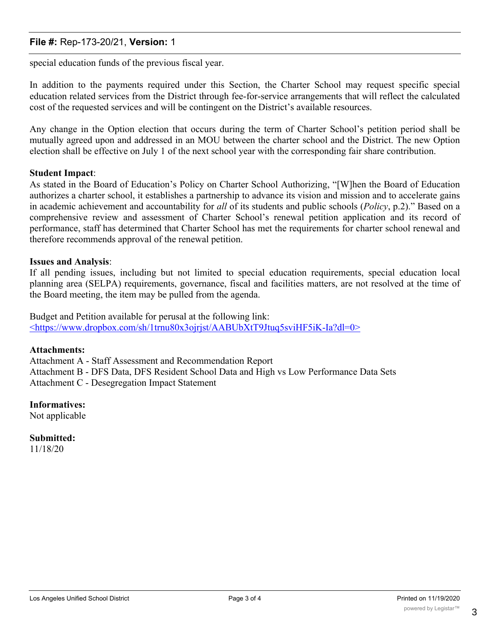#### **File #:** Rep-173-20/21, **Version:** 1

special education funds of the previous fiscal year.

In addition to the payments required under this Section, the Charter School may request specific special education related services from the District through fee-for-service arrangements that will reflect the calculated cost of the requested services and will be contingent on the District's available resources.

Any change in the Option election that occurs during the term of Charter School's petition period shall be mutually agreed upon and addressed in an MOU between the charter school and the District. The new Option election shall be effective on July 1 of the next school year with the corresponding fair share contribution.

#### **Student Impact**:

As stated in the Board of Education's Policy on Charter School Authorizing, "[W]hen the Board of Education authorizes a charter school, it establishes a partnership to advance its vision and mission and to accelerate gains in academic achievement and accountability for *all* of its students and public schools (*Policy*, p.2)." Based on a comprehensive review and assessment of Charter School's renewal petition application and its record of performance, staff has determined that Charter School has met the requirements for charter school renewal and therefore recommends approval of the renewal petition.

#### **Issues and Analysis**:

If all pending issues, including but not limited to special education requirements, special education local planning area (SELPA) requirements, governance, fiscal and facilities matters, are not resolved at the time of the Board meeting, the item may be pulled from the agenda.

Budget and Petition available for perusal at the following link: <https://www.dropbox.com/sh/1trnu80x3ojrjst/AABUbXtT9Jtuq5sviHF5iK-Ia?dl=0>

#### **Attachments:**

Attachment A - Staff Assessment and Recommendation Report Attachment B - DFS Data, DFS Resident School Data and High vs Low Performance Data Sets Attachment C - Desegregation Impact Statement

#### **Informatives:**

Not applicable

**Submitted:** 11/18/20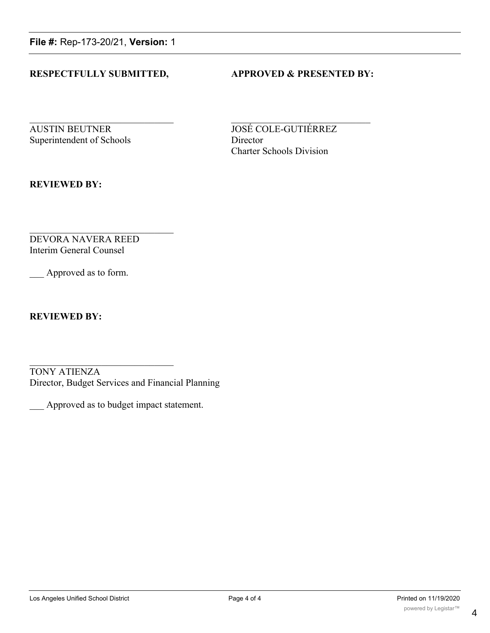**File #:** Rep-173-20/21, **Version:** 1

#### **RESPECTFULLY SUBMITTED, APPROVED & PRESENTED BY:**

**AUSTIN BEUTNER JOSÉ COLE-GUTIÉRREZ** Superintendent of Schools Director

Charter Schools Division

**REVIEWED BY:**

DEVORA NAVERA REED Interim General Counsel

Approved as to form.

**REVIEWED BY:**

TONY ATIENZA Director, Budget Services and Financial Planning

\_\_\_ Approved as to budget impact statement.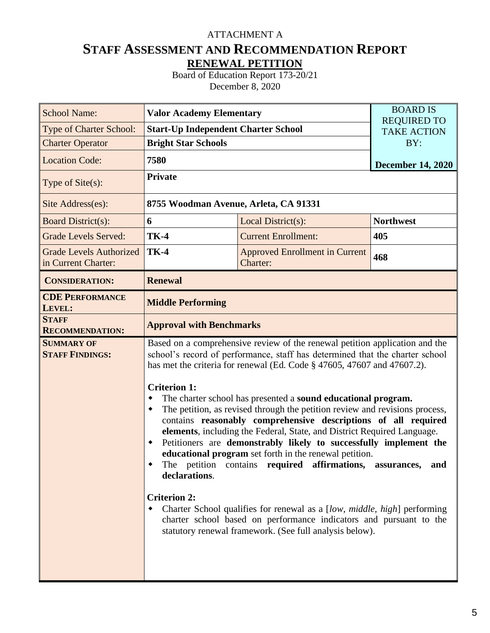#### ATTACHMENT A

#### **STAFF ASSESSMENT AND RECOMMENDATION REPORT RENEWAL PETITION**

Board of Education Report 173-20/21 December 8, 2020

| <b>School Name:</b>                                   | <b>Valor Academy Elementary</b>                                                               |                                                                                                                                                                                                                                                                                                                                                                                                                                                                                                                                                                                                                                                                                                                                                                                                                                                                                                                    | <b>BOARD IS</b>                          |  |  |  |  |  |  |  |
|-------------------------------------------------------|-----------------------------------------------------------------------------------------------|--------------------------------------------------------------------------------------------------------------------------------------------------------------------------------------------------------------------------------------------------------------------------------------------------------------------------------------------------------------------------------------------------------------------------------------------------------------------------------------------------------------------------------------------------------------------------------------------------------------------------------------------------------------------------------------------------------------------------------------------------------------------------------------------------------------------------------------------------------------------------------------------------------------------|------------------------------------------|--|--|--|--|--|--|--|
| <b>Type of Charter School:</b>                        | <b>Start-Up Independent Charter School</b>                                                    |                                                                                                                                                                                                                                                                                                                                                                                                                                                                                                                                                                                                                                                                                                                                                                                                                                                                                                                    | <b>REQUIRED TO</b><br><b>TAKE ACTION</b> |  |  |  |  |  |  |  |
| <b>Charter Operator</b>                               | <b>Bright Star Schools</b>                                                                    |                                                                                                                                                                                                                                                                                                                                                                                                                                                                                                                                                                                                                                                                                                                                                                                                                                                                                                                    | BY:                                      |  |  |  |  |  |  |  |
| <b>Location Code:</b>                                 | 7580                                                                                          |                                                                                                                                                                                                                                                                                                                                                                                                                                                                                                                                                                                                                                                                                                                                                                                                                                                                                                                    | <b>December 14, 2020</b>                 |  |  |  |  |  |  |  |
| Type of $Site(s)$ :                                   | <b>Private</b>                                                                                |                                                                                                                                                                                                                                                                                                                                                                                                                                                                                                                                                                                                                                                                                                                                                                                                                                                                                                                    |                                          |  |  |  |  |  |  |  |
| Site Address(es):                                     | 8755 Woodman Avenue, Arleta, CA 91331                                                         |                                                                                                                                                                                                                                                                                                                                                                                                                                                                                                                                                                                                                                                                                                                                                                                                                                                                                                                    |                                          |  |  |  |  |  |  |  |
| <b>Board District(s):</b>                             | 6                                                                                             | Local District(s):                                                                                                                                                                                                                                                                                                                                                                                                                                                                                                                                                                                                                                                                                                                                                                                                                                                                                                 | <b>Northwest</b>                         |  |  |  |  |  |  |  |
| <b>Grade Levels Served:</b>                           | <b>TK-4</b>                                                                                   | <b>Current Enrollment:</b>                                                                                                                                                                                                                                                                                                                                                                                                                                                                                                                                                                                                                                                                                                                                                                                                                                                                                         | 405                                      |  |  |  |  |  |  |  |
| <b>Grade Levels Authorized</b><br>in Current Charter: | <b>TK-4</b>                                                                                   | 468                                                                                                                                                                                                                                                                                                                                                                                                                                                                                                                                                                                                                                                                                                                                                                                                                                                                                                                |                                          |  |  |  |  |  |  |  |
| <b>CONSIDERATION:</b>                                 | <b>Renewal</b>                                                                                |                                                                                                                                                                                                                                                                                                                                                                                                                                                                                                                                                                                                                                                                                                                                                                                                                                                                                                                    |                                          |  |  |  |  |  |  |  |
| <b>CDE PERFORMANCE</b><br>LEVEL:                      | <b>Middle Performing</b>                                                                      |                                                                                                                                                                                                                                                                                                                                                                                                                                                                                                                                                                                                                                                                                                                                                                                                                                                                                                                    |                                          |  |  |  |  |  |  |  |
| <b>STAFF</b><br><b>RECOMMENDATION:</b>                | <b>Approval with Benchmarks</b>                                                               |                                                                                                                                                                                                                                                                                                                                                                                                                                                                                                                                                                                                                                                                                                                                                                                                                                                                                                                    |                                          |  |  |  |  |  |  |  |
| <b>SUMMARY OF</b><br><b>STAFF FINDINGS:</b>           | <b>Criterion 1:</b><br>$\bullet$<br>٠<br>The petition<br>declarations.<br><b>Criterion 2:</b> | Based on a comprehensive review of the renewal petition application and the<br>school's record of performance, staff has determined that the charter school<br>has met the criteria for renewal (Ed. Code § 47605, 47607 and 47607.2).<br>The charter school has presented a sound educational program.<br>The petition, as revised through the petition review and revisions process,<br>contains reasonably comprehensive descriptions of all required<br>elements, including the Federal, State, and District Required Language.<br>Petitioners are demonstrably likely to successfully implement the<br>educational program set forth in the renewal petition.<br>contains required affirmations,<br>Charter School qualifies for renewal as a [low, middle, high] performing<br>charter school based on performance indicators and pursuant to the<br>statutory renewal framework. (See full analysis below). | assurances,<br>and                       |  |  |  |  |  |  |  |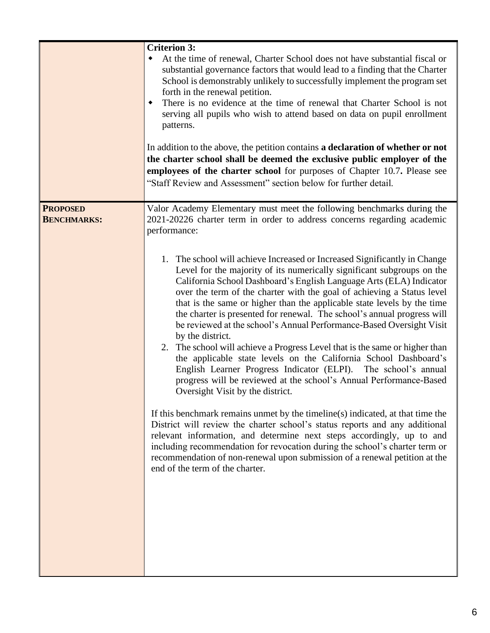|                                       | <b>Criterion 3:</b><br>At the time of renewal, Charter School does not have substantial fiscal or<br>substantial governance factors that would lead to a finding that the Charter<br>School is demonstrably unlikely to successfully implement the program set<br>forth in the renewal petition.<br>There is no evidence at the time of renewal that Charter School is not<br>٠<br>serving all pupils who wish to attend based on data on pupil enrollment<br>patterns.<br>In addition to the above, the petition contains a declaration of whether or not<br>the charter school shall be deemed the exclusive public employer of the<br>employees of the charter school for purposes of Chapter 10.7. Please see<br>"Staff Review and Assessment" section below for further detail.                                                                                                                                                                                                                                                                                                                                                                                                                                                                                                                                            |
|---------------------------------------|---------------------------------------------------------------------------------------------------------------------------------------------------------------------------------------------------------------------------------------------------------------------------------------------------------------------------------------------------------------------------------------------------------------------------------------------------------------------------------------------------------------------------------------------------------------------------------------------------------------------------------------------------------------------------------------------------------------------------------------------------------------------------------------------------------------------------------------------------------------------------------------------------------------------------------------------------------------------------------------------------------------------------------------------------------------------------------------------------------------------------------------------------------------------------------------------------------------------------------------------------------------------------------------------------------------------------------|
| <b>PROPOSED</b><br><b>BENCHMARKS:</b> | Valor Academy Elementary must meet the following benchmarks during the<br>2021-20226 charter term in order to address concerns regarding academic<br>performance:                                                                                                                                                                                                                                                                                                                                                                                                                                                                                                                                                                                                                                                                                                                                                                                                                                                                                                                                                                                                                                                                                                                                                               |
|                                       | 1. The school will achieve Increased or Increased Significantly in Change<br>Level for the majority of its numerically significant subgroups on the<br>California School Dashboard's English Language Arts (ELA) Indicator<br>over the term of the charter with the goal of achieving a Status level<br>that is the same or higher than the applicable state levels by the time<br>the charter is presented for renewal. The school's annual progress will<br>be reviewed at the school's Annual Performance-Based Oversight Visit<br>by the district.<br>2. The school will achieve a Progress Level that is the same or higher than<br>the applicable state levels on the California School Dashboard's<br>English Learner Progress Indicator (ELPI). The school's annual<br>progress will be reviewed at the school's Annual Performance-Based<br>Oversight Visit by the district.<br>If this benchmark remains unmet by the timeline(s) indicated, at that time the<br>District will review the charter school's status reports and any additional<br>relevant information, and determine next steps accordingly, up to and<br>including recommendation for revocation during the school's charter term or<br>recommendation of non-renewal upon submission of a renewal petition at the<br>end of the term of the charter. |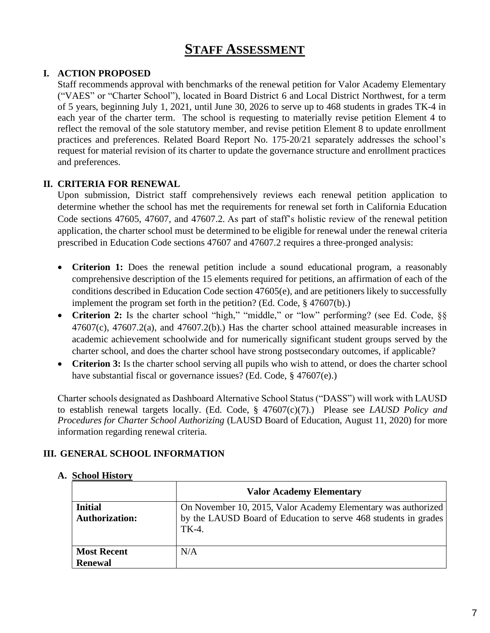#### **STAFF ASSESSMENT**

#### **I. ACTION PROPOSED**

Staff recommends approval with benchmarks of the renewal petition for Valor Academy Elementary ("VAES" or "Charter School"), located in Board District 6 and Local District Northwest, for a term of 5 years, beginning July 1, 2021, until June 30, 2026 to serve up to 468 students in grades TK-4 in each year of the charter term. The school is requesting to materially revise petition Element 4 to reflect the removal of the sole statutory member, and revise petition Element 8 to update enrollment practices and preferences. Related Board Report No. 175-20/21 separately addresses the school's request for material revision of its charter to update the governance structure and enrollment practices and preferences.

#### **II. CRITERIA FOR RENEWAL**

Upon submission, District staff comprehensively reviews each renewal petition application to determine whether the school has met the requirements for renewal set forth in California Education Code sections 47605, 47607, and 47607.2. As part of staff's holistic review of the renewal petition application, the charter school must be determined to be eligible for renewal under the renewal criteria prescribed in Education Code sections 47607 and 47607.2 requires a three-pronged analysis:

- **Criterion 1:** Does the renewal petition include a sound educational program, a reasonably comprehensive description of the 15 elements required for petitions, an affirmation of each of the conditions described in Education Code section 47605(e), and are petitioners likely to successfully implement the program set forth in the petition? (Ed. Code, § 47607(b).)
- **Criterion 2:** Is the charter school "high," "middle," or "low" performing? (see Ed. Code, §§ 47607(c), 47607.2(a), and 47607.2(b).) Has the charter school attained measurable increases in academic achievement schoolwide and for numerically significant student groups served by the charter school, and does the charter school have strong postsecondary outcomes, if applicable?
- **Criterion 3:** Is the charter school serving all pupils who wish to attend, or does the charter school have substantial fiscal or governance issues? (Ed. Code, § 47607(e).)

Charter schools designated as Dashboard Alternative School Status ("DASS") will work with LAUSD to establish renewal targets locally. (Ed. Code, § 47607(c)(7).) Please see *LAUSD Policy and Procedures for Charter School Authorizing* (LAUSD Board of Education, August 11, 2020) for more information regarding renewal criteria.

#### **III. GENERAL SCHOOL INFORMATION**

#### **Valor Academy Elementary Initial Authorization:** On November 10, 2015, Valor Academy Elementary was authorized by the LAUSD Board of Education to serve 468 students in grades TK-4. **Most Recent Renewal** N/A

#### **A. School History**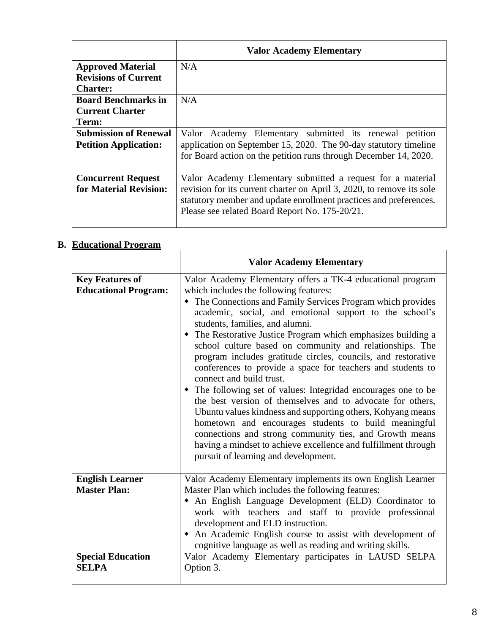|                                                              | <b>Valor Academy Elementary</b>                                                                                                                                                                                                                             |
|--------------------------------------------------------------|-------------------------------------------------------------------------------------------------------------------------------------------------------------------------------------------------------------------------------------------------------------|
| <b>Approved Material</b>                                     | N/A                                                                                                                                                                                                                                                         |
| <b>Revisions of Current</b>                                  |                                                                                                                                                                                                                                                             |
| <b>Charter:</b>                                              |                                                                                                                                                                                                                                                             |
| <b>Board Benchmarks in</b>                                   | N/A                                                                                                                                                                                                                                                         |
| <b>Current Charter</b>                                       |                                                                                                                                                                                                                                                             |
| Term:                                                        |                                                                                                                                                                                                                                                             |
| <b>Submission of Renewal</b><br><b>Petition Application:</b> | Valor Academy Elementary submitted its renewal<br>petition<br>application on September 15, 2020. The 90-day statutory timeline<br>for Board action on the petition runs through December 14, 2020.                                                          |
| <b>Concurrent Request</b><br>for Material Revision:          | Valor Academy Elementary submitted a request for a material<br>revision for its current charter on April 3, 2020, to remove its sole<br>statutory member and update enrollment practices and preferences.<br>Please see related Board Report No. 175-20/21. |

#### **B. Educational Program**

|                                                       | <b>Valor Academy Elementary</b>                                                                                                                                                                                                                                                                                                                                                                                                                                                                                                                                                                                                                                                                                                                                                                                                                                                                                                                                                         |
|-------------------------------------------------------|-----------------------------------------------------------------------------------------------------------------------------------------------------------------------------------------------------------------------------------------------------------------------------------------------------------------------------------------------------------------------------------------------------------------------------------------------------------------------------------------------------------------------------------------------------------------------------------------------------------------------------------------------------------------------------------------------------------------------------------------------------------------------------------------------------------------------------------------------------------------------------------------------------------------------------------------------------------------------------------------|
| <b>Key Features of</b><br><b>Educational Program:</b> | Valor Academy Elementary offers a TK-4 educational program<br>which includes the following features:<br>• The Connections and Family Services Program which provides<br>academic, social, and emotional support to the school's<br>students, families, and alumni.<br>• The Restorative Justice Program which emphasizes building a<br>school culture based on community and relationships. The<br>program includes gratitude circles, councils, and restorative<br>conferences to provide a space for teachers and students to<br>connect and build trust.<br>• The following set of values: Integridad encourages one to be<br>the best version of themselves and to advocate for others,<br>Ubuntu values kindness and supporting others, Kohyang means<br>hometown and encourages students to build meaningful<br>connections and strong community ties, and Growth means<br>having a mindset to achieve excellence and fulfillment through<br>pursuit of learning and development. |
| <b>English Learner</b><br><b>Master Plan:</b>         | Valor Academy Elementary implements its own English Learner<br>Master Plan which includes the following features:<br>• An English Language Development (ELD) Coordinator to<br>work with teachers and staff to provide professional<br>development and ELD instruction.<br>• An Academic English course to assist with development of<br>cognitive language as well as reading and writing skills.                                                                                                                                                                                                                                                                                                                                                                                                                                                                                                                                                                                      |
| <b>Special Education</b><br><b>SELPA</b>              | Valor Academy Elementary participates in LAUSD SELPA<br>Option 3.                                                                                                                                                                                                                                                                                                                                                                                                                                                                                                                                                                                                                                                                                                                                                                                                                                                                                                                       |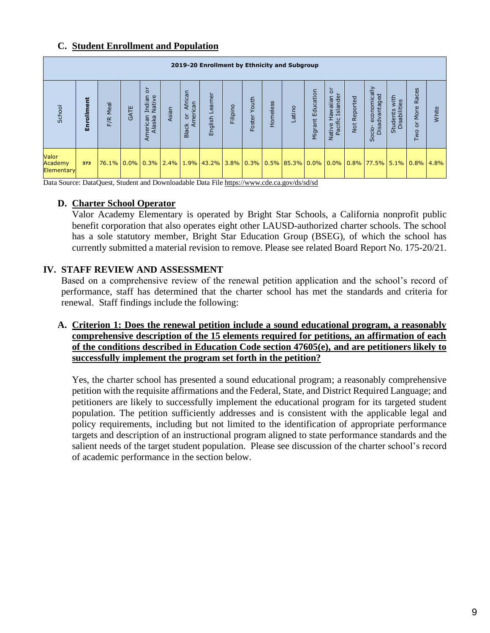#### **C. Student Enrollment and Population**

|                                       | 2019-20 Enrollment by Ethnicity and Subgroup |          |      |                                                 |       |                                                |                                                                                   |          |                 |          |        |                      |                                              |                 |                                                          |                                       |                                          |              |
|---------------------------------------|----------------------------------------------|----------|------|-------------------------------------------------|-------|------------------------------------------------|-----------------------------------------------------------------------------------|----------|-----------------|----------|--------|----------------------|----------------------------------------------|-----------------|----------------------------------------------------------|---------------------------------------|------------------------------------------|--------------|
| School                                | rollment<br>훕                                | F/R Meal | GATE | ă<br>Indian<br>Native<br>merican<br>Alaska<br>∢ | Asian | African<br>American<br>$\circ$<br><b>Black</b> | ē<br>ear<br>English                                                               | Filipino | Youth<br>Foster | Homeless | Latino | Education<br>Migrant | ō<br>Islander<br><b>naiiawa</b><br>Native Ha | Reported<br>Not | economically<br>Disadvantaged<br>ė<br>တိ                 | with<br>Students with<br>Disabilities | Races<br>More<br>$\overline{\circ}$<br>Q | White        |
| Valor<br>Academy<br><b>Elementary</b> | 373                                          | 76.1%    |      |                                                 |       |                                                | $0.0\%$ $0.3\%$ $2.4\%$ $1.9\%$ $43.2\%$ $3.8\%$ $0.3\%$ $0.5\%$ $85.3\%$ $0.0\%$ |          |                 |          |        |                      |                                              |                 | $\vert 0.0\% \vert 0.8\% \vert 77.5\% \vert 5.1\% \vert$ |                                       |                                          | $0.8\%$ 4.8% |

Data Source: DataQuest, Student and Downloadable Data Fil[e https://www.cde.ca.gov/ds/sd/sd](https://www.cde.ca.gov/ds/sd/sd)

#### **D. Charter School Operator**

Valor Academy Elementary is operated by Bright Star Schools, a California nonprofit public benefit corporation that also operates eight other LAUSD-authorized charter schools. The school has a sole statutory member, Bright Star Education Group (BSEG), of which the school has currently submitted a material revision to remove. Please see related Board Report No. 175-20/21.

#### **IV. STAFF REVIEW AND ASSESSMENT**

Based on a comprehensive review of the renewal petition application and the school's record of performance, staff has determined that the charter school has met the standards and criteria for renewal. Staff findings include the following:

**A. Criterion 1: Does the renewal petition include a sound educational program, a reasonably comprehensive description of the 15 elements required for petitions, an affirmation of each of the conditions described in Education Code section 47605(e), and are petitioners likely to successfully implement the program set forth in the petition?**

Yes, the charter school has presented a sound educational program; a reasonably comprehensive petition with the requisite affirmations and the Federal, State, and District Required Language; and petitioners are likely to successfully implement the educational program for its targeted student population. The petition sufficiently addresses and is consistent with the applicable legal and policy requirements, including but not limited to the identification of appropriate performance targets and description of an instructional program aligned to state performance standards and the salient needs of the target student population. Please see discussion of the charter school's record of academic performance in the section below.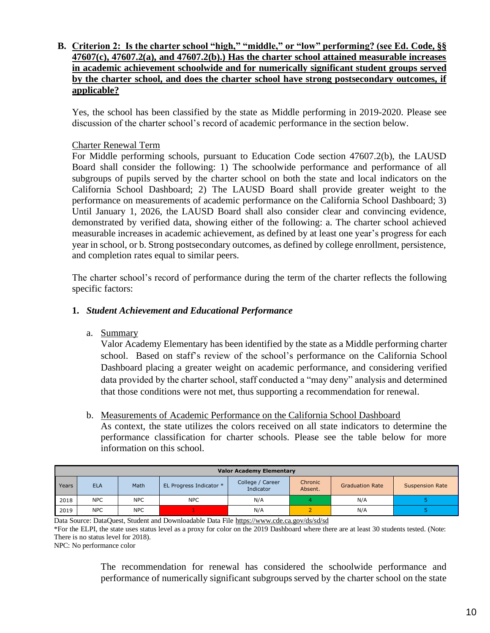#### **B. Criterion 2: Is the charter school "high," "middle," or "low" performing? (see Ed. Code, §§ 47607(c), 47607.2(a), and 47607.2(b).) Has the charter school attained measurable increases in academic achievement schoolwide and for numerically significant student groups served by the charter school, and does the charter school have strong postsecondary outcomes, if applicable?**

Yes, the school has been classified by the state as Middle performing in 2019-2020. Please see discussion of the charter school's record of academic performance in the section below.

#### Charter Renewal Term

For Middle performing schools, pursuant to Education Code section 47607.2(b), the LAUSD Board shall consider the following: 1) The schoolwide performance and performance of all subgroups of pupils served by the charter school on both the state and local indicators on the California School Dashboard; 2) The LAUSD Board shall provide greater weight to the performance on measurements of academic performance on the California School Dashboard; 3) Until January 1, 2026, the LAUSD Board shall also consider clear and convincing evidence, demonstrated by verified data, showing either of the following: a. The charter school achieved measurable increases in academic achievement, as defined by at least one year's progress for each year in school, or b. Strong postsecondary outcomes, as defined by college enrollment, persistence, and completion rates equal to similar peers.

The charter school's record of performance during the term of the charter reflects the following specific factors:

#### **1.** *Student Achievement and Educational Performance*

a. Summary

Valor Academy Elementary has been identified by the state as a Middle performing charter school. Based on staff's review of the school's performance on the California School Dashboard placing a greater weight on academic performance, and considering verified data provided by the charter school, staff conducted a "may deny" analysis and determined that those conditions were not met, thus supporting a recommendation for renewal.

b. Measurements of Academic Performance on the California School Dashboard

As context, the state utilizes the colors received on all state indicators to determine the performance classification for charter schools. Please see the table below for more information on this school.

|       | <b>Valor Academy Elementary</b> |            |                         |                               |                    |                        |                        |  |  |  |  |  |
|-------|---------------------------------|------------|-------------------------|-------------------------------|--------------------|------------------------|------------------------|--|--|--|--|--|
| Years | <b>ELA</b>                      | Math       | EL Progress Indicator * | College / Career<br>Indicator | Chronic<br>Absent. | <b>Graduation Rate</b> | <b>Suspension Rate</b> |  |  |  |  |  |
| 2018  | <b>NPC</b>                      | <b>NPC</b> | <b>NPC</b>              | N/A                           |                    | N/A                    |                        |  |  |  |  |  |
| 2019  | <b>NPC</b>                      | <b>NPC</b> |                         | N/A                           |                    | N/A                    |                        |  |  |  |  |  |

Data Source: DataQuest, Student and Downloadable Data File<https://www.cde.ca.gov/ds/sd/sd>

\*For the ELPI, the state uses status level as a proxy for color on the 2019 Dashboard where there are at least 30 students tested. (Note: There is no status level for 2018).

NPC: No performance color

The recommendation for renewal has considered the schoolwide performance and performance of numerically significant subgroups served by the charter school on the state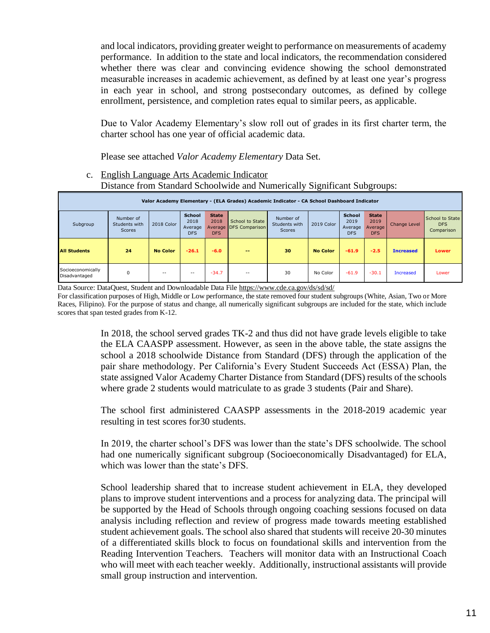and local indicators, providing greater weight to performance on measurements of academy performance. In addition to the state and local indicators, the recommendation considered whether there was clear and convincing evidence showing the school demonstrated measurable increases in academic achievement, as defined by at least one year's progress in each year in school, and strong postsecondary outcomes, as defined by college enrollment, persistence, and completion rates equal to similar peers, as applicable.

Due to Valor Academy Elementary's slow roll out of grades in its first charter term, the charter school has one year of official academic data.

Please see attached *Valor Academy Elementary* Data Set.

c. English Language Arts Academic Indicator Distance from Standard Schoolwide and Numerically Significant Subgroups:

|                                    | Valor Academy Elementary - (ELA Grades) Academic Indicator - CA School Dashboard Indicator |                 |                                                |                                    |                                           |                                             |                 |                                                |                                               |                  |                                             |  |
|------------------------------------|--------------------------------------------------------------------------------------------|-----------------|------------------------------------------------|------------------------------------|-------------------------------------------|---------------------------------------------|-----------------|------------------------------------------------|-----------------------------------------------|------------------|---------------------------------------------|--|
| Subgroup                           | Number of<br>Students with<br>Scores                                                       | 2018 Color      | <b>School</b><br>2018<br>Average<br><b>DFS</b> | <b>State</b><br>2018<br><b>DFS</b> | School to State<br>Average DFS Comparison | Number of<br>Students with<br><b>Scores</b> | 2019 Color      | <b>School</b><br>2019<br>Average<br><b>DFS</b> | <b>State</b><br>2019<br>Average<br><b>DFS</b> | Change Level     | School to State<br><b>DFS</b><br>Comparison |  |
| <b>All Students</b>                | 24                                                                                         | <b>No Color</b> | $-26.1$                                        | $-6.0$                             | $- -$                                     | 30                                          | <b>No Color</b> | $-61.9$                                        | $-2.5$                                        | <b>Increased</b> | <b>Lower</b>                                |  |
| Socioeconomically<br>Disadvantaged | 0                                                                                          | $-$             | $- -$                                          | $-34.7$                            | $- -$                                     | 30                                          | No Color        | $-61.9$                                        | $-30.1$                                       | Increased        | Lower                                       |  |

Data Source: DataQuest, Student and Downloadable Data Fil[e https://www.cde.ca.gov/ds/sd/sd/](https://www.cde.ca.gov/ds/sd/sd/)

For classification purposes of High, Middle or Low performance, the state removed four student subgroups (White, Asian, Two or More Races, Filipino). For the purpose of status and change, all numerically significant subgroups are included for the state, which include scores that span tested grades from K-12.

> In 2018, the school served grades TK-2 and thus did not have grade levels eligible to take the ELA CAASPP assessment. However, as seen in the above table, the state assigns the school a 2018 schoolwide Distance from Standard (DFS) through the application of the pair share methodology. Per California's Every Student Succeeds Act (ESSA) Plan, the state assigned Valor Academy Charter Distance from Standard (DFS) results of the schools where grade 2 students would matriculate to as grade 3 students (Pair and Share).

> The school first administered CAASPP assessments in the 2018-2019 academic year resulting in test scores for30 students.

> In 2019, the charter school's DFS was lower than the state's DFS schoolwide. The school had one numerically significant subgroup (Socioeconomically Disadvantaged) for ELA, which was lower than the state's DFS.

> School leadership shared that to increase student achievement in ELA, they developed plans to improve student interventions and a process for analyzing data. The principal will be supported by the Head of Schools through ongoing coaching sessions focused on data analysis including reflection and review of progress made towards meeting established student achievement goals. The school also shared that students will receive 20-30 minutes of a differentiated skills block to focus on foundational skills and intervention from the Reading Intervention Teachers. Teachers will monitor data with an Instructional Coach who will meet with each teacher weekly. Additionally, instructional assistants will provide small group instruction and intervention.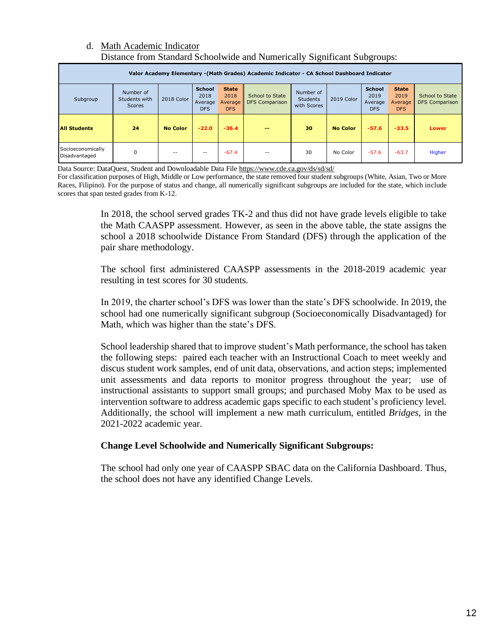#### d. Math Academic Indicator Distance from Standard Schoolwide and Numerically Significant Subgroups:

| Valor Academy Elementary - (Math Grades) Academic Indicator - CA School Dashboard Indicator |                                             |                 |                                                |                                               |                                          |                                             |                 |                                                |                                               |                                          |  |  |
|---------------------------------------------------------------------------------------------|---------------------------------------------|-----------------|------------------------------------------------|-----------------------------------------------|------------------------------------------|---------------------------------------------|-----------------|------------------------------------------------|-----------------------------------------------|------------------------------------------|--|--|
| Subgroup                                                                                    | Number of<br>Students with<br><b>Scores</b> | 2018 Color      | <b>School</b><br>2018<br>Average<br><b>DFS</b> | <b>State</b><br>2018<br>Average<br><b>DFS</b> | School to State<br><b>DFS Comparison</b> | Number of<br><b>Students</b><br>with Scores | 2019 Color      | <b>School</b><br>2019<br>Average<br><b>DFS</b> | <b>State</b><br>2019<br>Average<br><b>DFS</b> | School to State<br><b>DFS Comparison</b> |  |  |
| <b>All Students</b>                                                                         | 24                                          | <b>No Color</b> | $-22.0$                                        | $-36.4$                                       | --                                       | 30                                          | <b>No Color</b> | $-57.6$                                        | $-33.5$                                       | Lower                                    |  |  |
| Socioeconomically<br>Disadvantaged                                                          | 0                                           | --              | $-$                                            | $-67.4$                                       | $- -$                                    | 30                                          | No Color        | $-57.6$                                        | $-63.7$                                       | Higher                                   |  |  |

Data Source: DataQuest, Student and Downloadable Data Fil[e https://www.cde.ca.gov/ds/sd/sd/](https://www.cde.ca.gov/ds/sd/sd/)

For classification purposes of High, Middle or Low performance, the state removed four student subgroups (White, Asian, Two or More Races, Filipino). For the purpose of status and change, all numerically significant subgroups are included for the state, which include scores that span tested grades from K-12.

> In 2018, the school served grades TK-2 and thus did not have grade levels eligible to take the Math CAASPP assessment. However, as seen in the above table, the state assigns the school a 2018 schoolwide Distance From Standard (DFS) through the application of the pair share methodology.

> The school first administered CAASPP assessments in the 2018-2019 academic year resulting in test scores for 30 students.

> In 2019, the charter school's DFS was lower than the state's DFS schoolwide. In 2019, the school had one numerically significant subgroup (Socioeconomically Disadvantaged) for Math, which was higher than the state's DFS.

> School leadership shared that to improve student's Math performance, the school has taken the following steps: paired each teacher with an Instructional Coach to meet weekly and discus student work samples, end of unit data, observations, and action steps; implemented unit assessments and data reports to monitor progress throughout the year; use of instructional assistants to support small groups; and purchased Moby Max to be used as intervention software to address academic gaps specific to each student's proficiency level. Additionally, the school will implement a new math curriculum, entitled *Bridges*, in the 2021-2022 academic year.

#### **Change Level Schoolwide and Numerically Significant Subgroups:**

The school had only one year of CAASPP SBAC data on the California Dashboard. Thus, the school does not have any identified Change Levels.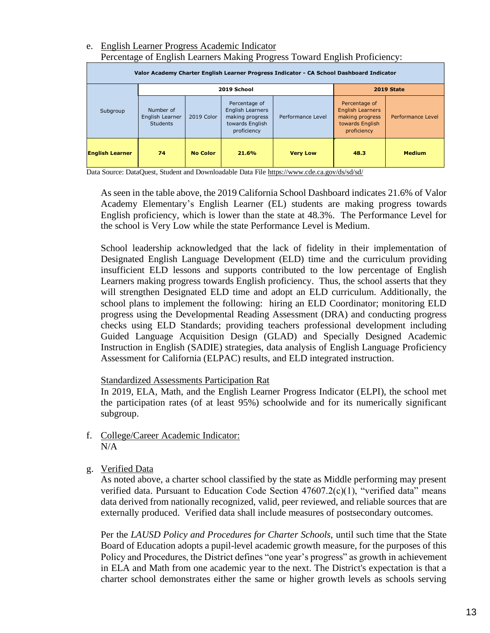#### e. English Learner Progress Academic Indicator Percentage of English Learners Making Progress Toward English Proficiency:

| Valor Academy Charter English Learner Progress Indicator - CA School Dashboard Indicator |                                                 |                 |                                                                                        |                   |                                                                                               |                   |  |  |  |  |  |  |
|------------------------------------------------------------------------------------------|-------------------------------------------------|-----------------|----------------------------------------------------------------------------------------|-------------------|-----------------------------------------------------------------------------------------------|-------------------|--|--|--|--|--|--|
|                                                                                          |                                                 | 2019 School     | 2019 State                                                                             |                   |                                                                                               |                   |  |  |  |  |  |  |
| Subgroup                                                                                 | Number of<br>English Learner<br><b>Students</b> | 2019 Color      | Percentage of<br>English Learners<br>making progress<br>towards English<br>proficiency | Performance Level | Percentage of<br><b>English Learners</b><br>making progress<br>towards English<br>proficiency | Performance Level |  |  |  |  |  |  |
| <b>English Learner</b><br>74                                                             |                                                 | <b>No Color</b> | 21.6%                                                                                  | <b>Very Low</b>   | 48.3                                                                                          | <b>Medium</b>     |  |  |  |  |  |  |

Data Source: DataQuest, Student and Downloadable Data Fil[e https://www.cde.ca.gov/ds/sd/sd/](https://www.cde.ca.gov/ds/sd/sd/)

As seen in the table above, the 2019 California School Dashboard indicates 21.6% of Valor Academy Elementary's English Learner (EL) students are making progress towards English proficiency, which is lower than the state at 48.3%. The Performance Level for the school is Very Low while the state Performance Level is Medium.

School leadership acknowledged that the lack of fidelity in their implementation of Designated English Language Development (ELD) time and the curriculum providing insufficient ELD lessons and supports contributed to the low percentage of English Learners making progress towards English proficiency. Thus, the school asserts that they will strengthen Designated ELD time and adopt an ELD curriculum. Additionally, the school plans to implement the following: hiring an ELD Coordinator; monitoring ELD progress using the Developmental Reading Assessment (DRA) and conducting progress checks using ELD Standards; providing teachers professional development including Guided Language Acquisition Design (GLAD) and Specially Designed Academic Instruction in English (SADIE) strategies, data analysis of English Language Proficiency Assessment for California (ELPAC) results, and ELD integrated instruction.

#### Standardized Assessments Participation Rat

In 2019, ELA, Math, and the English Learner Progress Indicator (ELPI), the school met the participation rates (of at least 95%) schoolwide and for its numerically significant subgroup.

- f. College/Career Academic Indicator:  $N/A$
- g. Verified Data

As noted above, a charter school classified by the state as Middle performing may present verified data. Pursuant to Education Code Section  $47607.2(c)(1)$ , "verified data" means data derived from nationally recognized, valid, peer reviewed, and reliable sources that are externally produced. Verified data shall include measures of postsecondary outcomes.

Per the *LAUSD Policy and Procedures for Charter Schools,* until such time that the State Board of Education adopts a pupil-level academic growth measure, for the purposes of this Policy and Procedures, the District defines "one year's progress" as growth in achievement in ELA and Math from one academic year to the next. The District's expectation is that a charter school demonstrates either the same or higher growth levels as schools serving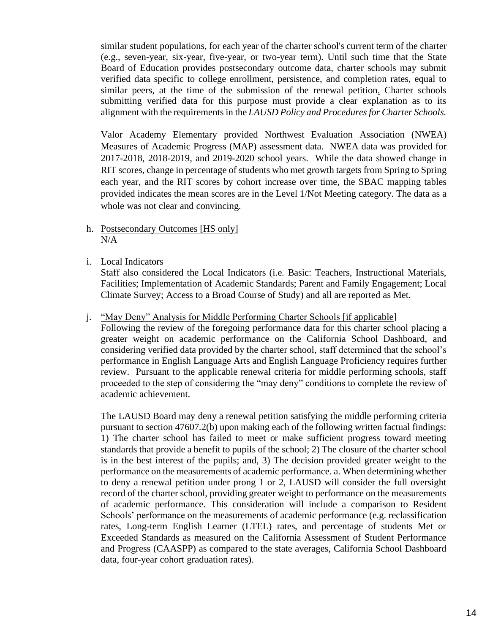similar student populations, for each year of the charter school's current term of the charter (e.g., seven-year, six-year, five-year, or two-year term). Until such time that the State Board of Education provides postsecondary outcome data, charter schools may submit verified data specific to college enrollment, persistence, and completion rates, equal to similar peers, at the time of the submission of the renewal petition. Charter schools submitting verified data for this purpose must provide a clear explanation as to its alignment with the requirements in the *LAUSD Policy and Procedures for Charter Schools.*

Valor Academy Elementary provided Northwest Evaluation Association (NWEA) Measures of Academic Progress (MAP) assessment data. NWEA data was provided for 2017-2018, 2018-2019, and 2019-2020 school years. While the data showed change in RIT scores, change in percentage of students who met growth targets from Spring to Spring each year, and the RIT scores by cohort increase over time, the SBAC mapping tables provided indicates the mean scores are in the Level 1/Not Meeting category. The data as a whole was not clear and convincing.

- h. Postsecondary Outcomes [HS only] N/A
- i. Local Indicators

Staff also considered the Local Indicators (i.e. Basic: Teachers, Instructional Materials, Facilities; Implementation of Academic Standards; Parent and Family Engagement; Local Climate Survey; Access to a Broad Course of Study) and all are reported as Met.

#### j. "May Deny" Analysis for Middle Performing Charter Schools [if applicable]

Following the review of the foregoing performance data for this charter school placing a greater weight on academic performance on the California School Dashboard, and considering verified data provided by the charter school, staff determined that the school's performance in English Language Arts and English Language Proficiency requires further review. Pursuant to the applicable renewal criteria for middle performing schools, staff proceeded to the step of considering the "may deny" conditions to complete the review of academic achievement.

The LAUSD Board may deny a renewal petition satisfying the middle performing criteria pursuant to section 47607.2(b) upon making each of the following written factual findings: 1) The charter school has failed to meet or make sufficient progress toward meeting standards that provide a benefit to pupils of the school; 2) The closure of the charter school is in the best interest of the pupils; and, 3) The decision provided greater weight to the performance on the measurements of academic performance. a. When determining whether to deny a renewal petition under prong 1 or 2, LAUSD will consider the full oversight record of the charter school, providing greater weight to performance on the measurements of academic performance. This consideration will include a comparison to Resident Schools' performance on the measurements of academic performance (e.g. reclassification rates, Long-term English Learner (LTEL) rates, and percentage of students Met or Exceeded Standards as measured on the California Assessment of Student Performance and Progress (CAASPP) as compared to the state averages, California School Dashboard data, four-year cohort graduation rates).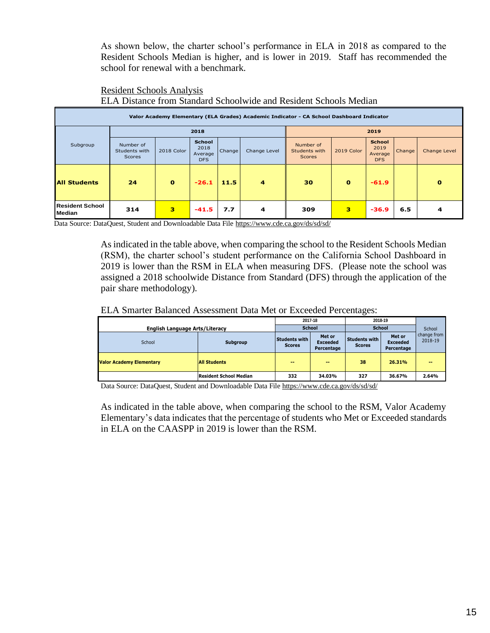As shown below, the charter school's performance in ELA in 2018 as compared to the Resident Schools Median is higher, and is lower in 2019. Staff has recommended the school for renewal with a benchmark.

#### Resident Schools Analysis ELA Distance from Standard Schoolwide and Resident Schools Median

| Valor Academy Elementary (ELA Grades) Academic Indicator - CA School Dashboard Indicator    |                                             |              |                                                |        |              |                                             |            |                                                |        |              |  |
|---------------------------------------------------------------------------------------------|---------------------------------------------|--------------|------------------------------------------------|--------|--------------|---------------------------------------------|------------|------------------------------------------------|--------|--------------|--|
|                                                                                             |                                             |              | 2018                                           |        |              |                                             |            | 2019                                           |        |              |  |
| Subgroup                                                                                    | Number of<br>Students with<br><b>Scores</b> | 2018 Color   | <b>School</b><br>2018<br>Average<br><b>DFS</b> | Change | Change Level | Number of<br>Students with<br><b>Scores</b> | 2019 Color | <b>School</b><br>2019<br>Average<br><b>DFS</b> | Change | Change Level |  |
| All Students                                                                                | 24                                          | $\mathbf{o}$ | $-26.1$                                        | 11.5   | 4            | 30                                          | $\Omega$   | $-61.9$                                        |        | $\bf{o}$     |  |
| Resident School<br>Median                                                                   | 314                                         | з            | $-41.5$                                        | 7.7    | 4            | 309                                         | з          | $-36.9$                                        | 6.5    | 4            |  |
| Data Source: DataQuest, Student and Downloadable Data File https://www.cde.ca.gov/ds/sd/sd/ |                                             |              |                                                |        |              |                                             |            |                                                |        |              |  |

Data Source: DataQuest, Student and Downloadable Data File<https://www.cde.ca.gov/ds/sd/sd/>

As indicated in the table above, when comparing the school to the Resident Schools Median (RSM), the charter school's student performance on the California School Dashboard in 2019 is lower than the RSM in ELA when measuring DFS. (Please note the school was assigned a 2018 schoolwide Distance from Standard (DFS) through the application of the pair share methodology).

#### ELA Smarter Balanced Assessment Data Met or Exceeded Percentages:

|                                                        |                               |                                       | 2017-18                                 | 2018-19                        |                                         |                        |  |
|--------------------------------------------------------|-------------------------------|---------------------------------------|-----------------------------------------|--------------------------------|-----------------------------------------|------------------------|--|
| <b>English Language Arts/Literacy</b>                  |                               |                                       | <b>School</b>                           | <b>School</b>                  | School                                  |                        |  |
| School                                                 | Subgroup                      | <b>Students with</b><br><b>Scores</b> | Met or<br><b>Exceeded</b><br>Percentage | Students with<br><b>Scores</b> | Met or<br><b>Exceeded</b><br>Percentage | change from<br>2018-19 |  |
| <b>All Students</b><br><b>Valor Academy Elementary</b> |                               | $\sim$                                | $-1$                                    | 38                             | 26.31%                                  | $-1$                   |  |
|                                                        | <b>Resident School Median</b> | 332                                   | 34.03%                                  | 327                            | 36.67%                                  | 2.64%                  |  |

Data Source: DataQuest, Student and Downloadable Data Fil[e https://www.cde.ca.gov/ds/sd/sd/](https://www.cde.ca.gov/ds/sd/sd/)

As indicated in the table above, when comparing the school to the RSM, Valor Academy Elementary's data indicates that the percentage of students who Met or Exceeded standards in ELA on the CAASPP in 2019 is lower than the RSM.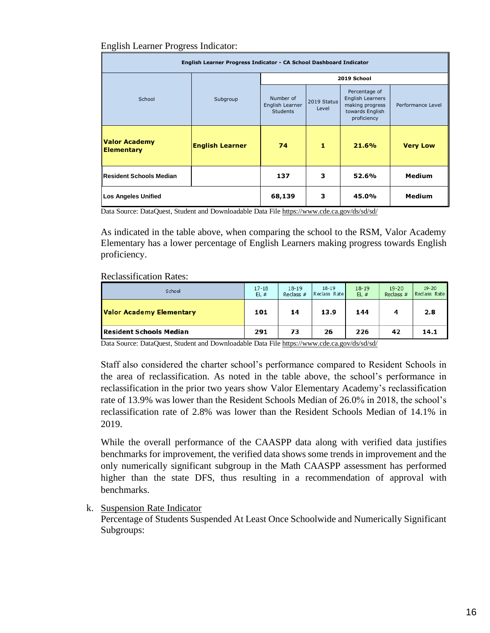#### English Learner Progress Indicator:

| English Learner Progress Indicator - CA School Dashboard Indicator |                        |                                                 |                      |                                                                                        |                   |  |  |  |  |  |
|--------------------------------------------------------------------|------------------------|-------------------------------------------------|----------------------|----------------------------------------------------------------------------------------|-------------------|--|--|--|--|--|
|                                                                    |                        |                                                 |                      | 2019 School                                                                            |                   |  |  |  |  |  |
| School                                                             | Subgroup               | Number of<br>English Learner<br><b>Students</b> | 2019 Status<br>Level | Percentage of<br>English Learners<br>making progress<br>towards English<br>proficiency | Performance Level |  |  |  |  |  |
| <b>Valor Academy</b><br><b>Elementary</b>                          | <b>English Learner</b> | 74                                              | 1                    | 21.6%                                                                                  | <b>Very Low</b>   |  |  |  |  |  |
| Resident Schools Median                                            |                        | 137                                             | 3                    | 52.6%                                                                                  | <b>Medium</b>     |  |  |  |  |  |
| <b>Los Angeles Unified</b>                                         | 68,139                 | з                                               | 45.0%                | <b>Medium</b>                                                                          |                   |  |  |  |  |  |

Data Source: DataQuest, Student and Downloadable Data Fil[e https://www.cde.ca.gov/ds/sd/sd/](https://www.cde.ca.gov/ds/sd/sd/)

As indicated in the table above, when comparing the school to the RSM, Valor Academy Elementary has a lower percentage of English Learners making progress towards English proficiency.

#### Reclassification Rates:

| School                         | $17 - 18$<br>EL# | $18 - 19$<br>Reclass $#$ | $18 - 19$<br>Reclass Rate | $18 - 19$<br>EL# | $19 - 20$<br>Reclass $#$ | $19 - 20$<br>Reclass Rate |
|--------------------------------|------------------|--------------------------|---------------------------|------------------|--------------------------|---------------------------|
| Valor Academy Elementary       | 101              | 14                       | 13.9                      | 144              | 4                        | 2.8                       |
| <b>Resident Schools Median</b> | 291              | 73                       | 26                        | 226              | 42                       | 14.1                      |

Data Source: DataQuest, Student and Downloadable Data Fil[e https://www.cde.ca.gov/ds/sd/sd/](https://www.cde.ca.gov/ds/sd/sd/)

Staff also considered the charter school's performance compared to Resident Schools in the area of reclassification. As noted in the table above, the school's performance in reclassification in the prior two years show Valor Elementary Academy's reclassification rate of 13.9% was lower than the Resident Schools Median of 26.0% in 2018, the school's reclassification rate of 2.8% was lower than the Resident Schools Median of 14.1% in 2019.

While the overall performance of the CAASPP data along with verified data justifies benchmarks for improvement, the verified data shows some trends in improvement and the only numerically significant subgroup in the Math CAASPP assessment has performed higher than the state DFS, thus resulting in a recommendation of approval with benchmarks.

#### k. Suspension Rate Indicator

Percentage of Students Suspended At Least Once Schoolwide and Numerically Significant Subgroups: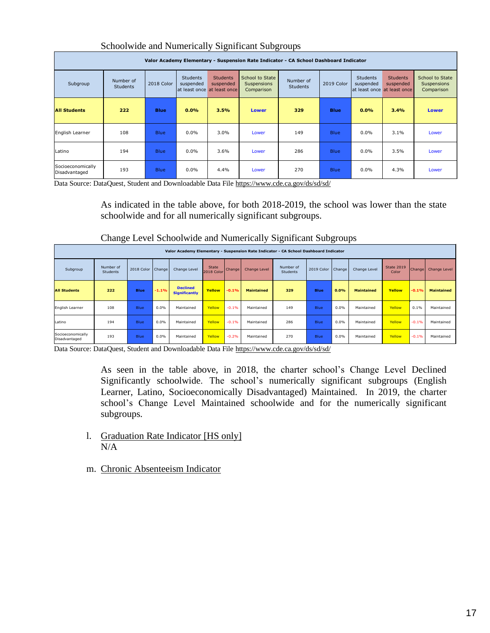| Valor Academy Elementary - Suspension Rate Indicator - CA School Dashboard Indicator |                              |             |                              |                                                             |                                              |                              |             |                              |                                                              |                                              |  |
|--------------------------------------------------------------------------------------|------------------------------|-------------|------------------------------|-------------------------------------------------------------|----------------------------------------------|------------------------------|-------------|------------------------------|--------------------------------------------------------------|----------------------------------------------|--|
| Subgroup                                                                             | Number of<br><b>Students</b> | 2018 Color  | <b>Students</b><br>suspended | <b>Students</b><br>suspended<br>at least once at least once | School to State<br>Suspensions<br>Comparison | Number of<br><b>Students</b> | 2019 Color  | <b>Students</b><br>suspended | <b>Students</b><br>suspended<br>lat least once at least once | School to State<br>Suspensions<br>Comparison |  |
| <b>All Students</b>                                                                  | 222                          | <b>Blue</b> | 0.0%                         | 3.5%                                                        | <b>Lower</b>                                 | 329                          | <b>Blue</b> | 0.0%                         | 3.4%                                                         | <b>Lower</b>                                 |  |
| English Learner                                                                      | 108                          | <b>Blue</b> | $0.0\%$                      | 3.0%                                                        | Lower                                        | 149                          | <b>Blue</b> | $0.0\%$                      | 3.1%                                                         | Lower                                        |  |
| Latino                                                                               | 194                          | <b>Blue</b> | 0.0%                         | 3.6%                                                        | Lower                                        | 286                          | <b>Blue</b> | $0.0\%$                      | 3.5%                                                         | Lower                                        |  |
| Socioeconomically<br>Disadvantaged                                                   | 193                          | <b>Blue</b> | $0.0\%$                      | 4.4%                                                        | Lower                                        | 270                          | <b>Blue</b> | $0.0\%$                      | 4.3%                                                         | Lower                                        |  |

#### Schoolwide and Numerically Significant Subgroups

Data Source: DataQuest, Student and Downloadable Data File<https://www.cde.ca.gov/ds/sd/sd/>

As indicated in the table above, for both 2018-2019, the school was lower than the state schoolwide and for all numerically significant subgroups.

| Change Level Schoolwide and Numerically Significant Subgroups |  |  |  |
|---------------------------------------------------------------|--|--|--|
|                                                               |  |  |  |

|                                    | Valor Academy Elementary - Suspension Rate Indicator - CA School Dashboard Indicator |                   |         |                                         |                     |                     |                   |                              |             |        |                   |                     |               |                   |
|------------------------------------|--------------------------------------------------------------------------------------|-------------------|---------|-----------------------------------------|---------------------|---------------------|-------------------|------------------------------|-------------|--------|-------------------|---------------------|---------------|-------------------|
| Subgroup                           | Number of<br>Students                                                                | 2018 Color Change |         | Change Level                            | State<br>2018 Color | Change <sub>V</sub> | Change Level      | Number of<br><b>Students</b> | 2019 Color  | Change | Change Level      | State 2019<br>Color | <b>Change</b> | Change Level      |
| <b>All Students</b>                | 222                                                                                  | <b>Blue</b>       | $-1.1%$ | <b>Declined</b><br><b>Significantly</b> | Yellow              | $-0.1%$             | <b>Maintained</b> | 329                          | <b>Blue</b> | 0.0%   | <b>Maintained</b> | Yellow              | $-0.1%$       | <b>Maintained</b> |
| English Learner                    | 108                                                                                  | Blue              | 0.0%    | Maintained                              | Yellow              | $-0.1%$             | Maintained        | 149                          | Blue        | 0.0%   | Maintained        | Yellow              | 0.1%          | Maintained        |
| Latino                             | 194                                                                                  | Blue              | 0.0%    | Maintained                              | Yellow              | $-0.1%$             | Maintained        | 286                          | Blue        | 0.0%   | Maintained        | Yellow              | $-0.1%$       | Maintained        |
| Socioeconomically<br>Disadvantaged | 193                                                                                  | <b>Blue</b>       | 0.0%    | Maintained                              | Yellow              | $-0.2%$             | Maintained        | 270                          | Blue        | 0.0%   | Maintained        | Yellow              | $-0.1%$       | Maintained        |

Data Source: DataQuest, Student and Downloadable Data File<https://www.cde.ca.gov/ds/sd/sd/>

As seen in the table above, in 2018, the charter school's Change Level Declined Significantly schoolwide. The school's numerically significant subgroups (English Learner, Latino, Socioeconomically Disadvantaged) Maintained. In 2019, the charter school's Change Level Maintained schoolwide and for the numerically significant subgroups.

- l. Graduation Rate Indicator [HS only] N/A
- m. Chronic Absenteeism Indicator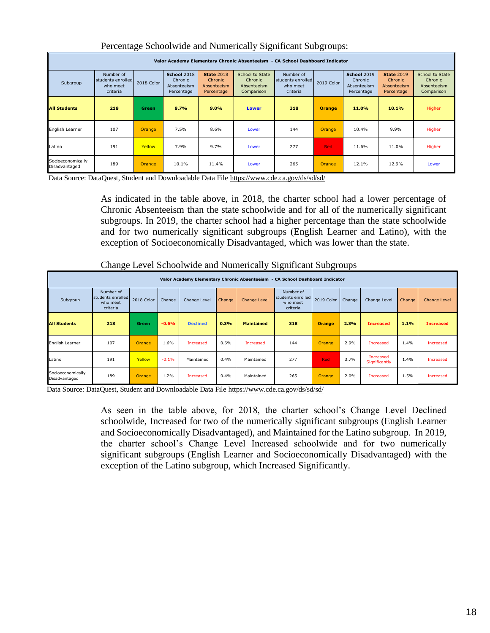| Valor Academy Elementary Chronic Absenteeism - CA School Dashboard Indicator |                                                        |                     |                                                     |                                                           |                                                         |                                                        |               |                                                            |                                                           |                                                         |  |
|------------------------------------------------------------------------------|--------------------------------------------------------|---------------------|-----------------------------------------------------|-----------------------------------------------------------|---------------------------------------------------------|--------------------------------------------------------|---------------|------------------------------------------------------------|-----------------------------------------------------------|---------------------------------------------------------|--|
| Subgroup                                                                     | Number of<br>students enrolled<br>who meet<br>criteria | 2018 Color          | School 2018<br>Chronic<br>Absenteeism<br>Percentage | <b>State 2018</b><br>Chronic<br>Absenteeism<br>Percentage | School to State<br>Chronic<br>Absenteeism<br>Comparison | Number of<br>students enrolled<br>who meet<br>criteria | 2019 Color    | <b>School 2019</b><br>Chronic<br>Absenteeism<br>Percentage | <b>State 2019</b><br>Chronic<br>Absenteeism<br>Percentage | School to State<br>Chronic<br>Absenteeism<br>Comparison |  |
| <b>All Students</b>                                                          | 218                                                    | <b>Green</b>        | 8.7%                                                | 9.0%                                                      | <b>Lower</b>                                            | 318                                                    | <b>Orange</b> | 11.0%                                                      | 10.1%                                                     | Higher                                                  |  |
| English Learner                                                              | 107                                                    | Orange              | 7.5%                                                | 8.6%                                                      | Lower                                                   | 144                                                    | Orange        | 10.4%                                                      | 9.9%                                                      | Higher                                                  |  |
| Latino                                                                       | 191                                                    | Yellow              | 7.9%                                                | 9.7%                                                      | Lower                                                   | 277                                                    | <b>Red</b>    | 11.6%                                                      | 11.0%                                                     | Higher                                                  |  |
| Socioeconomically<br>Disadvantaged                                           | 189                                                    | Orange <sub>/</sub> | 10.1%                                               | 11.4%                                                     | Lower                                                   | 265                                                    | Orange        | 12.1%                                                      | 12.9%                                                     | Lower                                                   |  |

#### Percentage Schoolwide and Numerically Significant Subgroups:

Data Source: DataQuest, Student and Downloadable Data Fil[e https://www.cde.ca.gov/ds/sd/sd/](https://www.cde.ca.gov/ds/sd/sd/)

As indicated in the table above, in 2018, the charter school had a lower percentage of Chronic Absenteeism than the state schoolwide and for all of the numerically significant subgroups. In 2019, the charter school had a higher percentage than the state schoolwide and for two numerically significant subgroups (English Learner and Latino), with the exception of Socioeconomically Disadvantaged, which was lower than the state.

| Change Level Schoolwide and Numerically Significant Subgroups |
|---------------------------------------------------------------|
|                                                               |

|                                    | Valor Academy Elementary Chronic Absenteeism - CA School Dashboard Indicator |            |         |                 |        |                     |                                                        |            |        |                            |        |                     |  |
|------------------------------------|------------------------------------------------------------------------------|------------|---------|-----------------|--------|---------------------|--------------------------------------------------------|------------|--------|----------------------------|--------|---------------------|--|
| Subgroup                           | Number of<br>students enrolled<br>who meet<br>criteria                       | 2018 Color | Change  | Change Level    | Change | <b>Change Level</b> | Number of<br>students enrolled<br>who meet<br>criteria | 2019 Color | Change | Change Level               | Change | <b>Change Level</b> |  |
| <b>All Students</b>                | 218                                                                          | Green      | $-0.6%$ | <b>Declined</b> | 0.3%   | <b>Maintained</b>   | 318                                                    | Orange     | 2.3%   | <b>Increased</b>           | 1.1%   | <b>Increased</b>    |  |
| English Learner                    | 107                                                                          | Orange     | 1.6%    | Increased       | 0.6%   | Increased           | 144                                                    | Orange     | 2.9%   | Increased                  | 1.4%   | Increased           |  |
| Latino                             | 191                                                                          | Yellow     | $-0.1%$ | Maintained      | 0.4%   | Maintained          | 277                                                    | Red        | 3.7%   | Increased<br>Significantly | 1.4%   | Increased           |  |
| Socioeconomically<br>Disadvantaged | 189                                                                          | Orange     | 1.2%    | Increased       | 0.4%   | Maintained          | 265                                                    | Orange     | 2.0%   | Increased                  | 1.5%   | Increased           |  |

Data Source: DataQuest, Student and Downloadable Data File<https://www.cde.ca.gov/ds/sd/sd/>

As seen in the table above, for 2018, the charter school's Change Level Declined schoolwide, Increased for two of the numerically significant subgroups (English Learner and Socioeconomically Disadvantaged), and Maintained for the Latino subgroup. In 2019, the charter school's Change Level Increased schoolwide and for two numerically significant subgroups (English Learner and Socioeconomically Disadvantaged) with the exception of the Latino subgroup, which Increased Significantly.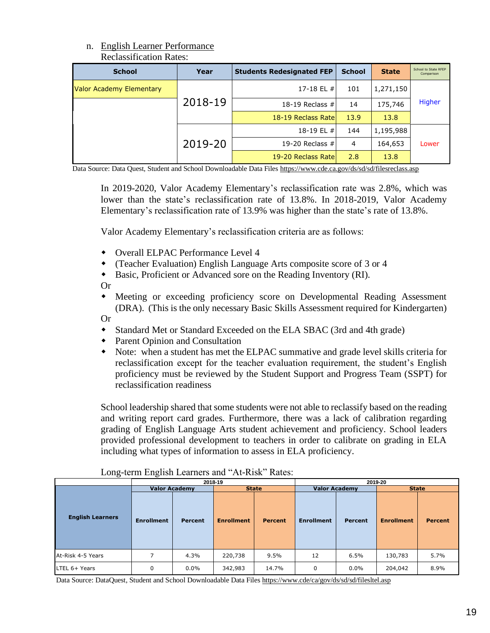#### n. English Learner Performance Reclassification Rates:

| <b>Reclassification Rates:</b> |         |                                                                                                                      |      |           |        |  |
|--------------------------------|---------|----------------------------------------------------------------------------------------------------------------------|------|-----------|--------|--|
| <b>School</b>                  | Year    | <b>School</b><br><b>Students Redesignated FEP</b><br><b>State</b>                                                    |      |           |        |  |
| Valor Academy Elementary       |         | 17-18 EL #                                                                                                           | 101  | 1,271,150 |        |  |
|                                | 2018-19 | 18-19 Reclass $#$                                                                                                    | 14   | 175,746   | Higher |  |
|                                |         | 18-19 Reclass Rate                                                                                                   | 13.9 | 13.8      |        |  |
|                                |         | 18-19 EL #                                                                                                           | 144  | 1,195,988 |        |  |
|                                | 2019-20 | 19-20 Reclass $#$                                                                                                    | 4    | 164,653   | Lower  |  |
|                                |         | 19-20 Reclass Rate                                                                                                   | 2.8  | 13.8      |        |  |
|                                |         | Data Source: Data Quest, Student and School Downloadable Data Files https://www.cde.ca.gov/ds/sd/sd/filesreclass.asp |      |           |        |  |

- Overall ELPAC Performance Level 4
- (Teacher Evaluation) English Language Arts composite score of 3 or 4
- Basic, Proficient or Advanced sore on the Reading Inventory (RI).

- Standard Met or Standard Exceeded on the ELA SBAC (3rd and 4th grade)
- Parent Opinion and Consultation
- Note: when a student has met the ELPAC summative and grade level skills criteria for reclassification except for the teacher evaluation requirement, the student's English proficiency must be reviewed by the Student Support and Progress Team (SSPT) for reclassification readiness

|                                                                                                                                                                  | <b>School</b>              | Year                                                                                                                                                                                                                                                                                                                                                                                                                                                                                                                                                                                                                                                                                                |                    | <b>Students Redesignated FEP</b> |                      | <b>School</b>  | <b>State</b>      | School to State RFEF<br>Comparisor |
|------------------------------------------------------------------------------------------------------------------------------------------------------------------|----------------------------|-----------------------------------------------------------------------------------------------------------------------------------------------------------------------------------------------------------------------------------------------------------------------------------------------------------------------------------------------------------------------------------------------------------------------------------------------------------------------------------------------------------------------------------------------------------------------------------------------------------------------------------------------------------------------------------------------------|--------------------|----------------------------------|----------------------|----------------|-------------------|------------------------------------|
| Valor Academy Elementary                                                                                                                                         |                            |                                                                                                                                                                                                                                                                                                                                                                                                                                                                                                                                                                                                                                                                                                     |                    |                                  | 17-18 EL #           | 101            | 1,271,150         |                                    |
|                                                                                                                                                                  |                            | 2018-19                                                                                                                                                                                                                                                                                                                                                                                                                                                                                                                                                                                                                                                                                             |                    |                                  | 18-19 Reclass #      | 14             | 175,746           | <b>Higher</b>                      |
|                                                                                                                                                                  |                            |                                                                                                                                                                                                                                                                                                                                                                                                                                                                                                                                                                                                                                                                                                     |                    |                                  | 18-19 Reclass Rate   | 13.9           | 13.8              |                                    |
|                                                                                                                                                                  |                            |                                                                                                                                                                                                                                                                                                                                                                                                                                                                                                                                                                                                                                                                                                     |                    |                                  | 18-19 EL #           | 144            | 1,195,988         |                                    |
|                                                                                                                                                                  |                            | 2019-20                                                                                                                                                                                                                                                                                                                                                                                                                                                                                                                                                                                                                                                                                             |                    |                                  | 19-20 Reclass #      | 4              | 164,653           | Lower                              |
|                                                                                                                                                                  |                            |                                                                                                                                                                                                                                                                                                                                                                                                                                                                                                                                                                                                                                                                                                     | 19-20 Reclass Rate |                                  | 2.8                  | 13.8           |                   |                                    |
| Data Source: Data Quest, Student and School Downloadable Data Files https://www.cde.ca.gov/ds/sd/sd/filesreclass.asp<br>$\bullet$<br><b>Or</b><br>٠<br><b>Or</b> |                            | In 2019-2020, Valor Academy Elementary's reclassification rate was 2.8%, which was<br>lower than the state's reclassification rate of 13.8%. In 2018-2019, Valor Academy<br>Elementary's reclassification rate of 13.9% was higher than the state's rate of 13.8%.<br>Valor Academy Elementary's reclassification criteria are as follows:<br>Overall ELPAC Performance Level 4<br>(Teacher Evaluation) English Language Arts composite score of 3 or 4<br>Basic, Proficient or Advanced sore on the Reading Inventory (RI).<br>Meeting or exceeding proficiency score on Developmental Reading Assessment<br>(DRA). (This is the only necessary Basic Skills Assessment required for Kindergarten) |                    |                                  |                      |                |                   |                                    |
| ٠                                                                                                                                                                | reclassification readiness | Standard Met or Standard Exceeded on the ELA SBAC (3rd and 4th grade)<br>Parent Opinion and Consultation<br>Note: when a student has met the ELPAC summative and grade level skills criteria for<br>reclassification except for the teacher evaluation requirement, the student's English<br>proficiency must be reviewed by the Student Support and Progress Team (SSPT) for                                                                                                                                                                                                                                                                                                                       |                    |                                  |                      |                |                   |                                    |
|                                                                                                                                                                  |                            | School leadership shared that some students were not able to reclassify based on the reading<br>and writing report card grades. Furthermore, there was a lack of calibration regarding<br>grading of English Language Arts student achievement and proficiency. School leaders<br>provided professional development to teachers in order to calibrate on grading in ELA<br>including what types of information to assess in ELA proficiency.<br>Long-term English Learners and "At-Risk" Rates:                                                                                                                                                                                                     |                    |                                  |                      |                |                   |                                    |
|                                                                                                                                                                  | <b>Valor Academy</b>       | 2018-19                                                                                                                                                                                                                                                                                                                                                                                                                                                                                                                                                                                                                                                                                             | <b>State</b>       |                                  | <b>Valor Academy</b> |                | 2019-20           | <b>State</b>                       |
| <b>English Learners</b>                                                                                                                                          | <b>Enrollment</b>          | <b>Percent</b>                                                                                                                                                                                                                                                                                                                                                                                                                                                                                                                                                                                                                                                                                      | <b>Enrollment</b>  | <b>Percent</b>                   | <b>Enrollment</b>    | <b>Percent</b> | <b>Enrollment</b> |                                    |
| At-Risk 4-5 Years                                                                                                                                                | 7                          | 4.3%                                                                                                                                                                                                                                                                                                                                                                                                                                                                                                                                                                                                                                                                                                | 220,738            | 9.5%                             | 12                   | 6.5%           | 130,783           | <b>Percent</b><br>5.7%             |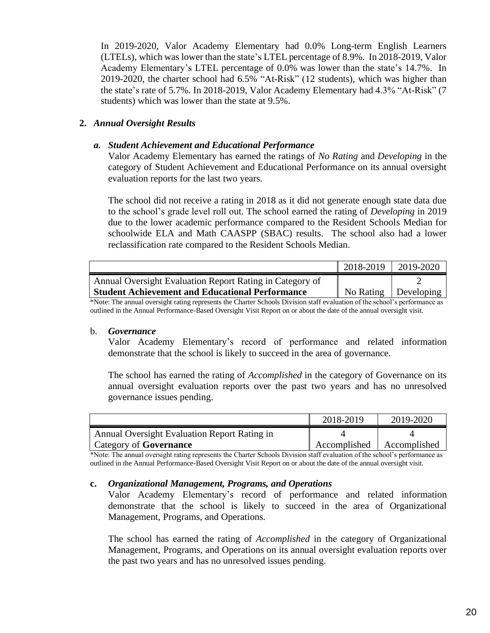In 2019-2020, Valor Academy Elementary had 0.0% Long-term English Learners (LTELs), which was lower than the state's LTEL percentage of 8.9%. In 2018-2019, Valor Academy Elementary's LTEL percentage of 0.0% was lower than the state's 14.7%. In 2019-2020, the charter school had 6.5% "At-Risk" (12 students), which was higher than the state's rate of 5.7%. In 2018-2019, Valor Academy Elementary had 4.3% "At-Risk" (7 students) which was lower than the state at 9.5%.

#### **2.** *Annual Oversight Results*

#### *a. Student Achievement and Educational Performance*

Valor Academy Elementary has earned the ratings of *No Rating* and *Developing* in the category of Student Achievement and Educational Performance on its annual oversight evaluation reports for the last two years.

The school did not receive a rating in 2018 as it did not generate enough state data due to the school's grade level roll out. The school earned the rating of *Developing* in 2019 due to the lower academic performance compared to the Resident Schools Median for schoolwide ELA and Math CAASPP (SBAC) results. The school also had a lower reclassification rate compared to the Resident Schools Median.

|                                                          | 2018-2019 | 2019-2020              |
|----------------------------------------------------------|-----------|------------------------|
| Annual Oversight Evaluation Report Rating in Category of |           |                        |
| <b>Student Achievement and Educational Performance</b>   |           | No Rating   Developing |

\*Note: The annual oversight rating represents the Charter Schools Division staff evaluation of the school's performance as outlined in the Annual Performance-Based Oversight Visit Report on or about the date of the annual oversight visit.

#### b. *Governance*

Valor Academy Elementary's record of performance and related information demonstrate that the school is likely to succeed in the area of governance.

The school has earned the rating of *Accomplished* in the category of Governance on its annual oversight evaluation reports over the past two years and has no unresolved governance issues pending.

|                                              | 2018-2019    | 2019-2020    |
|----------------------------------------------|--------------|--------------|
| Annual Oversight Evaluation Report Rating in |              |              |
| Category of <b>Governance</b>                | Accomplished | Accomplished |

\*Note: The annual oversight rating represents the Charter Schools Division staff evaluation of the school's performance as outlined in the Annual Performance-Based Oversight Visit Report on or about the date of the annual oversight visit.

#### **c.** *Organizational Management, Programs, and Operations*

Valor Academy Elementary's record of performance and related information demonstrate that the school is likely to succeed in the area of Organizational Management, Programs, and Operations.

The school has earned the rating of *Accomplished* in the category of Organizational Management, Programs, and Operations on its annual oversight evaluation reports over the past two years and has no unresolved issues pending.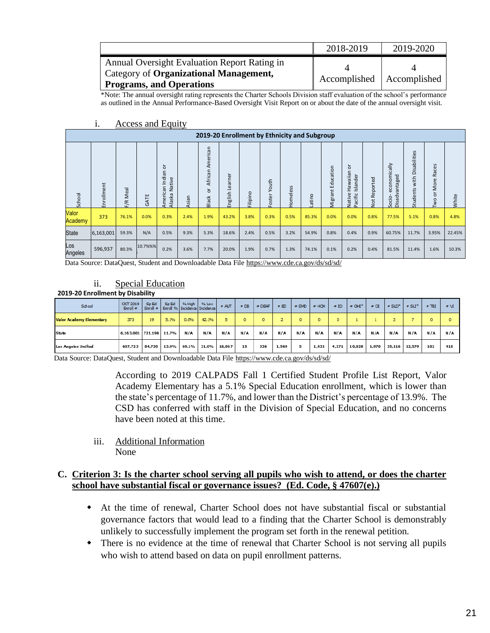|                                                                                        | 2018-2019                   | 2019-2020 |
|----------------------------------------------------------------------------------------|-----------------------------|-----------|
| Annual Oversight Evaluation Report Rating in<br>Category of Organizational Management, |                             |           |
| <b>Programs, and Operations</b>                                                        | Accomplished   Accomplished |           |

\*Note: The annual oversight rating represents the Charter Schools Division staff evaluation of the school's performance as outlined in the Annual Performance-Based Oversight Visit Report on or about the date of the annual oversight visit.

|                  |            |             |         |                                                   |      |                                                | 2019-20 Enrollment by Ethnicity and Subgroup |          |                 |          |        |                      |                                                      |                        |                                             |                                  |                                                                                     |        |
|------------------|------------|-------------|---------|---------------------------------------------------|------|------------------------------------------------|----------------------------------------------|----------|-----------------|----------|--------|----------------------|------------------------------------------------------|------------------------|---------------------------------------------|----------------------------------|-------------------------------------------------------------------------------------|--------|
| School           | Enrollment | Meal<br>F/R | GATE    | ৯<br>۹Ë<br>jipaji<br>Native<br>American<br>Alaska | sian | American<br>African<br>$\circ$<br><b>Black</b> | Learner<br>English                           | Filipino | Youth<br>Foster | Homeless | Latino | Education<br>Vigrant | $\circ$<br>Hawaiian<br>Islander<br>Pacific<br>Native | Reported<br><b>b</b> d | omically<br>Disadvantaged<br>econ<br>Socio- | Disabilities<br>with<br>Students | $\mathbf{v}$<br>e,<br>$\sigma$<br>$\alpha$<br>$\omega$<br>Mor<br>$\circ$<br>$\circ$ | White  |
| Valor<br>Academy | 373        | 76.1%       | 0.0%    | 0.3%                                              | 2.4% | 1.9%                                           | 43.2%                                        | 3.8%     | 0.3%            | 0.5%     | 85.3%  | 0.0%                 | 0.0%                                                 | 0.8%                   | 77.5%                                       | 5.1%                             | 0.8%                                                                                | 4.8%   |
| <b>State</b>     | 6,163,001  | 59.3%       | N/A     | 0.5%                                              | 9.3% | 5.3%                                           | 18.6%                                        | 2.4%     | 0.5%            | 3.2%     | 54.9%  | 0.8%                 | 0.4%                                                 | 0.9%                   | 60.75%                                      | 11.7%                            | 3.95%                                                                               | 22.45% |
| Los<br>Angeles   | 596,937    | 80.3%       | 10.7%%% | 0.2%                                              | 3.6% | 7.7%                                           | 20.0%                                        | 1.9%     | 0.7%            | 1.3%     | 74.1%  | 0.1%                 | 0.2%                                                 | 0.4%                   | 81.5%                                       | 11.4%                            | 1.6%                                                                                | 10.3%  |

#### i. Access and Equity

Data Source: DataQuest, Student and Downloadable Data Fil[e https://www.cde.ca.gov/ds/sd/sd/](https://www.cde.ca.gov/ds/sd/sd/)

#### ii. Special Education

#### **2019-20 Enrollment by Disability**

| School                          | <b>OCT 2019</b><br>Enroll $#$ | Sp Ed  | Sp Ed | % High<br>Enroll $\neq$   Enroll %   Incidence   Incidence | % Low | #AUT   | $\approx$ DB. | $=$ DEAF | # ED  | $=$ EMD | $=$ HOH | $\equiv$ ID | $=$ OHI <sup>*</sup> | $\equiv$ OI | $\equiv$ SLD <sup>*</sup> | $\neq$ SLI <sup>*</sup> | $=$ TBI | $\approx M$ |
|---------------------------------|-------------------------------|--------|-------|------------------------------------------------------------|-------|--------|---------------|----------|-------|---------|---------|-------------|----------------------|-------------|---------------------------|-------------------------|---------|-------------|
| <b>Valor Academy Elementary</b> | 373                           | 19     | 5.1%  | 0.0%                                                       | 42.1% | 5      | ٥             | $\circ$  |       | $\circ$ | ٥       | $\circ$     |                      |             |                           |                         |         |             |
| State                           | 6,163,001 721,198 11.7%       |        |       | N/A                                                        | N/A   | N/A    | N/A           | N/A      | N/A   | N/A     | N/A     | N/A         | N/A                  | N/A         | N/A                       | N/A                     | N/A     | N/A         |
| <b>Los Angeles Unified</b>      | 607,723                       | 84,730 | 13.9% | 69.1%                                                      | 31.0% | 16,067 | 15            | 336      | 1,569 | 5       | 1,431   | 4,271       | 10,828               | 1,970       | 35,116                    | 12,579                  | 102     | 418         |

Data Source: DataQuest, Student and Downloadable Data File<https://www.cde.ca.gov/ds/sd/sd/>

According to 2019 CALPADS Fall 1 Certified Student Profile List Report, Valor Academy Elementary has a 5.1% Special Education enrollment, which is lower than the state's percentage of 11.7%, and lower than the District's percentage of 13.9%. The CSD has conferred with staff in the Division of Special Education, and no concerns have been noted at this time.

iii. Additional Information None

#### **C. Criterion 3: Is the charter school serving all pupils who wish to attend, or does the charter school have substantial fiscal or governance issues? (Ed. Code, § 47607(e).)**

- At the time of renewal, Charter School does not have substantial fiscal or substantial governance factors that would lead to a finding that the Charter School is demonstrably unlikely to successfully implement the program set forth in the renewal petition.
- There is no evidence at the time of renewal that Charter School is not serving all pupils who wish to attend based on data on pupil enrollment patterns.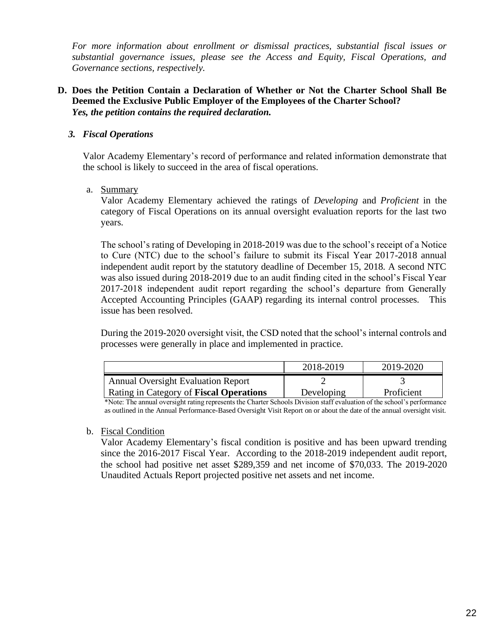*For more information about enrollment or dismissal practices, substantial fiscal issues or substantial governance issues, please see the Access and Equity, Fiscal Operations, and Governance sections, respectively.* 

#### **D. Does the Petition Contain a Declaration of Whether or Not the Charter School Shall Be Deemed the Exclusive Public Employer of the Employees of the Charter School?**  *Yes, the petition contains the required declaration.*

#### *3. Fiscal Operations*

Valor Academy Elementary's record of performance and related information demonstrate that the school is likely to succeed in the area of fiscal operations.

#### a. Summary

Valor Academy Elementary achieved the ratings of *Developing* and *Proficient* in the category of Fiscal Operations on its annual oversight evaluation reports for the last two years.

The school's rating of Developing in 2018-2019 was due to the school's receipt of a Notice to Cure (NTC) due to the school's failure to submit its Fiscal Year 2017-2018 annual independent audit report by the statutory deadline of December 15, 2018. A second NTC was also issued during 2018-2019 due to an audit finding cited in the school's Fiscal Year 2017-2018 independent audit report regarding the school's departure from Generally Accepted Accounting Principles (GAAP) regarding its internal control processes. This issue has been resolved.

During the 2019-2020 oversight visit, the CSD noted that the school's internal controls and processes were generally in place and implemented in practice.

|                                           | 2018-2019  | 2019-2020  |
|-------------------------------------------|------------|------------|
| <b>Annual Oversight Evaluation Report</b> |            |            |
| Rating in Category of Fiscal Operations   | Developing | Proficient |

\*Note: The annual oversight rating represents the Charter Schools Division staff evaluation of the school's performance as outlined in the Annual Performance-Based Oversight Visit Report on or about the date of the annual oversight visit.

#### b. Fiscal Condition

Valor Academy Elementary's fiscal condition is positive and has been upward trending since the 2016-2017 Fiscal Year. According to the 2018-2019 independent audit report, the school had positive net asset \$289,359 and net income of \$70,033. The 2019-2020 Unaudited Actuals Report projected positive net assets and net income.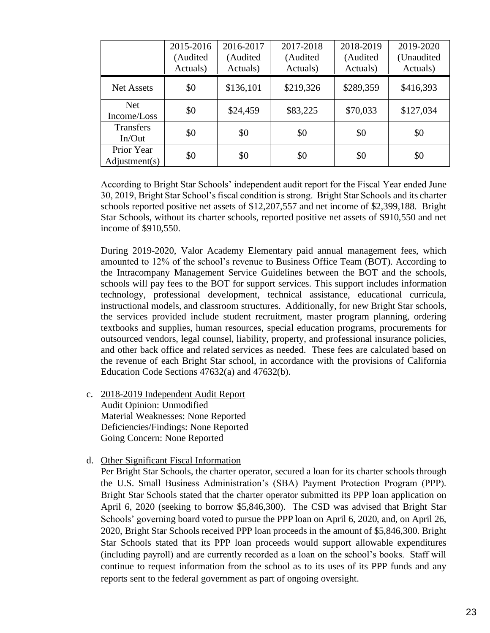|                             | 2015-2016<br>(Audited<br>Actuals) | 2016-2017<br>(Audited<br>Actuals) | 2017-2018<br>(Audited<br>Actuals) | 2018-2019<br>(Audited<br>Actuals) | 2019-2020<br>(Unaudited<br>Actuals) |
|-----------------------------|-----------------------------------|-----------------------------------|-----------------------------------|-----------------------------------|-------------------------------------|
| <b>Net Assets</b>           | \$0                               | \$136,101                         | \$219,326                         | \$289,359                         | \$416,393                           |
| <b>Net</b><br>Income/Loss   | \$0                               | \$24,459                          | \$83,225                          | \$70,033                          | \$127,034                           |
| <b>Transfers</b><br>In/Out  | \$0                               | \$0                               | \$0                               | \$0                               | \$0                                 |
| Prior Year<br>Adjustment(s) | \$0                               | \$0                               | \$0                               | \$0                               | \$0                                 |

According to Bright Star Schools' independent audit report for the Fiscal Year ended June 30, 2019, Bright Star School's fiscal condition is strong. Bright Star Schools and its charter schools reported positive net assets of \$12,207,557 and net income of \$2,399,188. Bright Star Schools, without its charter schools, reported positive net assets of \$910,550 and net income of \$910,550.

During 2019-2020, Valor Academy Elementary paid annual management fees, which amounted to 12% of the school's revenue to Business Office Team (BOT). According to the Intracompany Management Service Guidelines between the BOT and the schools, schools will pay fees to the BOT for support services. This support includes information technology, professional development, technical assistance, educational curricula, instructional models, and classroom structures. Additionally, for new Bright Star schools, the services provided include student recruitment, master program planning, ordering textbooks and supplies, human resources, special education programs, procurements for outsourced vendors, legal counsel, liability, property, and professional insurance policies, and other back office and related services as needed. These fees are calculated based on the revenue of each Bright Star school, in accordance with the provisions of California Education Code Sections 47632(a) and 47632(b).

- c. 2018-2019 Independent Audit Report Audit Opinion: Unmodified Material Weaknesses: None Reported Deficiencies/Findings: None Reported Going Concern: None Reported
- d. Other Significant Fiscal Information

Per Bright Star Schools, the charter operator, secured a loan for its charter schools through the U.S. Small Business Administration's (SBA) Payment Protection Program (PPP). Bright Star Schools stated that the charter operator submitted its PPP loan application on April 6, 2020 (seeking to borrow \$5,846,300). The CSD was advised that Bright Star Schools' governing board voted to pursue the PPP loan on April 6, 2020, and, on April 26, 2020, Bright Star Schools received PPP loan proceeds in the amount of \$5,846,300. Bright Star Schools stated that its PPP loan proceeds would support allowable expenditures (including payroll) and are currently recorded as a loan on the school's books. Staff will continue to request information from the school as to its uses of its PPP funds and any reports sent to the federal government as part of ongoing oversight.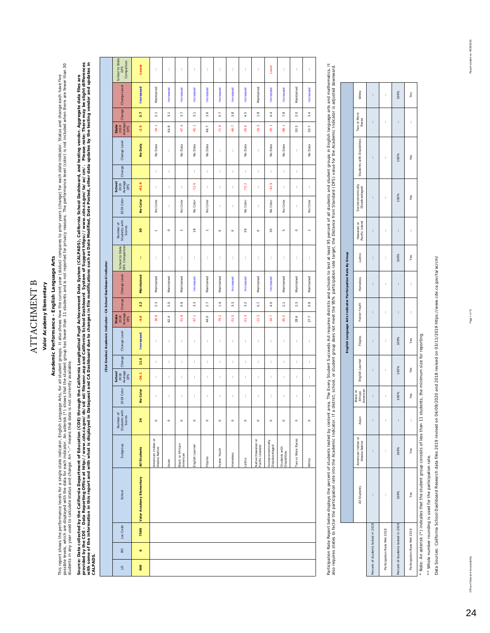## **ATTACHMENT B** ATTACHMENT B

## Valor Academy Elementary **Valor Academy Elementary**

## Academic Performance - English Language Arts **Academic Performance - English Language Arts**

This report shows the performance levels for a single state indicator, English Language Arts and inclusions the state of the state individual compare the performance levels for a single state individual of the state includ possible levels, which are data for each indicator. An asterisk (\*) shows that the student group has fewer than 11 students and is not reported for privacy reasons. The performance level (color) is not included when there This report shows for a single state indicator, English Language Arts, for all student groups. It also shows how the current year (status) compares to prior years (change) for each state indicator. Status and change each h students in any year used to calculate status and change. An "--" means that data is not currently available.

Source: Data collected by the California Department of Education (CDE) through the California Public Advisorman Data System (CALPADS), California School Dashboard, and testing vendor, Aggregate data files are<br>provided by t provided by the CDE - Data Reporting Office at http://www.cde.ca.gov/ds/sd/sllesenr.asp and California School Dashboard System of Support https://www.cde.ca.gov/ta/ac/cm/. Please note: There may be slight differences with some of the information in this report and with what is displayed in Dataquest and CA Dashboard due to changes in file modifications such as Date Modified, Date Posted, other data updates by the testing vendore in dud Source: Data collected by the California Department of Education of Education (CDE) through the Californial Nupil Achievem to Data System (CALPADS), California School Dashboard, and testing vendor. Aggregate data files are *CALPADS.* 

|                |           |          |                          |                                        |                                      |                 |                                  |        | (ELA Grades) Academic Indicator - CA School Dashboard Indicator |                                 |                  |              |                                   |                                      |            |                                  |        |              |                                 |                  |                     |                                      |
|----------------|-----------|----------|--------------------------|----------------------------------------|--------------------------------------|-----------------|----------------------------------|--------|-----------------------------------------------------------------|---------------------------------|------------------|--------------|-----------------------------------|--------------------------------------|------------|----------------------------------|--------|--------------|---------------------------------|------------------|---------------------|--------------------------------------|
| $\overline{a}$ | 60        | Loc Code | School                   | Subgroup                               | Number of<br>Students with<br>Scores | 2018 Color      | School<br>2018<br>Average<br>DFS | Change | Change Level                                                    | Average<br>State<br>2018<br>DFS | Change           | Change Level | School to State<br>DFS Comparison | Number of<br>Students with<br>Scores | 2019 Color | School<br>2019<br>Average<br>DFS | Change | Change Level | State<br>2019<br>Average<br>DFS |                  | Change Change Level | School to State<br>DFS<br>Comparison |
| Š              | $\bullet$ | 7580     | Valor Academy Elementary | All Students                           | 24                                   | <b>No Color</b> | $-26.1$                          | 11.5   | Increased                                                       | $-6.0$                          | 2.2              | Maintained   | ŧ                                 | 30                                   | No Color   | $-61.9$                          |        | No Data      | $-2.5$                          | 3.7              | <b>Increased</b>    | Lower                                |
|                |           |          |                          | American Indian or<br>Alaska Native    | $\circ$                              | t               | t                                | t      | t                                                               | $-36.8$                         | 2.3              | Maintained   | t                                 | ÷                                    | No Color   | t                                | ł      | No Data      | $-34.1$                         | $\overline{2.1}$ | Maintained          | t                                    |
|                |           |          |                          | Asian                                  | $\circ$                              | t               | t                                | t      | t                                                               | 62.4                            | 2.0              | Maintained   | t                                 | $\circ$                              | t          | t                                | t      | t            | 64.8                            | $3.1\,$          | Increased           | t                                    |
|                |           |          |                          | Black or African<br>American           | $\circ$                              | t               | t                                | t      | t                                                               | $-51.8$                         | $\ddot{\circ}$   | Maintained   | t                                 | ÷                                    | No Color   | t                                |        | No Data      | $-47.6$                         | 3.7              | Increased           | t                                    |
|                |           |          |                          | English Learner                        | $\circ$                              | ł               | ł                                | ł      | t                                                               | $-47.1$                         | 3.3              | Increased    | ł                                 | $\frac{8}{1}$                        | No Color   | $-72.6$                          | t      | No Data      | $-45.1$                         | $\overline{3}$ . | Increased           | ł                                    |
|                |           |          |                          | Filipino                               | $\circ$                              | t               | t                                | t      | t                                                               | 44.0                            | 2.7              | Maintained   | t                                 | ÷                                    | No Color   | t                                | t      | No Data      | 46.7                            | 3.6              | Increased           | ł                                    |
|                |           |          |                          | Foster Youth                           | $\circ$                              | ł,              | ł,                               | t      | ł,                                                              | $-79.2$                         | 1.4              | Maintained   | ţ.                                | $\circ$                              | ţ.         | ţ.                               | ł,     | ţ.           | $-71.9$                         | 5.7              | Increased           | ţ.                                   |
|                |           |          |                          | Homeless                               | $\circ$                              | t               | t                                | t      | t                                                               | $-51.0$                         | $3.\overline{3}$ | Increased    | t                                 | $\circ$                              | t          | t                                | t      | t            | $-46.7$                         | 3.8              | Increased           | t                                    |
|                |           |          |                          | Latino                                 | $\circ$                              | ł,              | ł,                               | t      | t                                                               | $-31.3$                         | 3.2              | Increased    | ţ.                                | 26                                   | No Color   | $-72.2$                          | ţ.     | No Data      | $-26.6$                         | 4.5              | Increased           | ł,                                   |
|                |           |          |                          | Native Hawaiian or<br>Pacific Islander | $\circ$                              | t               | ł                                | t      | ł                                                               | $-21.3$                         | $\overline{0}$   | Maintained   | t                                 | $\circ$                              | ł          | t                                | t      | t            | $-19.5$                         | 1.8              | Maintained          | ł                                    |
|                |           |          |                          | Socioeconomically<br>Disadvantaged     | $\circ$                              | ł,              | ł,                               | t      | t                                                               | $-34.7$                         | 4.0              | Increased    | ţ.                                | 8                                    | No Color   | $-61.9$                          | ł,     | No Data      | $-30.1$                         | 4.4              | Increased           | Lower                                |
|                |           |          |                          | Students with<br>Disabilities          | $\circ$                              | ł,              | ł,                               | t      | t                                                               | $-95.5$                         | $\overline{2.1}$ | Maintained   | t                                 | in,                                  | No Color   | t                                | t      | No Data      | -88.1                           | 7.8              | Increased           | t                                    |
|                |           |          |                          | Two or More Races                      | $\circ$                              | t               | t                                | t      | t                                                               | 28.6                            | 2.3              | Maintained   | t                                 | $\circ$                              | t          | t                                | ť      | t            | 30.3                            | 2.0              | Maintained          | t                                    |
|                |           |          |                          | White                                  | $\circ$                              | ł,              | ł,                               | ł,     | ł,                                                              | 27.7                            | 0.8              | Maintained   | ţ                                 |                                      | No Color   | ţ                                |        | No Data      | 30.7                            | 3.4              | Increased           | ţ                                    |

Participation Rate Report below displays the percent of students tested by content area. The Every Student Succeeds Act requires districts and schook to test at least 95 percent of all students and student groups in Englis Participation Releve the percent of students tested by contrent lessed is and all student Succeeds Act requires disticts and schools to test at least 95 percent of all students and groups in English language arts and mathe also requires states to factor the participation rate into the Academic Indicator. If a district, school, or student group does not meet the 9% participation rate target, the Distance from Standard (DFS) value for the Acad

|                                    |              |                                     |       |                                 |                 |          | English Language Arts Indicator Participation Rate By Group |          |        |                               |                                    |                            |                      |       |
|------------------------------------|--------------|-------------------------------------|-------|---------------------------------|-----------------|----------|-------------------------------------------------------------|----------|--------|-------------------------------|------------------------------------|----------------------------|----------------------|-------|
|                                    | All Students | American Indian or<br>Alaska Native | Asian | African<br>American<br>Black or | English Learner | Filipino | Foster Youth                                                | Homeless | Latino | Hawaiian or<br>Pacific Island | Socioeconomically<br>Disadvantaged | Students with Disabilities | Two or More<br>Races | White |
| Percent of students tested in 2018 |              | i                                   | ł     | ì                               | ĵ               | ł        | ì                                                           | ł        | ł      | ł                             | ì                                  | ì                          | ì                    | ł     |
| Participation Rate Met 2018        | i            | i                                   | ì     | ì                               | ł               | ł        | ì                                                           | ł        | ì      | ì                             | ł                                  | ì                          | ł                    | ì     |
| Percent of students tested in 2019 | 100%         | 100%                                | ł     | 100%                            | 100%            | 100%     | ì                                                           | ł        | 100%   | ł                             | 100%                               | 100%                       | ł                    | 100%  |
| Participation Rate Met 2019        | Yes          | Yes                                 | ì     | Yes                             | Yes             | Yes      | ĵ                                                           | l        | Yes    | ì                             | Yes                                | Yes                        | ł                    | Yes   |

\* Note: An asterisk (\*) indicates that the student group consists of less than 11 students, the minimum size for reporting. \* Note: An asterisk (\*) indicates that the student group consists of less than 11 students, the minimum size for reporting.

\*\* Whole number rounding is used for the participation rate. \*\* Whole number rounding is used for the participation rate.

Data Sources: California School Dashboard Research data files 2019 revised on 04/09/2020 and 2018 revised on 03/11/2019 https://www.cde.ca.gov/ta/ac/cm/ Data Sources: California School Dashboard Research data files 2019 revised on 04/09/2020 and 2018 revised on 03/11/2019 https://www.cde.ca.gov/ta/ac/cm/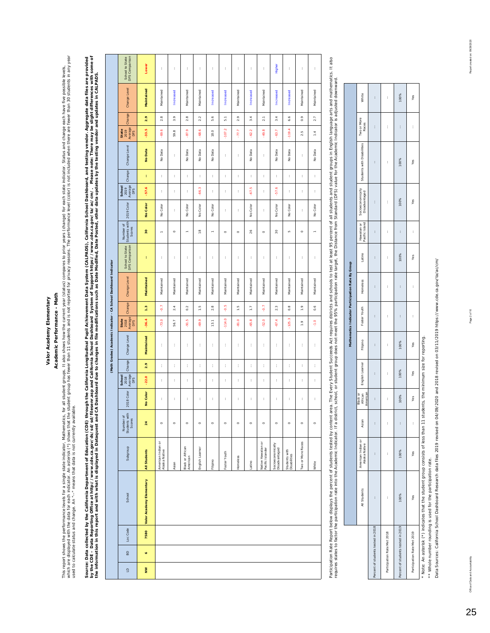## Academic Performance - Math **Academic Performance - Math**

which are displayed with the data for each indicator. An asterisk (\*) shows that the student group has fewer than 11 students and is not reported for privacy reasons. The performance level (color) is not included when ther This report shows the performance levels for a single state indetainder. Mathematics, for allow the our frequent year (status) compares to prior years (change) for each radicator. Status and change each have five possible This report shows the performance levels for a single state indicator, Mathematics, for all student groups. It also shows the current year (status) compares to prior years (change) for each either indicator. Status and cha used to calculate status and change. An "--" means that data is not currently available.

Source: Data collected by the California Department of Education (CDE) through the California Longitudinal Pupil Achievement Data System (CALPADS), California School Dashboard, and testing vendor. Aggregate data files are by the CDE – Data Reporting Office at http://www.cde.ca.gov/ds/scl/subsenr.asp and California School Dashboard System of Support https://www.cde.ca.gov/ta/ac/cm/. Please note: There may be slight differences with some of Source: Data collected by the California Department of Education (CDE) through the California Longitudinal Pupil Achievement Data System (CALPADS), California School Dashboard, and testing vendor. Aggregate data files are the information in this report and with what is displayed in Dataquest and CA Dashoard due to changes in file modifications such as Date Modified, Date Posted, other data updates by the testing vendor and updates in CALPAD

|                                                                  | School to State<br>DFS Comparison           | Lower                    | t                                   | t          | t                            | t               | ţ.         | t             | t             | t              | t                                      | Higher                             | ţ.                            | t                 | t              |
|------------------------------------------------------------------|---------------------------------------------|--------------------------|-------------------------------------|------------|------------------------------|-----------------|------------|---------------|---------------|----------------|----------------------------------------|------------------------------------|-------------------------------|-------------------|----------------|
|                                                                  |                                             |                          |                                     |            |                              |                 |            |               |               |                |                                        |                                    |                               |                   |                |
|                                                                  | Change Level                                | Maintained               | Maintained                          | Increased  | Maintained                   | Maintained      | Increased  | Increased     | Maintained    | Increased      | Maintained                             | Increased                          | Increased                     | Maintained        | Maintained     |
|                                                                  | Change                                      | 2.9                      | 2.8                                 | 3.9        | 2.8                          | 2.2             | 5.6        | $\frac{1}{5}$ | 2.9           | 3.4            | 2.1                                    | 3.4                                | 6.6                           | 0.9               | 2.7            |
|                                                                  | Average<br>State<br>2019<br>DFS             | $-33.5$                  | -69.6                               | 59.8       | -87.9                        | $-68.6$         | 18.0       | $-107.2$      | 77.7          | $-62.2$        | $-49.8$                                | $-63.7$                            | $-119.4$                      | 2.5               | $\frac{4}{1}$  |
|                                                                  | Change Level                                | No Data                  | No Data                             | ł,         | No Data                      | No Data         | No Data    | t             | ł,            | No Data        | ł,                                     | No Data                            | No Data                       | ł                 | No Data        |
|                                                                  | Change                                      | ŧ                        | ł                                   | t          | ť                            | t               | ł,         | t             | t             | t              | t                                      | t                                  | t                             | ł                 | t              |
|                                                                  | 2019<br>Average<br>DFS<br>School            | $-57.6$                  | t                                   | t          | t                            | $-66.3$         | ł,         | t             | t             | $-67.5$        | ł,                                     | -57.6                              | ł,                            | ł                 | t              |
|                                                                  | 2019 Color                                  | No Color                 | No Color                            | t          | No Color                     | No Color        | No Color   | t             | t             | No Color       | ł,                                     | No Color                           | No Color                      | ł                 | No Color       |
|                                                                  | Number of<br>Students with<br>Scores        | 30                       | $\overline{a}$                      | $\circ$    | $\overline{a}$               | $\frac{8}{1}$   | $\equiv$   | $\circ$       | $\circ$       | 26             | $\circ$                                | g                                  | io,                           | $\circ$           | $\overline{ }$ |
|                                                                  | School to State<br>DFS Comparison           | ł                        | t                                   | t          | t                            | t               | ţ.         | t             | t             | t              | t                                      | t                                  | ţ.                            | t                 | t              |
| (Math Grades) Academic Indicator - CA School Dashboard Indicator | Change Level                                | Maintained               | Maintained                          | Maintained | Maintained                   | Maintained      | Maintained | Maintained    | Maintained    | Maintained     | Maintained                             | Maintained                         | Maintained                    | Maintained        | Maintained     |
|                                                                  | Change                                      | 1.3                      | 5                                   | 2.4        | 0.2                          | $\frac{5}{1}$   | 2.8        | $\frac{5}{9}$ | $\frac{5}{1}$ | $\frac{7}{11}$ | $\overline{Q}$                         | 2.3                                | 0.8                           | $\frac{9}{1}$     | 0.6            |
|                                                                  | State<br>2018<br>Average<br>DFS             | $-36.4$                  | $-73.0$                             | 56.7       | $-91.5$                      | $-69.9$         | 13.1       | $-114.0$      | $-81.0$       | $-65.8$        | $-52.0$                                | $-67.4$                            | $-125.3$                      | $\ddot{ }$ .      | $\frac{0}{7}$  |
|                                                                  | Change Level                                | Maintained               | ł                                   | t          | t                            | t               | t          | t             | t             | ł              | t                                      | ł                                  | t                             | ł                 | t              |
|                                                                  | Change                                      | 2.9                      | ţ.                                  | t          | ţ.                           | t               | t          | t             | t             | ł              | t                                      | ł                                  | ţ.                            | t                 | t              |
|                                                                  | Average<br>DFS<br>School<br>2018            | $-22.0$                  | t                                   | t          | t                            | t               | ţ.         | t             | t             | t              | t                                      | t                                  | ţ.                            | t                 | ţ.             |
|                                                                  | 2018 Color                                  | No Color                 | ł                                   | t          | ł                            | t               | t          | t             | t             | t              | t                                      | t                                  | t                             | ł                 | t              |
|                                                                  | Number of<br>Students with<br><b>Scores</b> | 24                       | $\circ$                             | $\circ$    | $\circ$                      | $\circ$         | $\circ$    | $\circ$       | $\circ$       | $\circ$        | $\circ$                                | $\circ$                            | $\circ$                       | $\circ$           | $\circ$        |
|                                                                  | Subgroup                                    | All Students             | American Indian or<br>Alaska Native | Asian      | Black or African<br>American | English Learner | Filipino   | Foster Youth  | Homeless      | Latino         | Native Hawaiian or<br>Pacific Islander | Socioeconomically<br>Disadvantaged | Students with<br>Disabilities | Two or More Races | White          |
|                                                                  | School                                      | Valor Academy Elementary |                                     |            |                              |                 |            |               |               |                |                                        |                                    |                               |                   |                |
|                                                                  | Loc Code                                    | 7580                     |                                     |            |                              |                 |            |               |               |                |                                        |                                    |                               |                   |                |
|                                                                  | $\overline{a}$                              | $\bullet$                |                                     |            |                              |                 |            |               |               |                |                                        |                                    |                               |                   |                |
|                                                                  |                                             |                          |                                     |            |                              |                 |            |               |               |                |                                        |                                    |                               |                   |                |
|                                                                  | $\trianglelefteq$                           | Š                        |                                     |            |                              |                 |            |               |               |                |                                        |                                    |                               |                   |                |

Participation Rate Report below displays the percent of students tested by content area. The Every Student Succeeds Act requires districts and schools to lest of als the Suce from Standard (DFS) value for the Academic Indi Participation Rate below displays the percent of student steed by content area. The Every Student area. The Every Student Succeeds Act requires displays in English language ands and mathematics. It also requires states to factor the partition rate into the Academic Indicator. If a distict, school, or student group does not meet the 95% participation rate target, the Distance from Standard (DFS) value for the Academic Indi

┓ Τ  $\sim 10$ Т  $\sim$ ٦

|                                    |              |                                     |                      |                                 |                 |          | Mathematics Indicator Participation Rate By Group |          |        |                               |                                    |                                                 |   |       |
|------------------------------------|--------------|-------------------------------------|----------------------|---------------------------------|-----------------|----------|---------------------------------------------------|----------|--------|-------------------------------|------------------------------------|-------------------------------------------------|---|-------|
|                                    | All Students | American Indian or<br>Alaska Native | Asian                | African<br>American<br>Black or | English Learner | Filipino | Foster Youth                                      | Homeless | Latino | Pacific Island<br>Hawailan or | Socioeconomically<br>Disadvantaged | Students with Disabilities Two or More<br>Races |   | White |
| Percent of students tested in 2018 | i            | ì                                   | $\ddot{\phantom{0}}$ | ł                               | í               | í        | ł                                                 | l        | í      | ł                             | ł                                  | i                                               | ł | í     |
| Participation Rate Met 2018        | ì            | ì                                   | ĵ                    | ì                               | ì               | ĵ        | ì                                                 | ł        | ĵ      | ł                             | ì                                  | ì                                               | ł | ì     |
| Percent of students tested in 2019 | 100%         | 100%                                | ì                    | 100%                            | 100%            | 100%     | ł                                                 | í        | 100%   | $\ddot{\phantom{0}}$          | 100%                               | 100%                                            | ł | 100%  |
| Participation Rate Met 2019        | Yes          | Yes                                 | ĵ                    | Yes                             | Yes             | Yes      | ì                                                 | ĵ        | Yes    | ł                             | Yes                                | Yes                                             | ł | Yes   |

Note: An asterisk (\*) indicates that the student group consists of less than 11 students, the minimum size for reporting. \* Note: An asterisk (\*) indicates that the student group consists of less than 11 students, the minimum size for reporting.

\*\* Whole number rounding is used for the participation rate. \*\* Whole number rounding is used for the participation rate.

Data Sources: California School Dashboard Research data files 2019 revised on 04/09/2020 and 2018 revised on 03/11/2019 https://www.cde.ca.gov/ta/ac/cm/ Data Sources: California School Dashboard Research data files 2019 revised on 04/09/2020 and 2018 revised on 03/11/2019 https://www.cde.ca.gov/ta/ac/cm/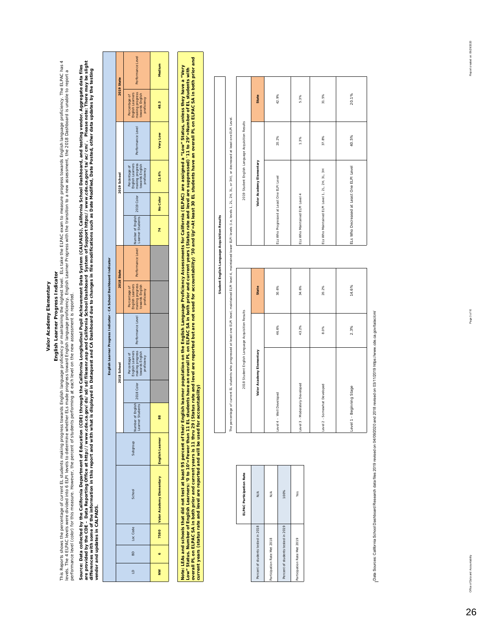## **English Learner Progress Indicator**

**English** and the percentage of current EL students making progress towards Englis**h Learner Progress I ndicator**<br>levels. The 4 ELPAC levels were divided into 6 ELPI levels to determine the Eugency of malitation the state This Reports shows the percentage of current EL students making progress towards English language progress towards and the ELPAC exam to measure progress towards English language proficiency. The ELPAC has 4 evels. The 4 ELPAC levels were divided into 6 ELPI levels to determine whether ELs made progress toward English Learner Progress with the transition to a new assessment, the 2018 Dashboard is unable to report a performance level (color) for this measure. However, the percent of students performing at each level on the new assessment is reported.

Source: Data collected by the California Department of Education (CDE) through the California Dupliudinal Pupil Achievement Data System (CALPADS), California School Dashboard, and testing vendor. Aggregate data files<br>are p *are provided by the CDE – Data Reporting Office at http://www.cde.ca.gov/ds/sd/sd/filesenr.asp and California School Dashboard System of Support https://www.cde.ca.gov/ta/ac/cm/. Please note: There may be slight*  Source: Data collected by the California Department of Education (CDE) through the California Longitudinal Pupil Achievement Data System (CALPADS), California School Dashboard, and testing vendor. Aggregate data files differences with some of the information in this report and with what is displayed in Dataquest and CA Dashboard due to changes in file modifications such as Date Modified, Date Posted other data updates by the testing *vendor and updates in CALPADS.* 

| 2019 State                                                         | Performance Level                                                                      | Medium                                        |
|--------------------------------------------------------------------|----------------------------------------------------------------------------------------|-----------------------------------------------|
|                                                                    | making progress<br>English Learners<br>towards English<br>Percentage of<br>proficiency | 48.3                                          |
|                                                                    | Performance Level                                                                      | Very Low                                      |
| 2019 School                                                        | making progress<br>towards English<br>Percentage of<br>English Learners<br>proficiency | 21.6%                                         |
|                                                                    |                                                                                        | No Color                                      |
|                                                                    |                                                                                        | 74                                            |
| 2018 State                                                         | Performance Level Number of English 2019 Color                                         |                                               |
| English Learner Progress Indicator - CA School Dashboard Indicator | making progress<br>towards English<br>English Learners<br>Percentage of<br>proficiency |                                               |
|                                                                    | Performance Level                                                                      |                                               |
| 2018 School                                                        | making progress<br>towards English<br>English Learners<br>Percentage of<br>proficiency |                                               |
|                                                                    | 2018 Color                                                                             |                                               |
|                                                                    | Jumber of English<br>Learner Students                                                  | 88                                            |
|                                                                    | dno.foqne                                                                              |                                               |
|                                                                    | School                                                                                 | 7580 Valor Academy Elementary English Learner |
|                                                                    | Loc Code                                                                               |                                               |
|                                                                    | 9                                                                                      | o                                             |
|                                                                    | $\overline{a}$                                                                         | Š                                             |

lwoe: LEAs and schools that did not test at least 95 percent of their English learner population on the English Language Proficiency Assessments for California (ELPAC) are assigned a "Low" Status, unless they have a "Very overall PL on ELPAC SA in both prior and current years is 11 thru 29 (Status rate and level are reported but are not used for accountability) '30 and Up'=At least 30 EL students have an overall PL on ELPAC SA in both prior Note: LEAs and schools that did not test at least 95 percent of their English learner population on the English Language Proficiency Assessments for California (ELPAC) are assigned a "Low" Status, unless they have a "Very **Low" Status. Number of English Learners: '0 to 10'=Fewer than 11 EL students have an overall PL on ELPAC SA in both prior and current years (Status rate and level are suppressed) '11 to 29'=Number of EL students with current years (status rate and level are reported and will be used for accountability)** 

**Student English Language Acquisition Results**

Student English Language Acquisition Results

|                                    | ELPAC Participation Rate |
|------------------------------------|--------------------------|
| Percent of students tested in 2018 | $\frac{4}{2}$            |
| Participation Rate Met 2018        | N/A                      |
| Percent of students tested in 2019 | 100%                     |
| Participation Rate Met 2019        | Yes                      |

|                                                   |       |       | The percentage of current EL students who progressed at least one ELPI level, maintained ELPI lewers CIPI levels (i.e., levels 1, 2L, 2H, 3L, or 3H), or decreased at least one ELPI Level. |       |              |
|---------------------------------------------------|-------|-------|---------------------------------------------------------------------------------------------------------------------------------------------------------------------------------------------|-------|--------------|
| 2018 Student English Language Acquisition Results |       |       | 2019 Student English Language Acquisition Results                                                                                                                                           |       |              |
| Valor Academy Elementary                          |       | State | Valor Academy Elementary                                                                                                                                                                    |       | <b>State</b> |
| Level 4 - Well Developed                          | 46.6% | 30.6% | ELs Who Progressed at Least One ELPI Level                                                                                                                                                  | 20.2% | 42.99        |
| Level 3 - Moderately Developed                    | 43.2% | 34.6% | ELS Who Maintained ELPI Level 4                                                                                                                                                             | 1.3%  | 5.3%         |
| Level 2 - Somewhat Developed                      | 8.0%  | 20.2% | ELs Who Maintained ELPI Level 1, 2L, 2H, 3L, 3H                                                                                                                                             | 37.8% | 31.59        |
| Level 1 - Beginning Stage                         | 2.3%  | 14.6% | ELS Who Decreased at Least One ELPI Level                                                                                                                                                   | 40.5% | 20.19        |
|                                                   |       |       |                                                                                                                                                                                             |       |              |

42.9%

State

5.3%

31.5%

20.1%

Data Sources: California School Dashboard Research data files 2019 revised on 04/09/2020 and 2018 revised on 03/11/2019 https://www.cde.ca.gov/talac/cm/ Data Sources: California School Dashboard Research data files 2019 revised on 04/09/2020 and 2018 revised on 03/11/2019 https://www.cde.ca.gov/ta/ac/cm/

26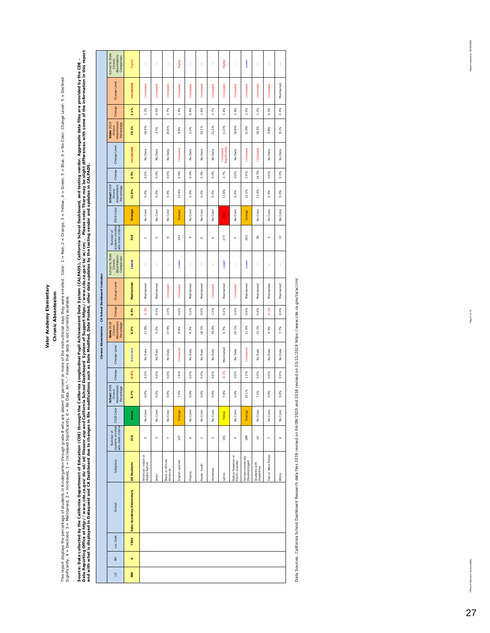### **Chronic Absenteeism Chronic Absenteeism**

This report displays the percentage of students in Khodergarten through grade is awn a end as the instructional days they were enrolled. Color: 1 = Red, 2 = Vellow, 4 = Green, 5 = Blue, 0 = No Color. Change Level: 5 = Decl This report displays the parten through grade 8 who are absent 10 percent or more of the instructional days they were enrolled. Color: 1 = Red, 2 = Orange, 3 = Yellow, 4 = Green, 5 = Blue, 0 = No Color. Change Level: 5 = Significantly, 4 = Declined, 3 = Maintained, 2 = Increased, 1 = Increased Significantly, 0 = No Data. An "--" means that data is not currently available.

Source: Data collected by the California Department of Education (CDE) through the Collomia Pupil Achievement Data System (CALPADS), California School Dashboard, and testing vendor. Aggregate data files are provided by the Data Reporting Office at http://www.cde.ca.gov/ds/sd/sd/filesem:asp and California School Dashbool Dashboot Dashboot https://www.cde.ca.gov/ta/ac/cr/... Please note: There may be slight differences with some of the informa Source: Data collected by the Calucation (CDE) thre California Longitudinal Pupil Achievement Data System (CALPADS), California School Dashboard, and testing vendor. Aggregate data files are provided by the CDE – *and with what is displayed in Dataquest and CA Dashboard due to changes in file modifications such as Date Modified, Date Posted, other data updates by the testing vendor and updates in CALPADS.* 

 $\overline{\phantom{a}}$ 

|                                                            |                                                                                                                                                                                     | ł                                   | t                     | t                            |                  | t                   | t            | t               |                            | ł                                      |                                    | ł                             | ł                                                                 | t                              |
|------------------------------------------------------------|-------------------------------------------------------------------------------------------------------------------------------------------------------------------------------------|-------------------------------------|-----------------------|------------------------------|------------------|---------------------|--------------|-----------------|----------------------------|----------------------------------------|------------------------------------|-------------------------------|-------------------------------------------------------------------|--------------------------------|
|                                                            |                                                                                                                                                                                     |                                     |                       |                              |                  |                     |              |                 |                            |                                        |                                    |                               |                                                                   |                                |
|                                                            |                                                                                                                                                                                     |                                     |                       |                              |                  |                     |              |                 |                            |                                        |                                    |                               |                                                                   | Maintained                     |
| Change                                                     | 1.1%                                                                                                                                                                                | 1.2%                                | 0.5%                  | 2.7%                         | 1.4%             | 0.9%                | 1.6%         | 1.7%            | 1.4%                       | 2.8%                                   | $5\%$                              | 1.2%                          | 0.5%                                                              | 0.3%                           |
| Absenteelsm<br><b>State 2019</b><br>Percentage<br>Chronic  | 10.1%                                                                                                                                                                               | 18.9%                               | 3.7%                  | 20.6%                        | 9.9%             | 5.2%                | 20.1%        | 21.1%           | 0%<br>F                    | 18.8%                                  | 12.9%                              | 16.3%                         | 9.8%                                                              | 8.1%                           |
| Change Level                                               | <b>Increased</b>                                                                                                                                                                    | No Data                             | Data<br>$\frac{6}{2}$ | No Data                      | Increased        | No Data             | No Data      | No Data         | Increased<br>Significantly | No Data                                | Increased                          | Increased                     | No Data                                                           | No Data                        |
| Change                                                     | 2.3%                                                                                                                                                                                | 0.0%                                | 0.0%                  | 0.0%                         | 2.9%             | 0.0%                | 0.0%         | 0.0%            | 3.7%                       | 0.0%                                   | 2.0%                               | 14.3%                         | 0.0%                                                              | 0.0%                           |
| School 2019<br>Absenteelsm<br>Percentage<br>Chronic        | 11.0%                                                                                                                                                                               | 0.0%                                | 0.0%                  | 0.0%                         | 10.4%            | 0.0%                | 0.0%         | 0.0%            | 11.6%                      | 0.0%                                   | 12.1%                              | 21.4%                         | 0.0%                                                              | 0.0%                           |
| 2019 Color                                                 | Orange                                                                                                                                                                              | No Color                            | No Color              | No Color                     | Orange           | No Color            | No Color     | No Color        | <u>Red</u>                 | No Color                               | Orange                             | No Color                      | No Color                                                          | No Color                       |
| Number of                                                  | 318                                                                                                                                                                                 | $\sim$                              | io.                   | o                            | 144              | o                   | $\circ$      | in,             | 277                        | $\circ$                                | 265                                | 28                            | $\mathfrak{m}$                                                    | $\frac{1}{2}$                  |
| School to State<br>Absenteelsm<br>Comparison<br>Chronic    | Lower                                                                                                                                                                               | ł                                   | ţ.                    | t                            | Lower            | t                   | t            | t               | Lower                      | ŧ                                      | Lower                              | t                             | ł                                                                 | t                              |
| Change Level                                               | Maintained                                                                                                                                                                          | Maintained                          | Maintained            | increased                    | Increased        | Maintained          | Maintained   | increased       | Maintained                 | increased                              | Maintained                         | Maintained                    | Maintained                                                        | Maintained                     |
| Change                                                     | 0.3%                                                                                                                                                                                | $-0.3%$                             | 0.3%                  | O%                           | 0.6%             | 0.2%                | 0.0%         | 1.2%            | 0.4%                       | 2.0%                                   | 0.4%                               | 0.4%                          | $-0.2%$                                                           | 0.0%                           |
| Absenteelsm<br><b>State 2018</b><br>Percentage<br>Chronic  | 9.0%                                                                                                                                                                                | 17.8%                               | 3.2%                  | 17.9%                        | 8.6%             | 4.3%                | 18.5%        | 19.4%           | 9.7%                       | 16.1%                                  | 11.4%                              | 15.1%                         | 9.3%                                                              | 7.7%                           |
| Change Level                                               | Declined                                                                                                                                                                            | Data<br>$\frac{1}{2}$               | No Data               | No Data                      | <b>Increased</b> | No Data             | Data<br>å    | No Data         | Maintained                 | No Data                                | increased                          | Data<br>$\frac{1}{2}$         | No Data                                                           | No Data                        |
| Change                                                     | $-0.6%$                                                                                                                                                                             | 0.0%                                | 0.0%                  | 0.0%                         | 1.6%             | 0.0%                | 0.0%         | 0.0%            | $-0.1%$                    | 0.0%                                   | 1.2%                               | 0.0%                          | 0.0%                                                              | 0.0%                           |
| <b>School</b> 2018<br>Chronic<br>Absenteelsm<br>Percentage | 8.7%                                                                                                                                                                                | 0.0%                                | 0.0%                  | 0.0%                         | 7.5%             | 0.0%                | 0.0%         | 0.0%            | 7.9%                       | 0.0%                                   | 10.1%                              | 7.1%                          | 0.0%                                                              | 0.0%                           |
|                                                            | Green                                                                                                                                                                               | No Color                            | No Color              | No Color                     | Orange           | No Color            | No Color     | No Color        | Yellow                     | No Color                               | Orange                             | No Color                      | No Color                                                          | No Color                       |
|                                                            | 218                                                                                                                                                                                 | $\circ$                             | $\omega$              |                              |                  |                     |              |                 |                            |                                        |                                    |                               | $\overline{ }$                                                    | q                              |
|                                                            |                                                                                                                                                                                     |                                     |                       |                              |                  |                     | r            |                 |                            |                                        |                                    |                               |                                                                   |                                |
| Subgroup                                                   |                                                                                                                                                                                     |                                     |                       |                              |                  |                     |              | <b>tomeless</b> |                            |                                        |                                    |                               |                                                                   |                                |
| School                                                     | All Students                                                                                                                                                                        | American Indian or<br>Alaska Native | Aslan                 | Black or African<br>American | English Learner  | Filipino            | Foster Youth |                 | Latino                     | Native Hawaiian or<br>Pacific Islander | Socioeconomically<br>Disadvantaged | Students with<br>Disabilities | Two or More Races                                                 | White                          |
| Loc Code                                                   | Valor Academy Elementary<br>7580                                                                                                                                                    |                                     |                       |                              |                  |                     |              |                 |                            |                                        |                                    |                               |                                                                   |                                |
| BD                                                         | ¢                                                                                                                                                                                   |                                     |                       |                              |                  |                     |              |                 |                            |                                        |                                    |                               |                                                                   |                                |
|                                                            | School to State<br>Absenteelsm<br>Comparison<br>Chronic<br>Change Level<br>students enrolled<br>who meet criteria<br>students enrolled 2018 Color<br>who meet criteria<br>Number of | Higher<br><b>Increased</b>          | Increased             | Increased                    | <b>Increased</b> | Higher<br>Increased | Increased    | Increased       | Increased                  | Higher<br>Increased                    | Increased                          | Lower<br><b>Increased</b>     | <b>Increased</b><br>189<br>결<br>$\sim$<br>$\circ$<br>r<br>$\circ$ | <b>Increased</b><br>107<br>191 |

Data Sources: California School Dashboard Research data files 2019 revised on 04/09/2020 and 2018 revised on 03/11/2019 https://www.cde.ca.gov/ta/ac/cm/ Data Sources: California School Dashboard Research data files 2019 revised on 04/09/2020 and 2018 revised on 03/11/2019 https://www.cde.ca.gov/ta/ac/cm/

Report created on: 09/29/2020

Office of Data and Accountability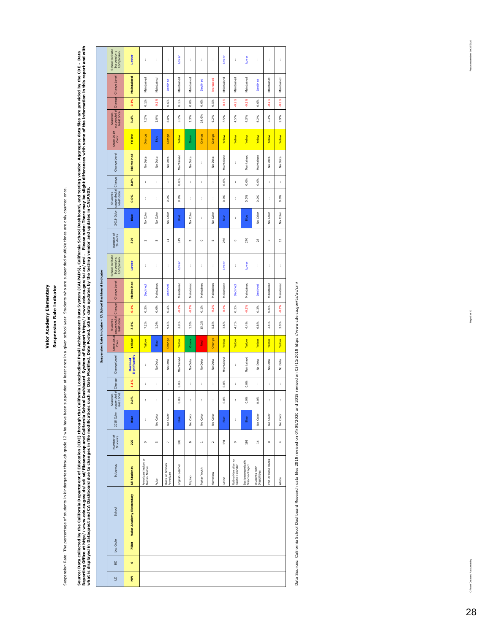Valor Academy Elementary Suspension Rate Indicator **Valor Academy Elementary**

**Suspension Rate Indicator**

Suspension Rate: The percentage of students in kindergarten through grade 12 who have been suspended at least once in a given school year. Students who are suspended multiple times are only counted once. Suspension Rate: The percentage of students in kindergarten through grade 12 who have been suspended at least once in a given schod year. Students who are suspended multiple times are only counted once. Source: Data collected by the California Department of Education (CDE) through the Collectional Pupil Achievement Data System (CALPADS), California School Dashboard, and testing vendor. Aggregate data files are provided by Reporting Office at http://www.cde.ca.gov/ds/sd/filesenr.asp and California School Dashboard System of System of System of System of System of System of System of System of Dashboard System of Dashboard System of Dashboard Source: Data over the California Department of Education (CDE) through the California Longitudinal Pupil Achievement Data System (CALPADS), California School Dashboard, and testing vendor. Aggregate data files are provided *what is displayed in Dataquest and CA Dashboard due to changes in file modifications such as Date Modified, Date Posted, other data updates by the testing vendor and updates in CALPADS.* 

|                                                           | School to State<br>Suspensions<br>Comparison     | Lower                     | t                                   | t          | ł                            | Lower           | ł                     | t                     | t          | Lower       | t                                      | Lower                              | t                             | ł                     | t             |
|-----------------------------------------------------------|--------------------------------------------------|---------------------------|-------------------------------------|------------|------------------------------|-----------------|-----------------------|-----------------------|------------|-------------|----------------------------------------|------------------------------------|-------------------------------|-----------------------|---------------|
|                                                           | Change Level                                     | Maintained                | Maintained                          | Maintained | Declined                     | Maintained      | Maintained            | <b>Declined</b>       | Increased  | Maintained  | Maintained                             | Maintained                         | <b>Declined</b>               | Maintained            | Maintained    |
|                                                           |                                                  | $-0.1%$                   | 0.1%                                | $-0.1%$    | 0.6%                         | 0.1%            | $0.0\%$               | 0.6%                  | 0.5%       | $-0.1%$     | $-0.2%$                                | $-0.1%$                            | 0.6%                          | $-0.1%$               | $-0.2%$       |
|                                                           | suspended at Change<br>least once<br>Students    | 3.4%                      | 7.2%                                | 1.0%       | 8.8%                         | 3.1%            | 1.3%                  | 14.6%                 | 6.2%       | 3.5%        | 4.5%                                   | 4.3%                               | 6.2%                          | 3.3%                  | 2.9%          |
|                                                           | State 2019<br>Color                              | <b>Yellow</b>             | Orange                              | Blue       | Orange                       | Yellow          | Green                 | Orange                | Orange     | Yellow      | Yellow                                 | Yellow                             | Yellow                        | Yellow                | Yellow        |
|                                                           | Change Level                                     | Maintained                | No Data                             | No Data    | No Data                      | Maintained      | No Data               | t                     | No Data    | Maintained  | t                                      | Maintained                         | Maintained                    | No Data               | No Data       |
|                                                           | Change                                           | 0.0%                      | t                                   | ł          | t                            | 0.0%            | t                     | t                     | t          | 0.0%        | t                                      | $0.0\%$                            | 0.0%                          | t                     | t             |
|                                                           | suspended at<br>least once<br>Students           | 0.0%                      | t                                   | t          | 0.0%                         | 0.0%            | t                     | t                     | t          | 0.0%        | t                                      | $0.0\%$                            | 0.0%                          | ł                     | 0.0%          |
|                                                           | 2019 Color                                       | Blue                      | No Color                            | No Color   | No Color                     | Blue            | No Color              | t                     | No Color   | <b>Blue</b> | t                                      | Blue                               | No Color                      | No Color              | No Color      |
|                                                           | Number of<br>Students                            | 329                       | $\sim$                              | in,        | Ξ                            | 149             | o                     | $\circ$               | in,        | 286         | $\circ$                                | 270                                | 28                            | $\omega$              | $\frac{3}{2}$ |
|                                                           | School to State<br>Suspensions<br>Comparison     | Lower                     | t                                   | t          | t                            | Lower           | ł                     | t                     | t          | Lower       | t                                      | Lower                              | t                             | ł                     | t             |
| Suspension Rate Indicator - CA School Dashboard Indicator | Change Level                                     | Maintained                | Declined                            | Maintained | Declined                     | Maintained      | Maintained            | Maintained            | Maintained | Maintained  | Declined                               | Maintained                         | <b>Declined</b>               | Maintained            | Maintained    |
|                                                           | Change                                           | $-0.1%$                   | $0.3\%$                             | 0.0%       | 0.4%                         | $-0.1%$         | $-0.1%$               | $1\%$<br>ó            | $-0.1%$    | $-0.1%$     | 0.3%                                   | $-0.2%$                            | 0.3%                          | 0.0%                  | $-0.1%$       |
|                                                           | suspended at<br>least once<br>Students           | 3.5%                      | 7.2%                                | 1.0%       | 9.4%                         | 3.0%            | 1.3%                  | 15.2%                 | 5.6%       | 3.6%        | 4.7%                                   | 4.4%                               | 6.8%                          | 3.4%                  | 3.0%          |
|                                                           | <b>State 2018</b><br>Color                       | Yellow                    | Yellow                              | Blue       | Orange                       | Yellow          | Green                 | Red                   | Orange     | Yellow      | Yellow                                 | <b>Yellow</b>                      | Yellow                        | Yellow                | Yellow        |
|                                                           | Change Level                                     | Declined<br>Significantly | t                                   | No Data    | Data<br>$\frac{1}{2}$        | Maintained      | Data<br>$\frac{1}{2}$ | Data<br>$\frac{0}{2}$ | No Data    | Maintained  | ţ                                      | Maintained                         | Data<br>$\frac{1}{2}$         | Data<br>$\frac{1}{2}$ | No Data       |
|                                                           |                                                  | $-1.1%$                   | t                                   | t          | ť                            | 0.0%            | t                     | t                     | t          | 0.0%        | t                                      | 0.0%                               | ţ.                            | t                     | t             |
|                                                           | suspended at Change<br>once<br>Students<br>least | 0.0%                      |                                     |            |                              | 0.0%            |                       |                       |            | 0.0%        |                                        | 0.0%                               | 0.0%                          |                       |               |
|                                                           | 2018 Color                                       | Blue                      | ł                                   | No Color   | No Color                     | Blue            | No Color              | No Color              | No Color   | Blue        | t                                      | Blue                               | No Color                      | No Color              | No Color      |
|                                                           | Number of<br>Students                            | 222                       | $\circ$                             | $\infty$   | r,                           | 108             | ¢                     | $\overline{a}$        | $\sim$     | 194         | $\circ$                                | 193                                | $\frac{4}{1}$                 | $\infty$              | 4             |
|                                                           | Subgroup                                         | All Students              | American Indian or<br>Alaska Native | Aslan      | Black or African<br>American | English Learner | Filipino              | Foster Youth          | tomeless   | Latino      | Native Hawailan or<br>Pacific Islander | Socioeconomically<br>Disadvantaged | Students with<br>Disabilities | Two or More Races     | White         |
|                                                           | School                                           | Valor Academy Elementary  |                                     |            |                              |                 |                       |                       |            |             |                                        |                                    |                               |                       |               |
|                                                           | Loc Code                                         | 7580                      |                                     |            |                              |                 |                       |                       |            |             |                                        |                                    |                               |                       |               |
|                                                           | BD                                               | o                         |                                     |            |                              |                 |                       |                       |            |             |                                        |                                    |                               |                       |               |
|                                                           | $\Xi$                                            | $\geq$                    |                                     |            |                              |                 |                       |                       |            |             |                                        |                                    |                               |                       |               |

Data Sources: California School Dashboard Research data files 2019 revised on 04/09/2020 and 2018 revised on 03/11/2019 https://www.cde.ca.gov/ta/ac/cm/ Data Sources: California School Dashboard Research data files 2019 revised on 04/09/2020 and 2018 revised on 03/11/2019 https://www.cde.ca.gov/ta/ac/cm/

Report created on: 09/29/2020

Office of Data and Accountability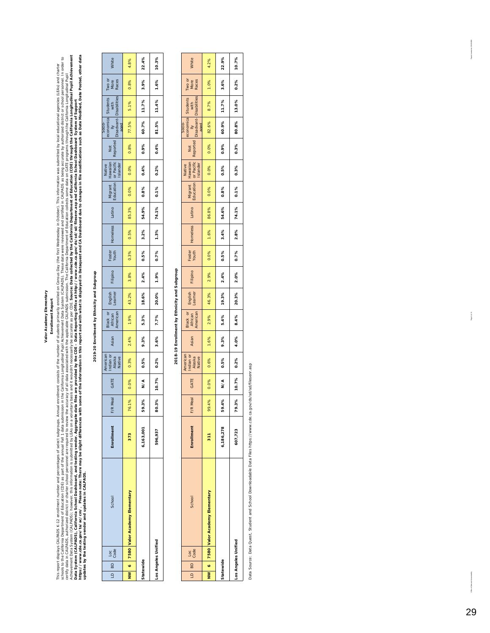#### **Enrollment Report Enrollment Report**

This mperi displays CLPADS K-72 emplinent number and perceptional sequents of the internal perception of the first Wednesslop. This information was submitted by local educational agencies (LES) and character<br>of the submode *Source: Data collected by the California Department of Education (CDE) through the California Longitudinal Pupil Achievement*  https://www.cde.ca.gov/ta/ac/cm/. Please note: There may be slight differences with some of the information in this report and with what is displayed in Dataquest and CA Dashboard due to changes in file modifications such schools to the Californian of the annual fall 1 data submission in the California Longitudinal Pupil Achievement (CALPADS). These data were reviewed and certified in CALPADS as being accurate by authorized district or scho This report displays CALPADSK-12 enrollment number subgroups. Annual enrollment consists of the number of students primarily enrolled on Census Day (the first Wednesday in October). This information was submitted by local certly data in CALPADS, authorized district or required to review the accurace to fall data associated with the applicable CALPADS submission. The California of Bepartment of Education collects some data on GATE programs t Data System (CALPADS), California Schoold, and testing vendor. Aggregate data files are provided by the CDE – Data Reporting Office at http://www.cde.ca.gov/ds/sd/silesenr.asp and California Schoold Sasthoard System of Sup Achievement Data System (CALPADS); however, this information is submitted by LEAs on a voluntary basis and it wouldn't necessarily be accurate as per CDE. *updates by the testing vendor and updates in CALPADS.* 

## 2019-20 Enrollment by Ethnicity and Subgroup **2019-20 Enrollment by Ethnicity and Subgroup**

| $\frac{1}{2}$<br>$\overline{a}$ | School<br>Loc<br>Code              | <b>Enrollment</b> | lea<br>F/R I | GATE          | American<br>Indian or<br>Alaska<br>Native | Asian | Black or<br>African<br>American | English<br>Learner | Filipino | Foster<br>Youth | Homeless | Latino | Migrant<br>Education | Native<br>Hawaiian<br>or Pacific<br>Islander | Not<br>Reported | Socio-<br>aged | economica Students Two or<br>Ily with More<br>Disadvant-Disabilities Races |      | White |
|---------------------------------|------------------------------------|-------------------|--------------|---------------|-------------------------------------------|-------|---------------------------------|--------------------|----------|-----------------|----------|--------|----------------------|----------------------------------------------|-----------------|----------------|----------------------------------------------------------------------------|------|-------|
|                                 | NW 6 7580 Valor Academy Elementary | 373               | 76.1%        | 0.0%          | 0.3%                                      | 2.4%  | 1.9%                            | 43.2%              | 3.8%     | 0.3%            | 0.5%     | 85.3%  | 0.0%                 | 0.0%                                         | 0.8%            | 77.5%          | 5.1%                                                                       | 0.8% | 4.8%  |
| Statewide                       |                                    | 6,163,001         | ઙ઼<br>59.3   | $\frac{4}{5}$ | 0.5%                                      | 9.3%  | 5.3%                            | 18.6%              | 2.4%     | 0.5%            | 3.2%     | 54.9%  | 0.8%                 | 0.4%                                         | 0.9%            | 60.7%          | 11.7%                                                                      | 3.9% | 22.4% |
|                                 | Los Angeles Unified                | 596,937           | 80.3%        | 10.7%         | 0.2%                                      | 3.6%  | 7.7%                            | 20.0%              | 1.9%     | 0.7%            | 1.3%     | 74.1%  | 0.1%                 | 0.2%                                         | 0.4%            | 81.5%          | 11.4%                                                                      | 1.6% | 10.3% |
|                                 |                                    |                   |              |               |                                           |       |                                 |                    |          |                 |          |        |                      |                                              |                 |                |                                                                            |      |       |

## 2018-19 Enrollment by Ethnicity and Subgroup **2018-19 Enrollment by Ethnicity and Subgroup**

| <b>GB</b> OT | Loc<br>Code         | School                             | <b>Enrollment</b> | Vleal<br>F/R | GATE    | American<br>Indian or<br>Alaska<br>Native | Asian | Black or<br>African<br>American | English<br>Learner | Filipino | Foster<br>Youth | Homeless | Latino | Migrant<br>Education | Native<br>Hawaiian<br>or Pacific<br>Islander | Not<br>Reported | economica Students<br>Ily with<br>Disadvant-Disabilities<br>Socio-<br>aged |       | Two or<br>More<br>Races | White |
|--------------|---------------------|------------------------------------|-------------------|--------------|---------|-------------------------------------------|-------|---------------------------------|--------------------|----------|-----------------|----------|--------|----------------------|----------------------------------------------|-----------------|----------------------------------------------------------------------------|-------|-------------------------|-------|
|              |                     | NW 6 7580 Valor Academy Elementary | $\frac{1}{3}$     | 99.4%        | 0.0%    | 0.6%                                      | 1.6%  | 2.9%                            | 46.3%              | 2.9%     | 0.0%            | 1.6%     | 86.8%  | 0.0%                 | 0.0%                                         | 0.0%            | 82.6%                                                                      | 8.7%  | 1.0%                    | 4.2%  |
| Statewide    |                     |                                    | 6,186,278         | 59.4%        | ∧<<br>N | 0.5%                                      | 9.3%  | 5.4%                            | 19.3%              | 2.4%     | 0.5%            | 3.4%     | 54.6%  | 0.8%                 | 0.5%                                         | 0.9%            | 60.9%                                                                      | 11.7% | 3.6%                    | 22.9% |
|              | Los Angeles Unified |                                    | 607,723           | 79.3%        | 10.7%   | 0.2%                                      | 4.0%  | 8.4%                            | 20.3%              | 2.0%     | 0.7%            | 2.8%     | 74.1%  | 0.1%                 | 0.3%                                         | 0.3%            | 80.8%                                                                      | 13.0% | 0.2%                    | 10.7% |
|              |                     |                                    |                   |              |         |                                           |       |                                 |                    |          |                 |          |        |                      |                                              |                 |                                                                            |       |                         |       |

Data Source: Data Quest, Student and School Downloadable Data Files https://www.cde.ca.gov/ds/sd/sd/filesenr.asp Data Source: Data Quest, Student and School Downloadable Data Files https://www.cde.ca.gov/ds/sd/sd/filesenr.asp 3026200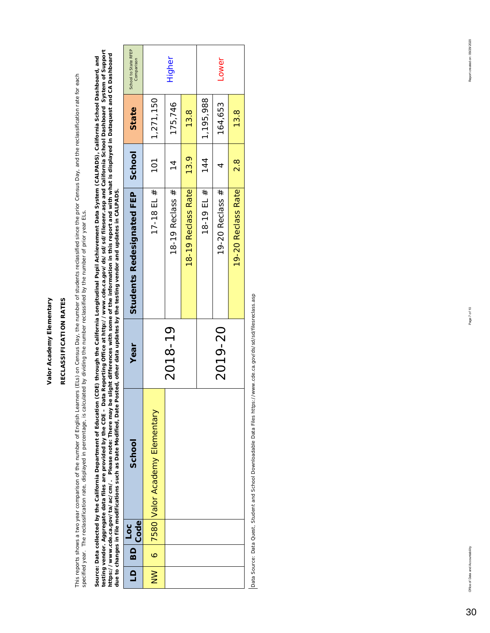## RECLASSIFICATION RATES **RECLASSIFICATION RATES**

This reports shows a two year comparison of the number of English Learners (ELs) on Census Day, the number of students reclassified since the reclassification rate for each This reports shows a two year comparison of the number of English Learners (ELs) on Census Day, the number of students reclassified since the prior Census Day, and the reclassification rate for each specified year. The reclassification rate, displayed in percentage, is calculated by dividing the number reclassified by the number of prior year ELs. specified year. The reclassification rate, displayed in percentage, is calculated by dividing the number reclassified by the number of prior year ELs.

*testing vendor. Aggregate data files are provided by the CDE – Data Reporting Office at http://www.cde.ca.gov/ds/sd/sd/filesenr.asp and California School Dashboard System of Support*  Source: Data collected by the California Department of Education (CDE) through the California Longitudinal Pupil Achievement Data System (CALPADS), California School Dashboard, and<br>testing vendor. Aggregate data files are *https://www.cde.ca.gov/ta/ac/cm/. Please note: There may be slight differences with some of the information in this report and with what is displayed in Dataquest and CA Dashboard Source: Data collected by the California Department of Education (CDE) through the California Longitudinal Pupil Achievement Data System (CALPADS), California School Dashboard, and due to changes in file modifications such as Date Modified, Date Posted, other data updates by the testing vendor and updates in CALPADS.* 

| LD BD | Loc<br>Code | School                          | Year    | Students Redesignated FEP   School |               | State     | School to State RFEP<br>Comparison |
|-------|-------------|---------------------------------|---------|------------------------------------|---------------|-----------|------------------------------------|
|       |             | 6 7580 Valor Academy Elementary |         | 17-18 EL $#$                       | 101           | 1,271,150 |                                    |
|       |             |                                 | 2018-19 | 18-19 Reclass $#$                  | $\frac{4}{1}$ | 175,746   | <b>Higher</b>                      |
|       |             |                                 |         | 18-19 Reclass Rate                 | 13.9          | 13.8      |                                    |
|       |             |                                 |         | 18-19 EL #                         | 144           | 1,195,988 |                                    |
|       |             |                                 | 2019-20 | 19-20 Reclass #                    |               | 164,653   | Lower                              |
|       |             |                                 |         | 19-20 Reclass Rate                 | $\frac{8}{2}$ | 13.8      |                                    |

Data Source: Data Quest, Student and School Downloadable Data Files https://www.cde.ca.gov/ds/sd/sd/filesreclass.asp Data Source: Data Quest, Student and School Downloadable Data Files https://www.cde.ca.gov/ds/sd/sd/filesreclass.asp

30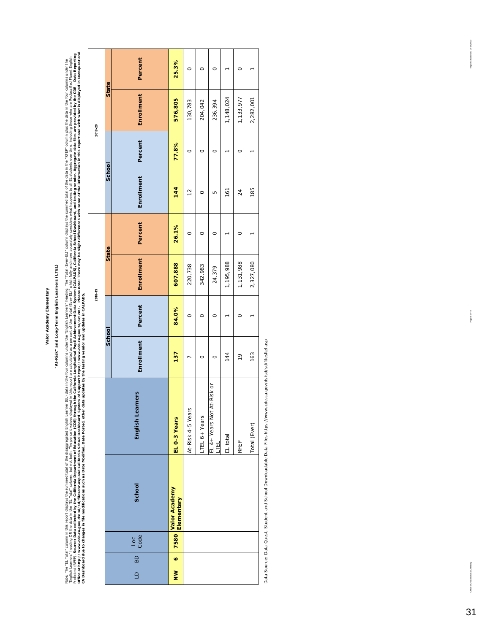## "At-Risk" and Long-Term English Learners (LTEL) **"At-Risk" and Long-Term English Learners (LTEL)**

ikae: The "ELTopi" count in the started that the disagrospect Engine Logins Late for the "Engine The "The Started Started Started The Started The Theorem in the Started Theorem in the Car columns the started the started of 01flee at http://www.cde.ca.gov/ds/sd/fileomia School Dashbord in disclusion in the System of System of System of System of System of System of System of System of System and Dataquest and<br>01flee at http://www.cda.gov/disc Policient (RFEP). Source: Data collected by the Salfonia Dopen the Calfornia Longitudinal Pupil Achievement Data System (CALPADS), California Sehooard, and testing vendor. Aggregate data files are provided by the CDE - Dat English Learners" headta in the "EL Total" out the percent values displayed in this report one calculated as a percent of the "Total (Ever-EL)" which and more accurately considers what happens to all EL students over time, Note: The "EL Total" column in this reported distants of the distagregated English Learner (EL) data in the forgish Learners' heading. The "Total (Ever-EL)" column displays the data in the 'RFEP' column plus the data in th *CA Dashboard due to changes in file modifications such as Date Modified, Date Posted, other data updates by the testing vendor and updates in CALPADS.* 

|                  |           |             |                                  |                                    |               |         | 2018-19    |         |               | 2019-20 |              |         |
|------------------|-----------|-------------|----------------------------------|------------------------------------|---------------|---------|------------|---------|---------------|---------|--------------|---------|
|                  |           |             |                                  |                                    | School        |         | State      |         | School        |         | <b>State</b> |         |
| $\triangleq$     | BD        | Loc<br>Code | School                           | English Learners                   | Enrollment    | Percent | Enrollment | Percent | Enrollment    | Percent | Enrollment   | Percent |
| $\sum_{i=1}^{n}$ | $\bullet$ |             | 7580 Valor Academy<br>Elementary | EL 0-3 Years                       | 137           | 84.0%   | 607,888    | 26.1%   | 144           | 77.8%   | 576,805      | 25.3%   |
|                  |           |             |                                  | At-Risk 4-5 Years                  |               | $\circ$ | 220,738    | $\circ$ | $\frac{2}{3}$ | $\circ$ | 130,783      | $\circ$ |
|                  |           |             |                                  | LTEL 6+ Years                      | $\circ$       | 0       | 342,983    | $\circ$ | $\circ$       | 0       | 204,042      | 0       |
|                  |           |             |                                  | EL 4+ Years Not At-Risk or<br>LTEL | 0             | O       | 24,379     | O       | Б             | O       | 236,394      | O       |
|                  |           |             |                                  | EL total                           | 144           |         | 1,195,988  |         | 161           |         | 1,148,024    |         |
|                  |           |             |                                  | RFEP                               | $\frac{6}{1}$ | 0       | 1,131,988  | 0       | 24            | 0       | 1,133,977    | 0       |
|                  |           |             |                                  | Total (Ever)                       | 163           |         | 2,327,080  |         | 185           |         | 2,282,001    |         |

Data Source: Data Quest, Student and School Downloadable Data Files https://www.cde.ca.gov/ds/sd/filesltel.asp Data Source: Data Quest, Student and School Downloadable Data Files https://www.cde.ca.gov/ds/sd/sd/filesltel.asp Report or eated on: 09/29/2020

ability

fice of Data and A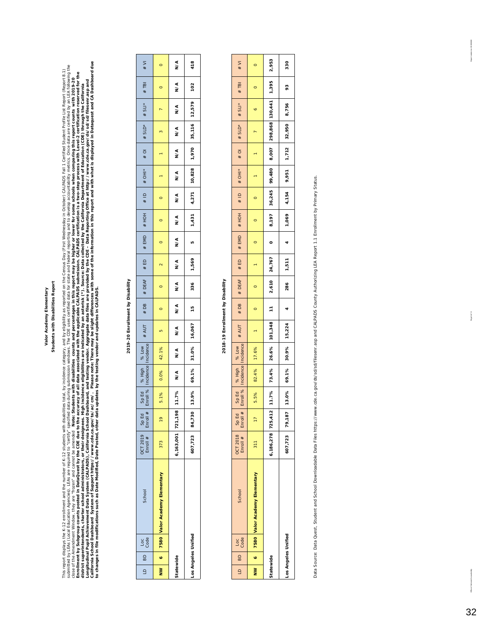#### Students with Disabilities Report **Students with Disabilities Report** Valor Academy Elementary **Valor Academy Elementary**

This report displays the K-12 empliment and the number of K-12 students with disabilities total, by incidence category, and by eightilty as reported on the Census Day (First Wednesday in October) CALPADS Fall 1 Certified S California School Dashboard System of Support https://www.cde.ca.gov/te.ca.gov/te.a/ac/cm/. Please note: There may be slight differences with some of the information in this report and with what is displayed in Dataquest a submitted by LEAs are required to "certify" specified data during submission windows. The CDE uses certified data for state and federal reporting and to develop andritiv, Once data are certified by an LEA following the This report displays the number of K-12 students with disabilities total, by incidence category, and by eligibility as reported on the Census Day (First Wedray in Odober) CALPADS Fall 1 Certified Streport Report 8.1) Enrollment by Subgroup counts posted in DataQuest by the CDE due to the accurace to the accurace associated with the applicable CALPADS submission. CALPADS certification is a two-step process with Level-2 certification res  *Note: Students with disabilities counts and percentages in this report may be higher or lower for some schools when comparing this report counts with 2019-20*  Longitudinal Pupil Achievement Data System (CALPADS), California School Dashboard, and testing vendor. Aggregate data files are provided by the CDE – Data Reporting Office at http://www.cde.ca.gov/ds/sd/filesenr.asp and district superintendents, charter school administrators, or their designees. High incidence eligibilities are indicated by an asterisk (\*). Source: Data collected by the California Department of Education (CDE) through the *to changes in file modifications such as Date Modified, Date Posted, other data updates by the testing vendor and updates in CALPADS.*  close of the Amendment Window, they are "frozen" and cannot be amended

## 2019-20 Enrollment by Disability **2019-20 Enrollment by Disability**

| $10$ BD   | l Loc<br>Code       | School                                 | $OCT 2019$ Sp Ed<br>Enroll $#$ Enroll $#$ |               | Enroll % | Sp Ed   % High   % Low  <br>Enroll %   Incidence   Incidence |       |                             |         | │ NA4W │ NA4W │ NA5W │ NA4W │ NA4W │ NA4W │ NA4W │ NA4W │ NA4W │ NA4W │ NA4W │ NA4W │ NA4W │ NA4W │ N                                                                                                                                                                                                                                                                                                                                                          |        |                          |         |         |                                                    |          |                         | $#$ TBI | W#      |
|-----------|---------------------|----------------------------------------|-------------------------------------------|---------------|----------|--------------------------------------------------------------|-------|-----------------------------|---------|----------------------------------------------------------------------------------------------------------------------------------------------------------------------------------------------------------------------------------------------------------------------------------------------------------------------------------------------------------------------------------------------------------------------------------------------------------------|--------|--------------------------|---------|---------|----------------------------------------------------|----------|-------------------------|---------|---------|
|           |                     | NW   6   7580 Valor Academy Elementary | 373                                       | $\frac{6}{1}$ | 5.1%     | 0.0%                                                         | 42.1% | LO.                         | $\circ$ | $\begin{array}{c c c c c c} \hline \multicolumn{3}{c }{\textbf{1}} & \multicolumn{3}{c }{\textbf{0}} & \multicolumn{3}{c }{\textbf{1}} \\ \hline \multicolumn{3}{c }{\textbf{1}} & \multicolumn{3}{c }{\textbf{0}} & \multicolumn{3}{c }{\textbf{0}} & \multicolumn{3}{c }{\textbf{1}} \\ \hline \multicolumn{3}{c }{\textbf{2}} & \multicolumn{3}{c }{\textbf{3}} & \multicolumn{3}{c }{\textbf{4}} & \multicolumn{3}{c }{\textbf{5}} \\ \hline \multicolumn$ | $\sim$ | $\overline{\phantom{0}}$ | $\circ$ | $\circ$ |                                                    | $\infty$ | $\overline{z}$          | $\circ$ | $\circ$ |
| Statewide |                     |                                        | 6,163,001 721,198                         |               |          |                                                              |       |                             |         | a/z   a/z   a/z   a/z   a/z   a/z   a/z   a/z   a/z   a/z   a/z   a/z   a/z   a/z   a/z   a/z   a                                                                                                                                                                                                                                                                                                                                                              |        |                          | N/A     |         | N/A                                                |          | $N/A$ $N/A$ $N/A$ $N/A$ |         |         |
|           | Los Angeles Unified |                                        | 607,723 84,730                            |               |          |                                                              |       | 13.9% 69.1% 31.0% 16,067 15 |         | 336   1,569                                                                                                                                                                                                                                                                                                                                                                                                                                                    |        | LO                       |         |         | $1,431$ $4,271$ $10,828$ $1,970$ $35,116$ $12,579$ |          |                         | 102     | 418     |

## 2018-19 Enrollment by Disability **2018-19 Enrollment by Disability**

| $\frac{1}{2}$<br>$\overline{a}$ | Loc<br>Code | School                             | $OCT 2018$<br>Enroll $#$ | $\begin{array}{c} \n\text{Sp Ed} \\ \text{Enroll #}\n\end{array}$ |      | Sp Ed   % High   % Low<br>Enroll %   Incidence   Incidence | $#$ AUT                      | # DB    | # DEAF         | #ED       | # EMD          | $*$ HOH | $\frac{1}{2}$ | $# OH*$ | $\frac{1}{2}$ | $#$ SLD* $#$ SLI*                               |   | # T B1 | $W^*$   |
|---------------------------------|-------------|------------------------------------|--------------------------|-------------------------------------------------------------------|------|------------------------------------------------------------|------------------------------|---------|----------------|-----------|----------------|---------|---------------|---------|---------------|-------------------------------------------------|---|--------|---------|
|                                 |             | NW 6 7580 Valor Academy Elementary | 311                      | $\overline{17}$                                                   | 5.5% | 82.4% 17.6%                                                |                              | $\circ$ |                |           | $\circ$        | $\circ$ |               |         |               |                                                 | o |        | $\circ$ |
| statewide                       |             |                                    | 6,186,278 725,412        |                                                                   |      |                                                            | 11.7% 73.4% 26.6% 101,348 11 |         | $2,610$ 24,767 |           | $\overline{a}$ |         |               |         |               | 8,197 36,245 99,480 8,007 298,868 130,441 1,395 |   |        | 2,953   |
| os Angeles Unified              |             |                                    | 607,723 79,187           |                                                                   |      | 13.0% 69.1% 30.9% 15,224                                   |                              | 4       |                | 286 1,511 | $\overline{a}$ |         |               |         |               | $1,069$ $4,154$ $9,951$ $1,712$ $32,950$ 8,756  |   | 93     | 330     |

Data Source: Data Quest, Student and School Downloadable Data Files https://www.cde.ca.gov/ds/sd/allesem.asp and CALPADS County Authorizing LEA Report 1.1 Enrollment by Primary Status. Data Source: Data Quest, Student and School Downloadable Data Files https://www.cde.ca.gov/ds/sd/sd/filesenr.asp and CALPADS County Authorizing LEA Report 1.1 Enrollment by Primary Status.

Page 9 of 10

Report created or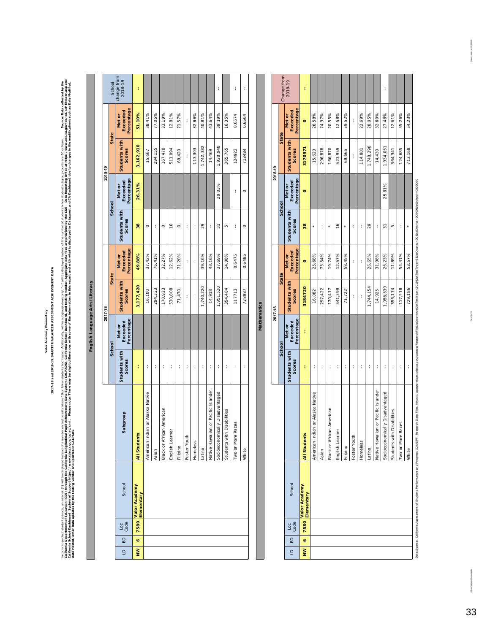2017-18 and 2018-19 SMARTER BALANCED ASSESSMENT ACHIEVEMENT DATA **2017-18 and 2018-19 SMARTER BALANCED ASSESSMENT ACHIEVEMENT DATA** Valor Academy Elementary **Valor Academy Elementary**

in order to procet student (with the designed index on the stream institution of here are additionally, with subgroup vising the collection of the under of the under subgroup context and the course, and a course between th California Department of Education the California Longitudinal Pupil Achievement Data leventh (CALPADS), California School Dashboard, and testing vendor. Aggregate data files are provided by the CDE – Data Reporting Office In order to protect (\*) will be displayed instead of a number on testils where 10 or fewer sthat stad to stude stad Additionally, within subgroup views only, "--" will be displayed the number of the number of students when california School Dashboard 1999/18/20/201/18/2010 . Please note: There may be slight differences with some of the information in this report and with what is displayed in Dataquest and CA Dashboard due to changes in file *Date Posted, other data updates by the testing vendor and updates in CALPADS.* 

 $\overline{\phantom{a}}$ 

|                                |         | School       | change from<br>2018-19                | ł                           |                                  |         |                                  |                 |          |              |          |           |                                     | ł                                           |                                | ł                    | ł       |
|--------------------------------|---------|--------------|---------------------------------------|-----------------------------|----------------------------------|---------|----------------------------------|-----------------|----------|--------------|----------|-----------|-------------------------------------|---------------------------------------------|--------------------------------|----------------------|---------|
|                                |         | State        | Percentage<br>Exceeded<br>Met or      | 51.10%                      | 38.41%                           | 77.05%  | 33.19%                           | 12.81%          | 71.57%   | Í            | 32.86%   | 40.81%    | 43.64%                              | 39.19%                                      | 16.35%                         | 0.6574               | 0.6564  |
|                                | 2018-19 |              | <b>Students with</b><br><b>Scores</b> | 3,162,910                   | 15,667                           | 294,155 | 167,470                          | 511,094         | 69,420   | ł            | 113,303  | 1,742,382 | 14,469                              | 1,928,948                                   | 365,765                        | 124922               | 713484  |
|                                |         |              | Percentage<br>Exceeded<br>Met or      | 26.31%                      |                                  |         |                                  |                 |          |              |          |           |                                     | 29.03%                                      |                                | ł                    | $\circ$ |
|                                |         | School       | Students with<br>Scores               | $\frac{8}{3}$               | $\circ$                          | ł       | $\circ$                          | $\frac{6}{2}$   | $\circ$  | ţ            | ł        | 29        | ł                                   | 57                                          | Б                              | ţ                    | $\circ$ |
|                                |         |              | Percentage<br>Exceeded<br>Met or      | 49.88%                      | 37.42%                           | 76.41%  | 32.27%                           | 12.62%          | 71.20%   | ł            | ł        | 39.16%    | 43.16%                              | 37.69%                                      | 14.98%                         | 0.6475               | 0.6485  |
|                                | 2017-18 | <b>State</b> | Students with<br><b>Scores</b>        | 3,177,420                   | 16,100                           | 294,323 | 170,923                          | 530,808         | 71,470   | ł            | ł        | 1,740,220 | 14,918                              | 1,951,520                                   | 354,484                        | 117713               | 728987  |
| English Language Arts/Literacy |         |              | Percentage<br>Exceeded<br>Met or      |                             |                                  |         |                                  |                 |          |              |          |           |                                     |                                             |                                |                      |         |
|                                |         | School       | Students with<br>Scores               | ł                           | ţ                                | t       | ł                                | t               | ł        | ţ            | ł        | ł         | ł                                   | ł                                           | ł                              | t                    | ł       |
|                                |         |              | <b>Subgroup</b>                       | All Students                | American Indian or Alaska Native | Asian   | <b>Black or African American</b> | English Learner | Filipino | Foster Youth | Homeless | Latino    | Native Hawaiian or Pacific Islander | <b>hically Disadvantaged</b><br>Socioeconom | h Disabilities<br>Students wit | Races<br>Two or More | White   |
|                                |         |              | School                                | Valor Academy<br>Elementary |                                  |         |                                  |                 |          |              |          |           |                                     |                                             |                                |                      |         |
|                                |         |              | Code<br>$\overline{c}$                | 7580                        |                                  |         |                                  |                 |          |              |          |           |                                     |                                             |                                |                      |         |
|                                |         |              | $\overline{B}$                        | ø                           |                                  |         |                                  |                 |          |              |          |           |                                     |                                             |                                |                      |         |
|                                |         |              | $\triangleq$                          | $\geq$                      |                                  |         |                                  |                 |          |              |          |           |                                     |                                             |                                |                      |         |

|         | Change from  | 2018-19                          | ł                           |                                       |         |                                  |                 |          |              |          |           |                                          | ţ                               |                                |                      |         |
|---------|--------------|----------------------------------|-----------------------------|---------------------------------------|---------|----------------------------------|-----------------|----------|--------------|----------|-----------|------------------------------------------|---------------------------------|--------------------------------|----------------------|---------|
|         |              | Percentage<br>Exceeded<br>Met or | $\circ$                     | 26.58%                                | 74.37%  | 20.55%                           | 12.58%          | 59.52%   | ł            | 22.69%   | 28.05%    | 32.60%                                   | 27.48%                          | 12.61%                         | 55.26%               | 54.23%  |
| 2018-19 | <b>State</b> | Students with<br>Scores          | 3170971                     | 15,629                                | 296,878 | 166,870                          | 523,959         | 69,665   | ł            | 114,801  | 1,748,298 | 14,430                                   | 1,934,051                       | 364,341                        | 124,685              | 713,168 |
|         |              | Percentage<br>Exceeded<br>Met or | o                           |                                       |         |                                  |                 |          |              |          |           |                                          | 25.81%                          |                                |                      |         |
|         | School       | Students with<br>Scores          | 38                          | $\ast$                                | ł       |                                  | $\frac{6}{2}$   |          | ł            | ł        | 29        | ł                                        | 57                              | Б                              | ł                    |         |
|         |              | Percentage<br>Exceeded<br>Met or | $\circ$                     | 25.68%                                | 73.54%  | 19.74%                           | 12.57%          | 58.45%   | ł            | ł        | 26.65%    | 31.98%                                   | 26.23%                          | 11.89%                         | 54.41%               | 53.57%  |
|         | State        | Students with<br>Scores          | 3184720                     | 16,082                                | 297,422 | 170,417                          | 541,399         | 71,722   | ł            | ł        | 1,744,154 | 14,925                                   | 1,956,639                       | 353,174                        | 117,518              | 729,186 |
| 2017-18 |              | Percentage<br>Exceeded<br>Met or | ł                           |                                       |         |                                  |                 |          |              |          |           |                                          |                                 |                                |                      |         |
|         | School       | Students with<br>Scores          | ł                           | ł                                     | ł       | ł                                | ł               | ł        | ł            | ł        | ł         | ł                                        | ţ                               | ł                              | ł                    | ţ       |
|         |              |                                  | All Students                | ilan or Alaska Native<br>American Ind | Asian   | <b>Black or African American</b> | English Learner | Filipino | Foster Youth | Homeless | atino     | ilan or Pacific Islander<br>Native Hawai | Socioeconomically Disadvantaged | h Disabilities<br>Students wit | Races<br>Two or More | White   |
|         |              | School                           | Valor Academy<br>Elementary |                                       |         |                                  |                 |          |              |          |           |                                          |                                 |                                |                      |         |
|         |              | Code<br>Loc                      | 7580                        |                                       |         |                                  |                 |          |              |          |           |                                          |                                 |                                |                      |         |
|         |              | BD                               | $\bullet$                   |                                       |         |                                  |                 |          |              |          |           |                                          |                                 |                                |                      |         |
|         |              | $\overline{a}$                   | $\geq$                      |                                       |         |                                  |                 |          |              |          |           |                                          |                                 |                                |                      |         |

**Mathematics**

Mathematics

Data Source: California Assessment of Student Pie (Promoce and Progress COASPP) Research Data Figs: //casspp-eigsc.cde.cde.cde.cde.cde/sp/casspp/ResearchFileList?ps=true&isfTest1?ge=B&BCounty=08&BCBch15+1=000008&ISchool=00 Data Source: Californian Assessment of Student Performance and Progress (CAASPP) Research Data Files: //caaspp-elbackdive.code.com/ResearchFileList?ps=true&istTestYear=2019&istTestYear=80%bistDathstrict=0000081stSchool=000

Office of Data and Accountability Page 10 of 10 Page 10 0 Page 10 Page 10 Page 10 Page 10 Page 10 Page 10 Page 10 Page 10 Page 10 Page 10 Page 10 Page 10 Page 10 Page 10 Page 10 Page 10 Page 10 Page 10 Page 10 Page 10 Page

Page 10 of 10

Report anested on: 0 9/29/2020

 $_{\rm{cradsy}}$ CDA a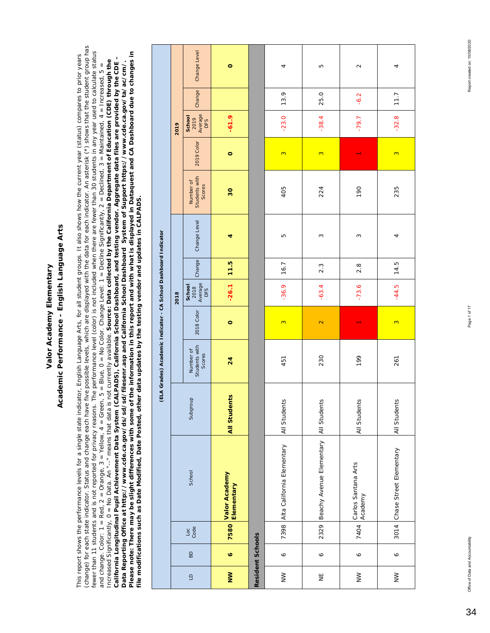## Academic Performance - English Language Arts **Academic Performance - English Language Arts**

(change) for each state indicator. Status and change each have five possible levels, which are displayed with the data for each indicator. An asterisk (\*) shows that the student group has (change) for each state indicator. Status and change each have five possible levels, which are displayed with the data for each indicator. An asterisk (\*) shows that the student group has fewer than 11 students and is not reported for privacy reasons. The performance level (color) is not included when there are fewer than 30 students in any year used to calculate status fewer than 11 students and is not reported for privacy reasons. The performance level (color) is not included when there are fewer than 30 students in any year used to calculate status Please note: There may be slight differences with some of the information in this report and with what is displayed in Dataquest and CA Dashboard due to changes in *Please note: There may be slight differences with some of the information in this report and with what is displayed in Dataquest and CA Dashboard due to changes in*  This report shows the performance levels for a single state indicator, English Language Arts, for all student groups. It also shows how the current year (status) compares to prior years This report shows the performance levels for a single state indicator, English Language Arts, for all student groups. It also shows how the current year (status) compares to prior years *California Longitudinal Pupil Achievement Data System (CALPADS), California School Dashboard, and testing vendor. Aggregate data files are provided by the CDE –*  California Longitudinal Pupil Achievement Data System (CALPADS), California School Dashboard, and testing vendor. Aggregate data files are provided by the CDE – Increased Significantly, 0 = No Data. An "--" means that data is not currently available. *Source: Data collected by the California Department of Education (CDE) through the*  Increased Significantly, 0 = No Data. An "-" means that data is not currently available. Source: Data collected by the California Department of Education (CDE) through the *Data Reporting Office at http://www.cde.ca.gov/ds/sd/sd/filesenr.asp and California School Dashboard System of Support https://www.cde.ca.gov/ta/ac/cm/.*  and change. Color: 1 = Red, 2 = Orange, 3 = Yellow, 4 = Green, 5 = Blue, 0 = No Color. Change Level: 1 = Decline Significantly, 2 = Declined, 3 = Maintained, 4 = Increased, 5 = and change. Color: 1 = Red, 2 = Orange, 3 = Yellow, 4 = Green, 5 = Blue, 0 = No Color. Change Level: 1 = Decline Significantly, 2 = Declined, 3 = Maintained, 4 = Increased, 5 = Data Reporting Office at http://www.cde.ca.gov/ds/sd/sd/filesenr.asp and California School Dashboard System of Support https://www.cde.ca.gov/ta/ac/cm/. file modifications such as Date Modified, Date Posted, other data updates by the testing vendor and updates in CALPADS. *file modifications such as Date Modified, Date Posted, other data updates by the testing vendor and updates in CALPADS.* 

|                  |                         |             |                                            |                     | (ELA Grades) Academic Indicator - CA School Dashboard Indicator |                   |                                  |        |              |                                      |            |                                  |        |              |
|------------------|-------------------------|-------------|--------------------------------------------|---------------------|-----------------------------------------------------------------|-------------------|----------------------------------|--------|--------------|--------------------------------------|------------|----------------------------------|--------|--------------|
|                  |                         |             |                                            |                     |                                                                 |                   | 2018                             |        |              |                                      |            | 2019                             |        |              |
| $\mathbf{G}$     | $\overline{B}$          | Loc<br>Code | School                                     | Subgroup            | Students with<br>Number of<br>Scores                            | 2018 Color        | Average<br>School<br>2018<br>DFS | Change | Change Level | Students with<br>Number of<br>Scores | 2019 Color | Average<br>School<br>2019<br>DFS | Change | Change Level |
| $\sum_{i=1}^{n}$ | $\bullet$               | 7580        | Valor Academy<br>Elementary                | <b>All Students</b> | 24                                                              | $\circ$           | $-26.1$                          | 11.5   | 4            | 30                                   | $\circ$    | $-61.9$                          |        | $\circ$      |
|                  | <b>Resident Schools</b> |             |                                            |                     |                                                                 |                   |                                  |        |              |                                      |            |                                  |        |              |
| $\geq$           | ♦                       | 7398        | Alta California Elementary                 | All Students        | 451                                                             | 3                 | $-36.9$                          | 16.7   | ۱Ω           | 405                                  | 3          | $-23.0$                          | 13.9   | 4            |
| Ψ                | $\circ$                 |             | 2329 Beachy Avenue Elementary All Students |                     | 230                                                             | $\mathbf{\Omega}$ | $-63.4$                          | 2.3    | S            | 224                                  | 3          | $-38.4$                          | 25.0   | Б            |
| $\geq$           | P                       |             | 7404 Carlos Santana Arts<br>Academy        | All Students        | 199                                                             |                   | $-73.6$                          | 2.8    | S            | 190                                  |            | $-79.7$                          | $-6.2$ | $\sim$       |
| $\geq$           | $\circ$                 |             | 3014 Chase Street Elementary               | All Students        | 261                                                             | 3                 | $-44.5$                          | 14.5   | 4            | 235                                  | 3          | $-32.8$                          | 7.7    | 4            |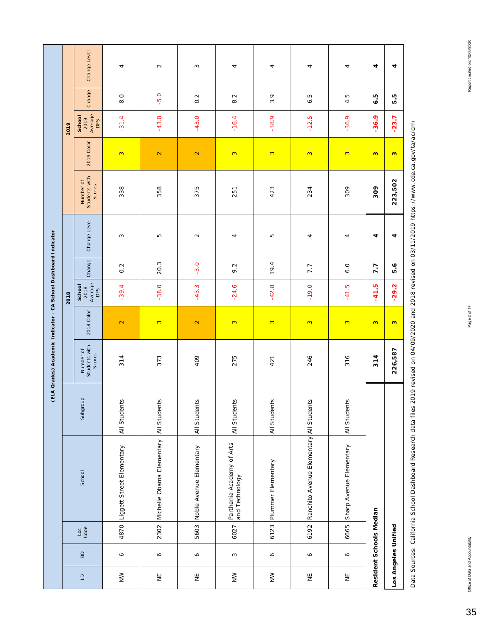|                                            |              |                         |                                             |              | (ELA Grades) Academic Indicator - CA School Dashboard Indicator |              |                                  |                  |              |                                      |                   |                                  |                    |              |
|--------------------------------------------|--------------|-------------------------|---------------------------------------------|--------------|-----------------------------------------------------------------|--------------|----------------------------------|------------------|--------------|--------------------------------------|-------------------|----------------------------------|--------------------|--------------|
|                                            |              |                         |                                             |              |                                                                 |              | 2018                             |                  |              |                                      |                   | 2019                             |                    |              |
|                                            | $_{\rm BD}$  | $\frac{1}{3}$           | School                                      | Subgroup     | Number of<br>Students with<br>Scores                            | 2018 Color   | Average<br>DFS<br>School<br>2018 | Change           | Change Level | Students with<br>Number of<br>Scores | 2019 Color        | 2019<br>Average<br>DFS<br>School | Change             | Change Level |
| $\geq$                                     | $\bullet$    | 4870                    | Liggett Street Elementary                   | All Students | 314                                                             | $\mathbb{N}$ | $-39.4$                          | $0.\overline{2}$ | S            | 338                                  | $\mathbf{c}$      | $-31.4$                          | $\overline{8}$ . O | 4            |
| $\stackrel{\sqcup}{\succeq}$               | $\mathsf{o}$ | 2302                    | Michelle Obama Elementary                   | All Students | 373                                                             | 3            | $-38.0$                          | 20.3             | Б            | 358                                  | $\mathbf{\Omega}$ | $-43.0$                          | $-5.0$             | $\sim$       |
| $\overline{\Xi}$                           | $\bullet$    | 5603                    | Noble Avenue Elementary                     | All Students | 409                                                             | $\mathbb{N}$ | $-43.3$                          | $-3.0$           | $\sim$       | 375                                  | $\mathbf{\Omega}$ | $-43.0$                          | $0.\overline{2}$   | S            |
| $\geq$                                     | $\sim$       | 6027                    | Parthenia Academy of Arts<br>and Technology | All Students | 275                                                             | $\mathbf{c}$ | $-24.6$                          | 9.2              | 4            | 251                                  | $\mathbf{c}$      | $-16.4$                          | $\sim$<br>$\infty$ | 4            |
| $\geq$                                     | $\bullet$    | 6123                    | Plummer Elementary                          | All Students | 421                                                             | $\mathbf{c}$ | $\infty$<br>$-42.$               | 19.4             | LO.          | 423                                  | $\infty$          | $\circ$<br>$-38.$                | 3.9                | 4            |
| Ψ                                          | $\bullet$    | 6192                    | Ranchito Avenue Elementary All Students     |              | 246                                                             | $\mathbf{c}$ | $-19.0$                          | 7.7              | 4            | 234                                  | $\infty$          | Ю<br>$-12$                       | Ю<br>۰ö            | 4            |
| $\stackrel{\scriptscriptstyle{\sqcup}}{z}$ | $\bullet$    | 6665                    | Sharp Avenue Elementary                     | All Students | 316                                                             | $\mathbf{c}$ | $-41.5$                          | 6.0              | 4            | 309                                  | $\infty$          | $-36.9$                          | 4.5                | 4            |
|                                            |              | Resident Schools Median |                                             |              | 314                                                             | $\mathbf{c}$ | $-41.5$                          | 7.7              | 4            | 309                                  | $\mathbf{c}$      | $-36.9$                          | ю<br>ە             | 4            |
| Los Angeles Unified                        |              |                         |                                             |              | 226,587                                                         | 3            | $-29.2$                          | 5.6              | 4            | 223,502                              | $\mathbf{c}$      | $-23.7$                          | rù<br>ю            | 4            |

Data Sources: California School Dashboard Research data files 2019 revised on 04/09/2020 and 2018 revised on 03/11/2019 https://www.cde.ca.gov/ta/ac/cm/ Data Sources: California School Dashboard Research data files 2019 revised on 04/09/2020 and 2018 revised on 03/11/2019 https://www.cde.ca.gov/ta/ac/cm/

35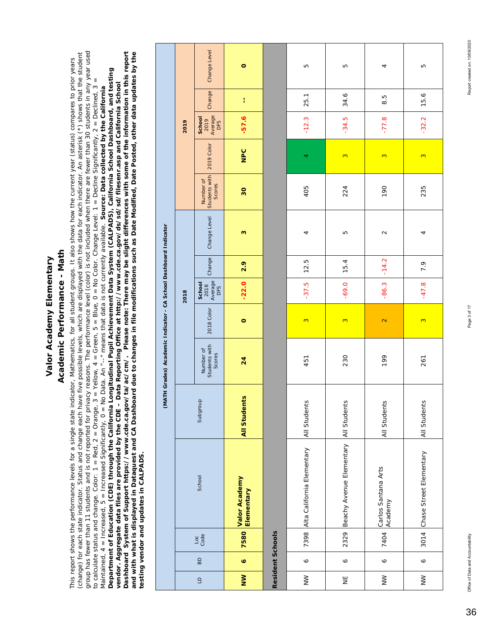## Academic Performance - Math **Academic Performance - Math**

group has fewer than 11 students and is not reported for privacy reasons. The performance level (color) is not included when there are fewer than 30 students in any year used *Dashboard System of Support https://www.cde.ca.gov/ta/ac/cm/. Please note: There may be slight differences with some of the information in this report*  (change) for each state indicator. Status and change each have five possible levels, which are displayed with the data for each indicator. An asterisk (\*) shows that the student group has fewer than 11 students and is not reported for privacy reasons. The performance level (color) is not included when there are fewer than 30 students in any year used Dashboard System of Support https://www.cde.ca.gov/ta/ac/cm/. Please note: There may be slight differences with some of the information in this report<br>and with what is displayed in Dataquest and CA Dashboard due to changes *and with what is displayed in Dataquest and CA Dashboard due to changes in file modifications such as Date Modified, Date Posted, other data updates by the*  (change) for each state indicator. Status and change each have five possible levels, which are displayed with the data for each indicator. An asterisk (\*) shows that the student This report shows the performance levels for a single state indicator, Mathematics, for all student groups. It also shows how the current year (status) compares to prior years This report shows the performance levels for a single state indicator, Mathematics, for all student groups. It also shows how the current year (status) compares to prior years Department of Education (CDE) through the California Longitudinal Pupil Achievement Data System (CALPADS), California School Dashboard, and testing *Department of Education (CDE) through the California Longitudinal Pupil Achievement Data System (CALPADS), California School Dashboard, and testing*  to calculate status and change. Color: 1 = Red, 2 = Red, 2 = Orange, 3 = Yellow, 4 = Green, 5 = Blue, 0 = Nuocolor. Change Level: 1 = Decline Significantly, 2 = Declined, 3 = to calculate status and change. Color: 1 = Red, 2 = Orange, 3 = Yellow, 4 = Green, 5 = Blue, 0 = No Color. Change Level: 1 = Decline Significantly, 2 = Declined, 3 = *vendor. Aggregate data files are provided by the CDE – Data Reporting Office at http://www.cde.ca.gov/ds/sd/sd/filesenr.asp and California School*  vendor. Aggregate data files are provided by the CDE – Data Reporting Office at http://www.cde.ca.gov/ds/sd/falesenr.asp and California School Maintained, 4 = Increased, 5 = Increased Significantly, 0 = No Data. An "--" means that data is not currently available. Source: Data collected by the California Maintained, 4 = Increased, 5 = Increased Significantly, 0 = No Data. An "--" means that data is not currently available. *Source: Data collected by the California testing vendor and updates in CALPADS.*  testing vendor and updates in CALPADS.

|                                                                  |      | Change Level                         | $\circ$                            |                  | Б                          | ഥ                                     | 4                              | LO                           |
|------------------------------------------------------------------|------|--------------------------------------|------------------------------------|------------------|----------------------------|---------------------------------------|--------------------------------|------------------------------|
|                                                                  |      | Change                               | ţ                                  |                  | 25.1                       | 34.6                                  | 8.5                            | 15.6                         |
|                                                                  | 2019 | 2019<br>Average<br>DFS<br>School     | $-57.6$                            |                  | $-12.3$                    | $-34.5$                               | $-77.8$                        | $-32.2$                      |
|                                                                  |      | 2019 Color                           | NPC                                |                  | 4                          | $\infty$                              | 3                              | 3                            |
|                                                                  |      | Students with<br>Number of<br>Scores | 30                                 |                  | 405                        | 224                                   | 190                            | 235                          |
|                                                                  |      | Change Level                         | S                                  |                  | 4                          | LO                                    | $\sim$                         | 4                            |
|                                                                  |      | Change                               | 2.9                                |                  | 12.5                       | 15.4                                  | $-14.2$                        | 7.9                          |
|                                                                  | 2018 | 2018<br>Average<br>DFS<br>School     | $-22.0$                            |                  | $-37.5$                    | $-69.0$                               | $-86.3$                        | $-47.8$                      |
|                                                                  |      | 2018 Color                           | $\circ$                            |                  | $\infty$                   | 3                                     | $\mathbf{\tilde{c}}$           | $\infty$                     |
| (MATH Grades) Academic Indicator - CA School Dashboard Indicator |      | Students with<br>Number of<br>Scores | 24                                 |                  | 451                        | 230                                   | 199                            | 261                          |
|                                                                  |      | Subgroup                             | <b>All Students</b>                |                  | All Students               |                                       | All Students                   | All Students                 |
|                                                                  |      | School                               | <b>Valor Academy</b><br>Elementary |                  | Alta California Elementary | Beachy Avenue Elementary All Students | Carlos Santana Arts<br>Academy | 3014 Chase Street Elementary |
|                                                                  |      | $rac{1}{3}$                          | 7580                               | Resident Schools | 7398                       | 2329                                  | 7404                           |                              |
|                                                                  |      | BD                                   | Ö,                                 |                  | $\bullet$                  | $\circ$                               | $\bullet$                      | $\circ$                      |
|                                                                  |      | $\Box$                               | $\geq$                             |                  | $\geq$                     | 当                                     | $\geq$                         | $\geq$                       |

Report created on: 10/08/2020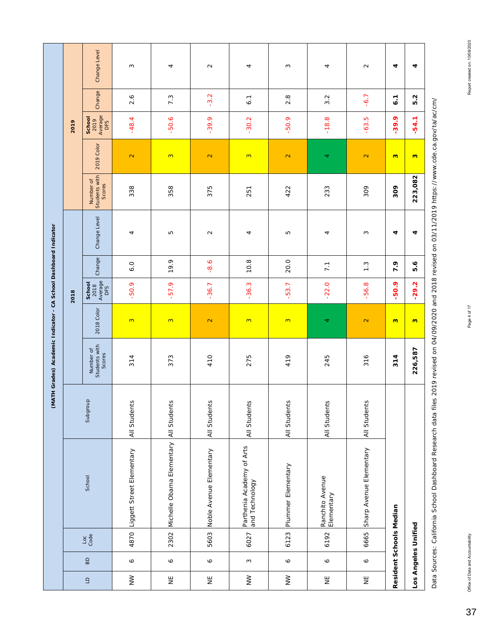|                                                                  |      | Change Level                         | 3                              | 4                              | $\sim$                  | 4                                           | S                       | 4                             | $\sim$                       | 4                       |
|------------------------------------------------------------------|------|--------------------------------------|--------------------------------|--------------------------------|-------------------------|---------------------------------------------|-------------------------|-------------------------------|------------------------------|-------------------------|
|                                                                  |      | Change                               | 2.6                            | 7.3                            | $-3.2$                  | 6.1                                         | $2.\overline{8}$        | $\mathbf{\Omega}$<br>က        | $-6.7$                       | 6.1                     |
|                                                                  | 2019 | 2019<br>Average<br>DFS<br>School     | $-48.4$                        | $-50.6$                        | $-39.9$                 | $-30.2$                                     | $-50.9$                 | œ<br>$\frac{8}{1}$            | بما<br>$-63.$                | $-39.9$                 |
|                                                                  |      | 2019 Color                           | $\mathbf{\Omega}$              | 3                              | $\mathbf{\Omega}$       | 3                                           | $\mathbf{\Omega}$       | 4                             | $\mathbb{N}$                 | $\mathbf{c}$            |
|                                                                  |      | Students with<br>Number of<br>Scores | 338                            | 358                            | 375                     | 251                                         | 422                     | 233                           | 309                          | 309                     |
|                                                                  |      | Change Level                         | 4                              | Б                              | $\mathbf{\Omega}$       | 4                                           | Б                       | 4                             | S                            | 4                       |
|                                                                  |      | Change                               | 6.0                            | 19.9                           | $-8.6$                  | 10.8                                        | 20.0                    | 7.1                           | $1.\overline{3}$             | 7.9                     |
|                                                                  | 2018 | School<br>2018<br>Average<br>DFS     | $-50.9$                        | $-57.9$                        | $-36.7$                 | $-36.3$                                     | $-53.7$                 | $-22.0$                       | $\infty$<br>$-56.$           | 50.9                    |
|                                                                  |      | 2018 Color                           | 3                              | $\infty$                       | $\mathbf{\Omega}$       | 3                                           | $\infty$                | 4                             | $\mathbf{\Omega}$            | $\mathbf{c}$            |
| (MATH Grades) Academic Indicator - CA School Dashboard Indicator |      | Students with<br>Number of<br>Scores | 314                            | 373                            | 410                     | 275                                         | 419                     | 245                           | 316                          | 314                     |
|                                                                  |      | Subgroup                             | All Students                   | All Students                   | All Students            | All Students                                | All Students            | All Students                  | All Students                 |                         |
|                                                                  |      | School                               | 4870 Liggett Street Elementary | 2302 Michelle Obama Elementary | Noble Avenue Elementary | Parthenia Academy of Arts<br>and Technology | 6123 Plummer Elementary | Ranchito Avenue<br>Elementary | 6665 Sharp Avenue Elementary | Resident Schools Median |
|                                                                  |      | $\frac{1}{3}$                        |                                |                                | 5603                    | 6027                                        |                         | 6192                          |                              |                         |
|                                                                  |      | $\mathsf B$                          | $\mathsf{o}$                   | P                              | $\bullet$               | $\sim$                                      | $\mathsf{o}$            | $\bullet$                     | $\bullet$                    |                         |
|                                                                  |      | $\Box$                               | $\geq$                         | Ψ                              | Ψ                       | $\geq$                                      | $\geq$                  | Ψ                             | 븾                            |                         |

Data Sources: California School Dashboard Research data files 2019 revised on 04/09/2020 and 2018 revised on 03/11/2019 https://www.cde.ca.gov/ta/ac/cm/ Data Sources: California School Dashboard Research data files 2019 revised on 04/09/2020 and 2018 revised on 03/11/2019 https://www.cde.ca.gov/ta/ac/cm/

**226,587 3 -29.2 5.6 4 223,082 3 -54.1 5.2 4**

 $\ddot{\phantom{0}}$ 

 $-29.2$  5.6

 $\frac{1}{\sqrt{2}}$ 

226,587

 $\ddot{\phantom{0}}$ 

 $-54.1$  5.2

 $\bullet$ 

223,082

37

**Los Angeles Unified**

Los Angeles Unified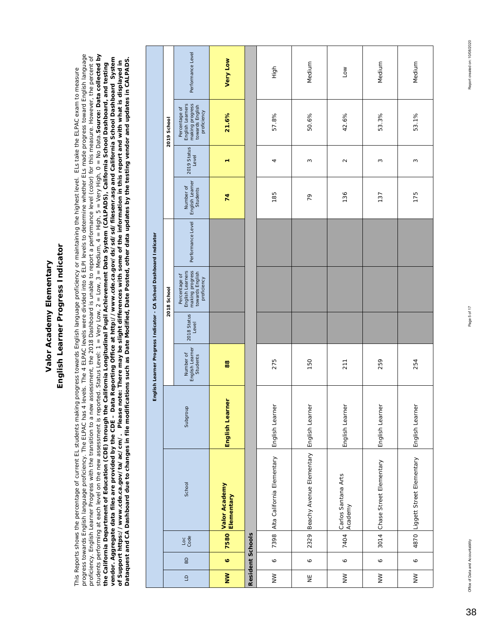## English Learner Progress Indicator **English Learner Progress Indicator**

progress towards English language proficiency. The ELPAC has 4 levels. The 4 ELPAC levels were divided into 6 ELPI levels to determine whether ELs made progress toward English language students performing at each level on the new assessment is reported. Status Level: 1 = Very Low, 2 = Low, 3 = Medium, 4 = High, 5 = Very High, 0 = No Data. **Source: Data collected by** progress towards English language proficiency. The ELPAC has 4 levels. The 4 ELPAC levels were divided into 6 ELPI levels to determine whether ELs made progress toward English language students performing at each level on the new assessment is reported. Status Level: 1 = Very Low, 2 = Low, 3 = Medium, 4 = High, 5 = Very High, 0 = No Data. Source: Data collected by proficiency. English Learner Progress with the transition to a new assessment, the 2018 Dashboard is unable to report a performance level (color) for this measure. However, the percent of proficiency. English Learner Progress with the transition to a new assessment, the 2018 Dashboard is unable to report a performance level (color) for this measure. However, the percent of vendor. Aggregate data files are provided by the CDE – Data Reporting Office at http://www.cde.ca.gov/ds/sd/silesenr.asp and California School Dashboard System<br>of Support https://www.cde.ca.gov/ta/ac/cm/. Please note: Ther *vendor. Aggregate data files are provided by the CDE – Data Reporting Office at http://www.cde.ca.gov/ds/sd/sd/filesenr.asp and California School Dashboard System Dataquest and CA Dashboard due to changes in file modifications such as Date Modified, Date Posted, other data updates by the testing vendor and updates in CALPADS. of Support https://www.cde.ca.gov/ta/ac/cm/. Please note: There may be slight differences with some of the information in this report and with what is displayed in*  the California Department of Education (CDE) through the California Longitudinal Pupil Achievement Data System (CALPADS), California School Dashboard, and testing *the California Department of Education (CDE) through the California Longitudinal Pupil Achievement Data System (CALPADS), California School Dashboard, and testing*  This Reports shows the percentage of current EL students making progress towards English language proficiency or maintaining the highest level. ELs take the ELPAC exam to measure This Reports shows the percentage of current EL students making progress towards English language proficiency or maintaining the highest level. ELs take the ELPAC exam to measure

|                                                                    |             | Performance Level                                                                      | <b>Very Low</b>             |                  | High                       | Medium                                        | Low                            | Medium                  | Medium                         |
|--------------------------------------------------------------------|-------------|----------------------------------------------------------------------------------------|-----------------------------|------------------|----------------------------|-----------------------------------------------|--------------------------------|-------------------------|--------------------------------|
|                                                                    | 2019 School | making progress<br>English Learners<br>towards English<br>Percentage of<br>proficiency | 21.6%                       |                  | 57.8%                      | 50.6%                                         | 42.6%                          | 53.3%                   | 53.1%                          |
|                                                                    |             | 2019 Status<br>Level                                                                   | ٣                           |                  | 4                          | ω                                             | $\sim$                         | 3                       | 3                              |
|                                                                    |             | English Learner<br>Number of<br>Students                                               | 74                          |                  | 185                        | 79                                            | 136                            | 137                     | 175                            |
|                                                                    |             | Performance Level                                                                      |                             |                  |                            |                                               |                                |                         |                                |
| English Learner Progress Indicator - CA School Dashboard Indicator | 2018 School | making progress<br>English Learners<br>towards English<br>Percentage of<br>proficiency |                             |                  |                            |                                               |                                |                         |                                |
|                                                                    |             | 2018 Status<br>Level                                                                   |                             |                  |                            |                                               |                                |                         |                                |
|                                                                    |             | Number of<br>English Learner<br>Students                                               | 88                          |                  | 275                        | 150                                           | 211                            | 259                     | 254                            |
|                                                                    |             | Subgroup                                                                               | English Learner             |                  | English Learner            |                                               | English Learner                | English Learner         | English Learner                |
|                                                                    |             | School                                                                                 | Valor Academy<br>Elementary |                  | Alta California Elementary | 2329 Beachy Avenue Elementary English Learner | Carlos Santana Arts<br>Academy | Chase Street Elementary | 4870 Liggett Street Elementary |
|                                                                    |             | $rac{6}{3}$                                                                            | 7580                        | Resident Schools | 7398                       |                                               | 7404                           | 3014                    |                                |
|                                                                    |             | $\overline{a}$                                                                         | $\bullet$                   |                  | $\circ$                    | $\circ$                                       | $\bullet$                      | $\bullet$               | $\circ$                        |
|                                                                    |             | $\Xi$                                                                                  | $\geq$                      |                  | $\geq$                     | Ψ                                             | $\geq$                         | $\geq$                  | $\geq$                         |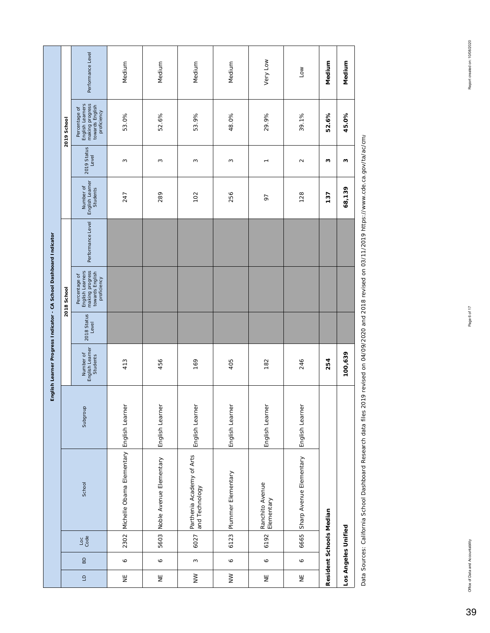|                |                |                     |                                             |                 |                                          |                      | English Learner Progress Indicator - CA School Dashboard Indicator                     |                   |                                          |                      |                                                                                        |                   |
|----------------|----------------|---------------------|---------------------------------------------|-----------------|------------------------------------------|----------------------|----------------------------------------------------------------------------------------|-------------------|------------------------------------------|----------------------|----------------------------------------------------------------------------------------|-------------------|
|                |                |                     |                                             |                 |                                          |                      | 2018 School                                                                            |                   |                                          |                      | 2019 School                                                                            |                   |
| $\Box$         | $\overline{B}$ | $rac{6}{3}$         | School                                      | Subgroup        | English Learner<br>Number of<br>Students | 2018 Status<br>Level | Percentage of<br>English Learners<br>making progress<br>towards English<br>proficiency | Performance Level | English Learner<br>Number of<br>Students | 2019 Status<br>Level | Percentage of<br>English Learners<br>making progress<br>towards English<br>proficiency | Performance Level |
| Ψ              | $\circ$        |                     | 2302 Michelle Obama Elementary              | English Learner | 413                                      |                      |                                                                                        |                   | 247                                      | 3                    | 53.0%                                                                                  | Medium            |
| $\overline{z}$ | Ó              | 5603                | Noble Avenue Elementary                     | English Learner | 456                                      |                      |                                                                                        |                   | 289                                      | S                    | 52.6%                                                                                  | Medium            |
| $\geq$         | $\sim$         | 6027                | Parthenia Academy of Arts<br>and Technology | English Learner | 169                                      |                      |                                                                                        |                   | 102                                      | S                    | 53.9%                                                                                  | Medium            |
| $\geq$         | P              |                     | 6123 Plummer Elementary                     | English Learner | 405                                      |                      |                                                                                        |                   | 256                                      | S                    | 48.0%                                                                                  | Medium            |
| $\overline{z}$ | $\bullet$      | 6192                | Ranchito Avenue<br>Elementary               | English Learner | 182                                      |                      |                                                                                        |                   | 97                                       | $\overline{ }$       | 29.9%                                                                                  | Very Low          |
| $\overline{z}$ | $\circ$        | 6665                | Sharp Avenue Elementary                     | English Learner | 246                                      |                      |                                                                                        |                   | 128                                      | $\sim$               | 39.1%                                                                                  | Low               |
|                |                |                     | Resident Schools Median                     |                 | 254                                      |                      |                                                                                        |                   | 137                                      | ω                    | 52.6%                                                                                  | Medium            |
|                |                | Los Angeles Unified |                                             |                 | 100,639                                  |                      |                                                                                        |                   | 68,139                                   | ω                    | 45.0%                                                                                  | Medium            |

Data Sources: California School Dashboard Research data files 2019 revised on 04/09/2020 and 2018 revised on 03/11/2019 https://www.cde.ca.gov/ta/ac/cm/ Data Sources: California School Dashboard Research data files 2019 revised on 04/09/2020 and 2018 revised on 03/11/2019 https://www.cde.ca.gov/ta/ac/cm/

39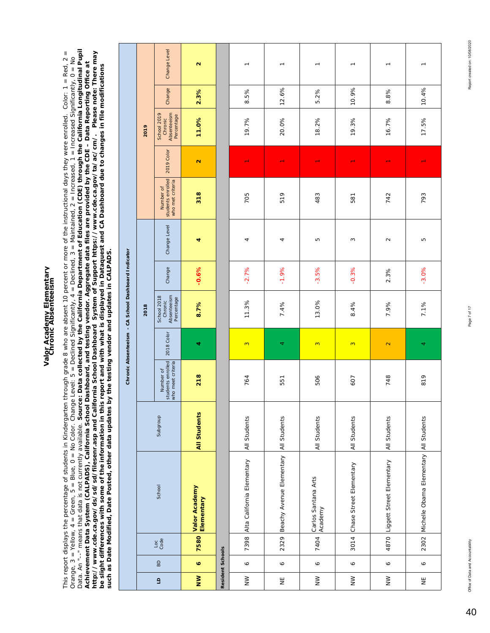## Valor Academy Elementary<br>Chronic Absenteeism **Valor Academy Elementary Chronic Absenteeism**

Data. An "--" means that data is not currently available. **Source: Data collected by the California Department of Education (CDE) through the California Longitudinal Pupil** Data. An "--" means that data is not currently available. Source: Data collected by the California Department of Education (CDE) through the California Longitudinal Pupil This report displays the percentage of students in Kindergarten through grade 8 who are absent 10 percent or more of the instructional days they were enrolled. Color: 1 = Red, 2 =<br>Orange, 3 = Yellow, 4 = Green, 5 = Blue, This report displays the percentage of students in Kindergarten through grade 8 who are absent 10 percent or more of the instructional days they were enrolled. Color: 1 = Red, 2 = Achievement Data System (CALPADS), California School Dashboard, and testing vendor. Aggregate data files are provided by the CDE – Data Reporting Office at<br>http://www.cde.ca.gov/ds/sd/filesenr.asp and California School Das *http://www.cde.ca.gov/ds/sd/sd/filesenr.asp and California School Dashboard System of Support https://www.cde.ca.gov/ta/ac/cm/. Please note: There may*  Orange, 3 = Yellow, 4 = Green, 5 = Blue, 0 = No Color. Change Level: 5 = Declined Significantly, 4 = Declined, 3 = Maintained, 2 = Increased, 1 = Increased Significantly, 0 = No *Achievement Data System (CALPADS), California School Dashboard, and testing vendor. Aggregate data files are provided by the CDE – Data Reporting Office at be slight differences with some of the information in this report and with what is displayed in Dataquest and CA Dashboard due to changes in file modifications such as Date Modified, Date Posted, other data updates by the testing vendor and updates in CALPADS.* 

|                                                     |      | Change Level                                        | $\mathbf{\Omega}$           |                         | $\overline{ }$             | $\overline{\phantom{0}}$ | $\overline{ }$                 | $\overline{ }$               | $\overline{\phantom{0}}$       |                                             |
|-----------------------------------------------------|------|-----------------------------------------------------|-----------------------------|-------------------------|----------------------------|--------------------------|--------------------------------|------------------------------|--------------------------------|---------------------------------------------|
|                                                     |      | Change                                              | 2.3%                        |                         | 8.5%                       | 12.6%                    | 5.2%                           | 10.9%                        | 8.8%                           | 10.4%                                       |
|                                                     | 2019 | Absenteeism<br>School 2019<br>Percentage<br>Chronic | 11.0%                       |                         | 19.7%                      | 20.0%                    | 18.2%                          | 19.3%                        | 16.7%                          | 17.5%                                       |
|                                                     |      | 2019 Color                                          | $\mathbf{\tilde{c}}$        |                         |                            | $\overline{\phantom{0}}$ |                                |                              |                                |                                             |
|                                                     |      | students enrolled<br>who met criteria<br>Number of  | 318                         |                         | 705                        | 519                      | 483                            | 581                          | 742                            | 793                                         |
|                                                     |      | Change Level                                        | 4                           |                         | 4                          | 4                        | Б                              | 3                            | $\sim$                         | Б                                           |
|                                                     |      | Change                                              | $-0.6%$                     |                         | $-2.7%$                    | $-1.9%$                  | $-3.5%$                        | $-0.3%$                      | 2.3%                           | $-3.0%$                                     |
| Chronic Absenteeism - CA School Dashboard Indicator | 2018 | Absenteeism<br>School 2018<br>Percentage<br>Chronic | 8.7%                        |                         | 11.3%                      | 7.4%                     | 13.0%                          | 8.4%                         | 7.9%                           | 7.1%                                        |
|                                                     |      | 2018 Color                                          | 4                           |                         | $\infty$                   | 4                        | $\infty$                       | $\infty$                     | $\overline{\mathbf{C}}$        | 4                                           |
|                                                     |      | students enrolled<br>who meet criteria<br>Number of | 218                         |                         | 764                        | 551                      | 506                            | 607                          | 748                            | 819                                         |
|                                                     |      | Subgroup                                            | <b>All Students</b>         |                         | All Students               | <b>All Students</b>      | All Students                   | All Students                 | All Students                   |                                             |
|                                                     |      | School                                              | Valor Academy<br>Elementary |                         | Alta California Elementary | Beachy Avenue Elementary | Carlos Santana Arts<br>Academy | 3014 Chase Street Elementary | 4870 Liggett Street Elementary | 2302 Michelle Obama Elementary All Students |
|                                                     |      | $rac{1}{3}$                                         | 7580                        |                         | 7398                       | 2329                     | 7404                           |                              |                                |                                             |
|                                                     |      | BD                                                  | $\bullet$                   | <b>Resident Schools</b> | $\mathsf{o}$               | P                        | $\bullet$                      | $\circ$                      | $\mathsf{o}$                   | ♦                                           |
|                                                     |      | $\overline{a}$                                      | $\geq$                      |                         | $\geq$                     | $\overline{z}$           | $\geq$                         | $\geq$                       | $\geq$                         | Ψ                                           |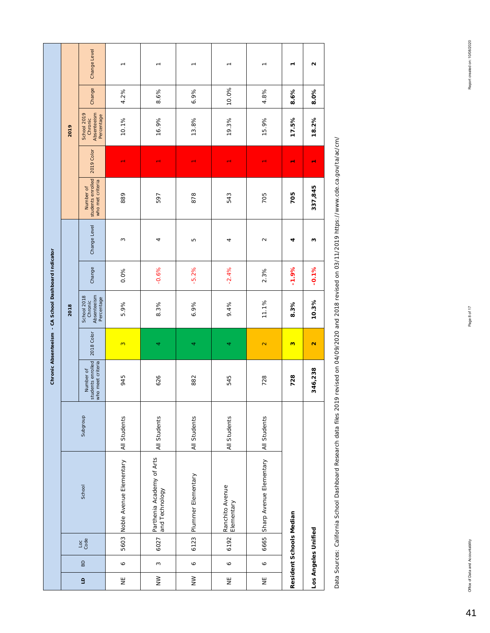|                                                     |      | Change Level                                        | $\overline{ }$          | $\overline{\phantom{0}}$                    | $\overline{\phantom{0}}$ | $\overline{\phantom{0}}$      | $\overline{ }$          | ٣                       | u                    |
|-----------------------------------------------------|------|-----------------------------------------------------|-------------------------|---------------------------------------------|--------------------------|-------------------------------|-------------------------|-------------------------|----------------------|
|                                                     |      | Change                                              | 4.2%                    | 8.6%                                        | 6.9%                     | 10.0%                         | 4.8%                    | 8.6%                    | 8.0%                 |
|                                                     | 2019 | Absenteelsm<br>School 2019<br>Percentage<br>Chronic | 10.1%                   | 16.9%                                       | 13.8%                    | 19.3%                         | 15.9%                   | 17.5%                   | 18.2%                |
|                                                     |      | 2019 Color                                          |                         |                                             |                          |                               |                         | ٣                       |                      |
|                                                     |      | students enrolled<br>who met criteria<br>Number of  | 889                     | 597                                         | 878                      | 543                           | 705                     | 705                     | 337,845              |
|                                                     |      | Change Level                                        | S                       | 4                                           | Б                        | 4                             | $\sim$                  | 4                       | ω                    |
|                                                     |      | Change                                              | 0.0%                    | $-0.6%$                                     | $-5.2%$                  | $-2.4%$                       | 2.3%                    | $-1.9%$                 | $-0.1%$              |
| Chronic Absenteeism - CA School Dashboard Indicator | 2018 | Absenteelsm<br>School 2018<br>Percentage<br>Chronic | 5.9%                    | 8.3%                                        | 6.9%                     | 9.4%                          | 11.1%                   | 8.3%                    | 10.3%                |
|                                                     |      | 2018 Color                                          | 3                       | 4                                           | 4                        | 4                             | $\overline{\mathbf{C}}$ | $\mathbf{c}$            | $\mathbf{\tilde{N}}$ |
|                                                     |      | students enrolled<br>who meet criteria<br>Number of | 945                     | 626                                         | 882                      | 545                           | 728                     | 728                     | 346,238              |
|                                                     |      | Subgroup                                            | <b>All Students</b>     | All Students                                | All Students             | All Students                  | All Students            |                         |                      |
|                                                     |      | School                                              | Noble Avenue Elementary | Parthenia Academy of Arts<br>and Technology | 6123 Plummer Elementary  | Ranchito Avenue<br>Elementary | Sharp Avenue Elementary |                         |                      |
|                                                     |      | $\frac{1}{3}$                                       | 5603                    | 6027                                        |                          | 6192                          | 6665                    | Resident Schools Median | Los Angeles Unified  |
|                                                     |      | $\mathsf B\mathsf D$                                | $\circ$                 | $\infty$                                    | $\circ$                  | $\bullet$                     | $\circ$                 |                         |                      |
|                                                     |      | $\mathsf{G}$                                        | Ψ                       | $\geq$                                      | $\geq$                   | $\overline{z}$                | $\overline{z}$          |                         |                      |

Data Sources: California School Dashboard Research data files 2019 revised on 04/09/2020 and 2018 revised on 03/11/2019 https://www.cde.ca.gov/ta/ac/cm/ Data Sources: California School Dashboard Research data files 2019 revised on 04/09/2020 and 2018 revised on 03/11/2019 https://www.cde.ca.gov/ta/ac/cm/

41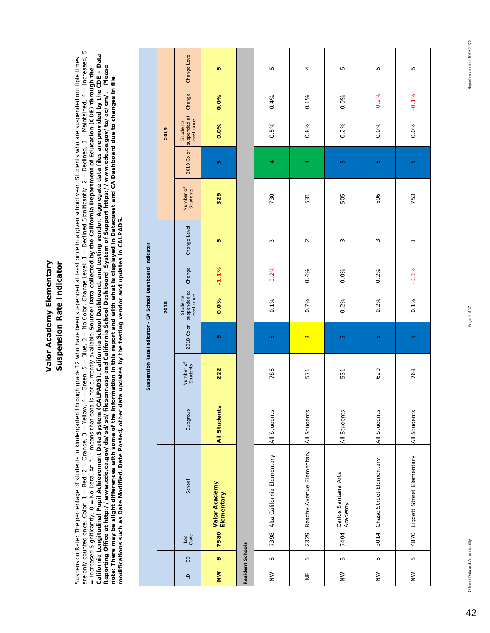### Valor Academy Elementary Suspension Rate Indicator **Valor Academy Elementary Suspension Rate Indicator**

Suspension Rate: The percentage of students in kindergarten through grade 12 who have been suspended at least once in a given school year. Students who are suspended multiple times<br>are only counted once. Color: 1 = Red, 2 are only counted once. Color: 1 = Red, 2 = Orange, 3 = Yellow, 4 = Green, 5 = Blue, 0 = No Color. Change Level: 1 = Declined Significantly, 2 = Declined, 3 = Maintained, 4 = Increased, 5 California Longitudinal Pupil Achievement Data System (CALPADS), California School Dashboard, and testing vendor. Aggregate data files are provided by the CDE – Data<br>Reporting Office at http://www.cde.ca.gov/ds/sd/silesenr *California Longitudinal Pupil Achievement Data System (CALPADS), California School Dashboard, and testing vendor. Aggregate data files are provided by the CDE – Data*  Suspension Rate: The percentage of students in kindergarten through grade 12 who have been suspended at least once in a given school year. Students who are suspended multiple times *Reporting Office at http://www.cde.ca.gov/ds/sd/sd/filesenr.asp and California School Dashboard System of Support https://www.cde.ca.gov/ta/ac/cm/. Please*  = Increased Significantly, 0 = No Data. An "--" means that data is not currently available. *Source: Data collected by the California Department of Education (CDE) through the note: There may be slight differences with some of the information in this report and with what is displayed in Dataquest and CA Dashboard due to changes in file modifications such as Date Modified, Date Posted, other data updates by the testing vendor and updates in CALPADS.* 

|                                                           |      | Change Level                           | ю                           |                         | Б                               | 4                        | Б                              | Б                       | LO.                            |
|-----------------------------------------------------------|------|----------------------------------------|-----------------------------|-------------------------|---------------------------------|--------------------------|--------------------------------|-------------------------|--------------------------------|
|                                                           |      | Change                                 | 0.0%                        |                         | 0.4%                            | 0.1%                     | 0.0%                           | $-0.2%$                 | $-0.1%$                        |
|                                                           | 2019 | Students<br>suspended at<br>least once | 0.0%                        |                         | 0.5%                            | 0.8%                     | 0.2%                           | 0.0%                    | 0.0%                           |
|                                                           |      | 2019 Color                             | ю                           |                         | 4                               | 4                        | Ю                              | LO.                     | LO                             |
|                                                           |      | Number of<br>Students                  | 329                         |                         | 730                             | 531                      | 505                            | 596                     | 753                            |
|                                                           |      | Change Level                           | ю                           |                         | S                               | $\sim$                   | S                              | S                       | $\sim$                         |
|                                                           |      | Change                                 | $-1.1%$                     |                         | $-0.2%$                         | 0.4%                     | 0.0%                           | 0.2%                    | $-0.1%$                        |
|                                                           | 2018 | suspended at<br>Students               | 0.0%                        |                         | 0.1%                            | 0.7%                     | 0.2%                           | 0.2%                    | 0.1%                           |
|                                                           |      | 2018 Color                             | ıΩ,                         |                         | LO.                             | $\infty$                 | Ю                              | LO.                     | LO.                            |
| Suspension Rate Indicator - CA School Dashboard Indicator |      | Number of<br>Students                  | 222                         |                         | 786                             | 571                      | 531                            | 620                     | 768                            |
|                                                           |      | Subgroup                               | <b>All Students</b>         |                         | All Students                    | All Students             | All Students                   | All Students            | All Students                   |
|                                                           |      | School                                 | Valor Academy<br>Elementary |                         | 7398 Alta California Elementary | Beachy Avenue Elementary | Carlos Santana Arts<br>Academy | Chase Street Elementary | 4870 Liggett Street Elementary |
|                                                           |      | Loc<br>Code                            | 7580                        |                         |                                 | 2329                     | 7404                           | 3014                    |                                |
|                                                           |      | $\mathsf B$                            | $\bullet$                   | <b>Resident Schools</b> | $\circ$                         | $\mathsf{o}$             | $\mathsf{o}$                   | $\mathsf{o}$            | $\bullet$                      |
|                                                           |      | $\Xi$                                  | $\geq$                      |                         | $\geq$                          | $\overline{z}$           | $\geq$                         | $\geq$                  | $\geq$                         |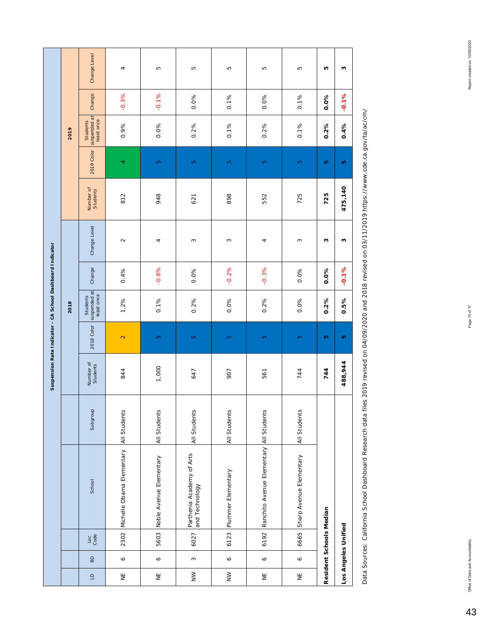|                                                           |      | Change Level                                  | 4                                      | Б                       | LO.                                         | Б                  | LO                                      | Б                       | Ю                       | ω                   |
|-----------------------------------------------------------|------|-----------------------------------------------|----------------------------------------|-------------------------|---------------------------------------------|--------------------|-----------------------------------------|-------------------------|-------------------------|---------------------|
|                                                           |      | Change                                        | $-0.3%$                                | $-0.1%$                 | 0.0%                                        | 0.1%               | 0.0%                                    | 0.1%                    | 0.0%                    | $-0.1%$             |
|                                                           | 2019 | suspended at<br>least once<br><b>Students</b> | 0.9%                                   | 0.0%                    | 0.2%                                        | 0.1%               | 0.2%                                    | 0.1%                    | 0.2%                    | 0.4%                |
|                                                           |      | 2019 Color                                    | 4                                      | Ю                       | Ю                                           | Ю                  | Ю                                       | Ю                       | ю                       | ю                   |
|                                                           |      | Number of<br>Students                         | 812                                    | 948                     | 621                                         | 898                | 552                                     | 725                     | 725                     | 475,140             |
|                                                           |      | Change Level                                  | $\sim$                                 | 4                       | $\sim$                                      | 3                  | 4                                       | ω                       | ω                       | ω                   |
|                                                           |      | Change                                        | 0.4%                                   | $-0.6%$                 | 0.0%                                        | $-0.2%$            | $-0.3%$                                 | 0.0%                    | 0.0%                    | $-0.1%$             |
|                                                           | 2018 | suspended at<br>least once<br>Students        | 1.2%                                   | 0.1%                    | 0.2%                                        | 0.0%               | 0.2%                                    | 0.0%                    | 0.2%                    | 0.5%                |
|                                                           |      | 2018 Color                                    | $\mathbf{\Omega}$                      | Ю                       | Ю                                           | Ю                  | Ю                                       | Ю                       | ю                       | ю                   |
| Suspension Rate Indicator - CA School Dashboard Indicator |      | Number of<br>Students                         | 844                                    | 1,000                   | 647                                         | 907                | 561                                     | 744                     | 744                     | 488,944             |
|                                                           |      | Subgroup                                      |                                        | All Students            | All Students                                | All Students       |                                         | All Students            |                         |                     |
|                                                           |      | School                                        | Michelle Obama Elementary All Students | Noble Avenue Elementary | Parthenia Academy of Arts<br>and Technology | Plummer Elementary | Ranchito Avenue Elementary All Students | Sharp Avenue Elementary |                         |                     |
|                                                           |      | $\frac{\text{Loc}}{\text{Code}}$              | 2302                                   | 5603                    | 6027                                        | 6123               | 6192                                    | 6665                    | Resident Schools Median | Los Angeles Unified |
|                                                           |      | B <sub>D</sub>                                | $\circ$                                | $\circ$                 | $\sim$                                      | $\circ$            | Ó                                       | Ó                       |                         |                     |
|                                                           |      | $\Box$                                        | Ψ                                      | Ψ                       | $\geq$                                      | $\geq$             | $\overline{z}$                          | Ψ                       |                         |                     |

Data Sources: California School Dashboard Research data files 2019 revised on 04/09/2020 and 2018 revised on 03/11/2019 https://www.cde.ca.gov/ta/ac/cm/ Data Sources: California School Dashboard Research data files 2019 revised on 04/09/2020 and 2018 revised on 03/11/2019 https://www.cde.ca.gov/ta/ac/cm/

43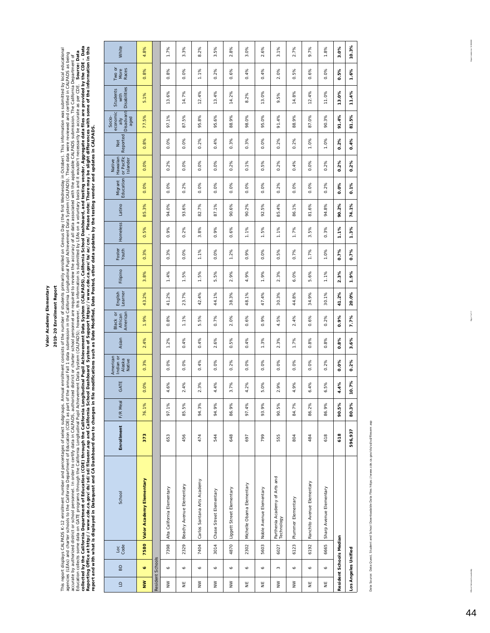### 2019-20 Enrollment Report **2019-20 Enrollment Report**

This report displays CALPADS K-12 enrollment number and percentages of select subgroups. Annual enrollment consists of the marker of students private popy (the first Wednessay in October). This information was submitted by collected by the California Department of Education (CDE) through the California Novelia Longitudinal Pupil Achievement Data and CALPADS), California School Dashboard, and testing vendor. Aggregate data files are provided Reporting Office at http://www.cde.ca.gov/ds/sd/sels/ad/Sdlifemia School Dashboard System of System of Support https://www.cde.ca.gov/ta/ac/cm/. Please note: There may be slight differences with some of the information in This report displays CALPADS K-12 enrollment number and percentage os substitution and an under the number of students primarily enrolled on Census Day (the first Wednesday in October). This information was submitted by lo *Source: Data*  agencies (LEAs) and charter schools to the California Department of Education (of CDE) as part of the annual Fall 1 data submission in the California Longitudinal Pupil Achievem (DALPADS). These data were reviewed and cert accurate by authorized district or school personnel. In order to certify data in CALPADS, authorized district or chorized visted to review the accuracy of all data associated with the applicable CALPADS submission. The Cal Education collects some data on GATE programs through the California Longitudinal Public Athlevement Data System (CALPADS); however, this information is submitted by LEAs on a voluntary basis and it wouldn't necessarily be *report and with what is displayed in Dataquest and CA Dashboard due to changes in file modifications such as Date Modified, Date Posted, other data updates by the testing vendor and updates in CALPADS.* 

| $\Xi$  | BD                  | Loc<br>Code             | School                                      | Enrollment | F/R Meal | GATE         | American<br>Indian or<br>Alaska<br>Native | Asian                         | American<br>Black or<br>African | English<br>Learner | Filipino | Foster<br>Youth | Homeless                  | Latino              | Education<br>Migrant | or Pacific<br>Hawaiian<br>Islander<br>Native | Reported<br><b>Disc</b> | Disadvant-<br>economic<br>Socio-<br>aged<br>$\frac{1}{2}$ | <b>Disabilities</b><br>Students<br>with | Two or<br>Races<br>More | White    |  |
|--------|---------------------|-------------------------|---------------------------------------------|------------|----------|--------------|-------------------------------------------|-------------------------------|---------------------------------|--------------------|----------|-----------------|---------------------------|---------------------|----------------------|----------------------------------------------|-------------------------|-----------------------------------------------------------|-----------------------------------------|-------------------------|----------|--|
| $\geq$ | ø                   | 7580                    | Valor Academy Elementary                    | 373        | 76.1%    | 0.0%         | 0.3%                                      | 2.4%                          | 1.9%                            | 43.2%              | 8%<br>ကိ | 0.3%            | 5%<br>ö                   | 3%<br>85.           | 0.0%                 | 0.0%                                         | 0.8%                    | 5%<br>77.                                                 | 5.1%                                    | 8%<br>ö                 | 8%<br>4  |  |
|        | Resident Schools    |                         |                                             |            |          |              |                                           |                               |                                 |                    |          |                 |                           |                     |                      |                                              |                         |                                                           |                                         |                         |          |  |
| $\geq$ | Ó                   | 7398                    | Alta California Elementary                  | 653        | 97.1%    | 6%<br>4      | 0.0%                                      | 1.2%                          | 8%<br>ö                         | 41.2%              | 1.4%     | 3%<br>ö         | 0.9%                      | 94.0%               | 0.0%                 | 2%<br>ö                                      | 0.0%                    | 97.1%                                                     | 13.6%                                   | 8%<br>ö                 | 1.7%     |  |
| ¥      | Ó                   | 2329                    | Beachy Avenue Elementary                    | 456        | 85.5%    | 4%<br>$\sim$ | 0%<br>ö                                   | 4%<br>ö                       | 1.1%                            | 23.7%              | 1.5%     | 0.0%            | 0.2%                      | $-6%$<br>93.        | 0.2%                 | 0.0%                                         | 0.0%                    | 5%<br>87.                                                 | 14.7%                                   | 0.0%                    | 3.3%     |  |
| $\geq$ | Ó                   | 7404                    | Carlos Santana Arts Academy                 | 474        | 94.3%    | 3%<br>$\sim$ | 4%<br>ö                                   | $-4%$<br>ö                    | 5%<br>ιó                        | 42.4%              | 1.5%     | 1.1%            | 8%<br>$\dot{\mathcal{E}}$ | 82.7%               | 0.0%                 | 0%<br>ö                                      | 0.2%                    | 8%<br>95.                                                 | 12.4%                                   | 1.1%                    | 2%<br>∞  |  |
| $\geq$ | Ó                   | 3014                    | Chase Street Elementary                     | 544        | 94.9%    | 4.4%         | 0.0%                                      | 6%<br>$\overline{\mathbf{N}}$ | 0.7%                            | 44.1%              | 5.5%     | 0.0%            | 0.9%                      | 87.1%               | 0.0%                 | 0.0%                                         | 0.4%                    | 95.6%                                                     | 13.4%                                   | 0.2%                    | 5%<br>ω, |  |
| $\geq$ | Ó                   | 4870                    | Liggett Street Elementary                   | 648        | 86.9%    | 7%<br>s.     | 2%<br>ö                                   | 5%<br>ö                       | 0%<br>$\overline{\mathbf{N}}$   | 38.3%              | 2.9%     | 1.2%            | 0.6%                      | 6%<br>90.           | 0.0%                 | 2%<br>ö                                      | 0.3%                    | 9%<br>$\frac{8}{8}$                                       | 14.2%                                   | 6%<br>ö                 | 8%<br>2. |  |
| ¥      | Ó                   | 2302                    | Michelle Obama Elementary                   | 697        | 97.4%    | 2%<br>4      | 0.0%                                      | 4%<br>ö                       | 0.6%                            | 48.1%              | 4.9%     | 9%<br>ö         | 1.1%                      | 90.2%               | 0.0%                 | 0.1%                                         | 0.3%                    | 0%<br>98                                                  | 8.2%                                    | 0.4%                    | 3.0%     |  |
| ¥      | Ó                   | 5603                    | Noble Avenue Elementary                     | 799        | 93.9%    | 0%<br>ம்     | 0.0%                                      | 1.3%                          | 0.9%                            | 47.4%              | 1.9%     | 0.0%            | 1.5%                      | 5%<br>92.           | 0.0%                 | 5%<br>ö                                      | 0.0%                    | 95.0%                                                     | 13.0%                                   | 0.4%                    | 2.6%     |  |
| $\geq$ | $\infty$            | 6027                    | Parthenia Academy of Arts and<br>Technology | 555        | 90.5%    | 9%<br>$\sim$ | 0.0%                                      | 3%<br>$\overline{\mathsf{N}}$ | 5%<br>4                         | 30.3%              | 2.3%     | 5%<br>ö         | 1.1%                      | 85.4%               | 0.2%                 | 2%<br>ö                                      | 0.2%                    | 4%<br>$\overline{9}$                                      | 5%<br>ö                                 | 2.0%                    | 3.1%     |  |
| $\geq$ | o                   | 6123                    | Plummer Elementary                          | 804        | 84.7%    | 9%<br>4      | 0.0%                                      | 1.7%                          | 2.4%                            | 44.8%              | 6.0%     | 0.7%            | 1.7%                      | 86.1%               | 0.0%                 | 0.4%                                         | 0.2%                    | 9%<br>88                                                  | 14.8%                                   | 5%<br>Ó                 | 2.7%     |  |
| ¥      | Ó                   | 6192                    | Ranchito Avenue Elementary                  | 484        | 86.2%    | 4%<br>۰ö     | 0.0%                                      | 8%<br>ö                       | 0.6%                            | 34.9%              | 5.6%     | 1.7%            | 3.5%                      | 6%<br>$\frac{1}{8}$ | 0.0%                 | 0.0%                                         | 1.0%                    | 87.0%                                                     | 12.4%                                   | 0.6%                    | 9.7%     |  |
| ¥      | o                   | 6665                    | Sharp Avenue Elementary                     | 618        | 86.9%    | 5%<br>۰ö     | 0.2%                                      | 8%<br>ö                       | 0.2%                            | 30.1%              | 1.1%     | 1.0%            | 0.3%                      | 94.8%               | 0.2%                 | 0.2%                                         | 1.0%                    | 90.3%                                                     | 11.0%                                   | 0.0%                    | 1.8%     |  |
|        |                     | Resident Schools Median |                                             | 618        | 90.5%    | 4.4%         | 0.0%                                      | 0.8%                          | 0.9%                            | 41.2%              | 2.3%     | 0.7%            | 1.1%                      | 90.2%               | 0.0%                 | 0.2%                                         | 0.2%                    | 91.4%                                                     | 13.0%                                   | 0.5%                    | 3.0%     |  |
|        | Los Angeles Unified |                         |                                             | 596,937    | 80.3%    | 10.7%        | 0.2%                                      | 3.6%                          | 7.7%                            | 20.0%              | 1.9%     | 0.7%            | 1.3%                      | 74.1%               | 0.1%                 | 0.2%                                         | 0.4%                    | 81.5%                                                     | 11.4%                                   | 1.6%                    | 10.3%    |  |

Data Source: Data Quest, Student and School Downloadable Data Files https://www.cde.ca.gov/ds/sd/sd/filesenr.asp Data Source: Data Quest, Student and School Downloadable Data Files https://www.cde.ca.gov/ds/sd/sd/filesenr.asp Report created on: 1009/2020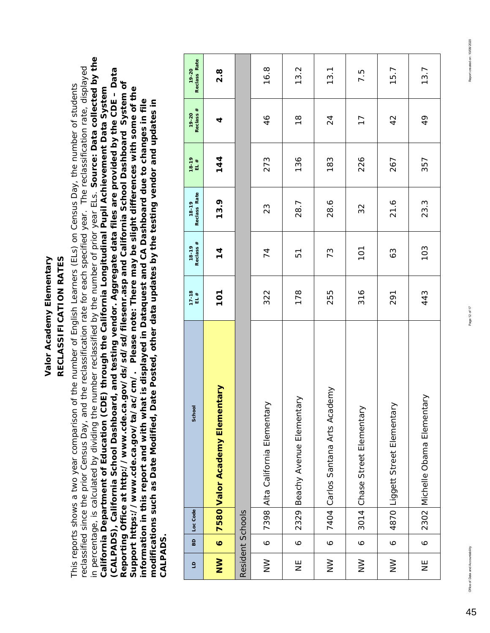RECLASSIFICATION RATES **y RECLASSIFICATION RATES Valor Academy Elementar**

in percentage, is calculated by dividing the number reclassified by the number of prior year ELs. *Source: Data collected by the*  in percentage, is calculated by dividing the number reclassified by the number of prior year ELs. Source: Data collected by the reclassified since the prior Census Day, and the reclassification rate for each specified year. The reclassification rate, displayed reclassified since the prior Census Day, and the reclassification rate for each specified year. The reclassification rate, displayed *(CALPADS), California School Dashboard, and testing vendor. Aggregate data files are provided by the CDE – Data*  (CALPADS), California School Dashboard, and testing vendor. Aggregate data files are provided by the CDE - Data *Reporting Office at http://www.cde.ca.gov/ds/sd/sd/filesenr.asp and California School Dashboard System of*  Reporting Office at http://www.cde.ca.gov/ds/sd/sd/filesenr.asp and California School Dashboard System of This reports shows a two year comparison of the number of English Learners (ELs) on Census Day, the number of students This reports shows a two year comparison of the number of English Learners (ELs) on Census Day, the number of students *California Department of Education (CDE) through the California Longitudinal Pupil Achievement Data System Support https://www.cde.ca.gov/ta/ac/cm/. Please note: There may be slight differences with some of the*  Support https://www.cde.ca.gov/ta/ac/cm/. Please note: There may be slight differences with some of the California Department of Education (CDE) through the California Longitudinal Pupil Achievement Data System *information in this report and with what is displayed in Dataquest and CA Dashboard due to changes in file modifications such as Date Modified, Date Posted, other data updates by the testing vendor and updates in*  information in this report and with what is displayed in Dataquest and CA Dashboard due to changes in file modifications such as Date Modified, Date Posted, other data updates by the testing vendor and updates in *CALPADS.*  CALPADS.

| $\overline{a}$   | BD        | Loc Code         | School                            | $17 - 18$<br>EL # | Reclass #<br>18-19 | Reclass Rate<br>$18 - 19$ | 18-19<br>EL# | Reclass #<br>19-20 | Reclass Rate<br>$19 - 20$ |
|------------------|-----------|------------------|-----------------------------------|-------------------|--------------------|---------------------------|--------------|--------------------|---------------------------|
| $\sum_{i=1}^{n}$ | $\bullet$ |                  | Nary<br>7580 Valor Academy Elemer | <b>701</b>        | $\frac{4}{4}$      | 13.9                      | 144          | 4                  | $2.\overline{8}$          |
|                  |           | Resident Schools |                                   |                   |                    |                           |              |                    |                           |
| $\geq$           | $\circ$   |                  | 7398 Alta California Elementary   | 322               | 74                 | 23                        | 273          | 46                 | 16.8                      |
| Ψ                | $\circ$   |                  | 2329 Beachy Avenue Elementary     | 178               | 51                 | 28.7                      | 136          | $\frac{8}{1}$      | 13.2                      |
| $\geq$           | $\circ$   |                  | 7404 Carlos Santana Arts Academy  | 255               | 73                 | 28.6                      | 183          | $\overline{2}$     | 13.1                      |
| $\geq$           | $\circ$   |                  | 3014 Chase Street Elementary      | 316               | $\overline{101}$   | 32                        | 226          | $\overline{17}$    | 7.5                       |
| $\geq$           | $\circ$   | 4870             | Liggett Street Elementary         | 291               | 63                 | 21.6                      | 267          | 42                 | 15.7                      |
| Ψ                | $\circ$   |                  | 2302 Michelle Obama Elementary    | 443               | 103                | 23.3                      | 357          | 49                 | 13.7                      |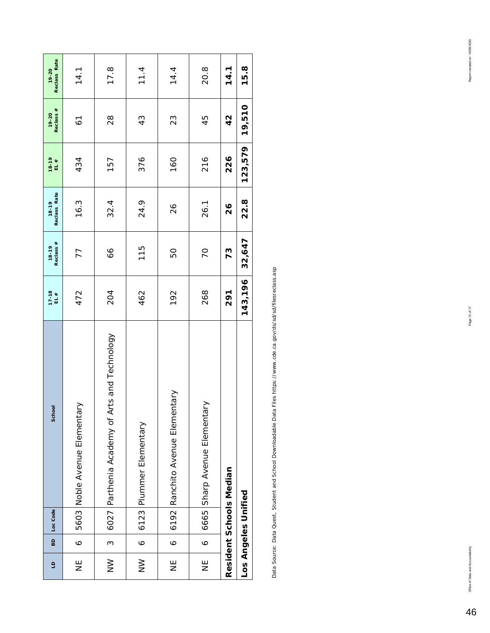| $\overline{a}$ | 60      | School<br>Loc Code                            | $17 - 18$<br>EL # | Reclass #<br>18-19 | Reclass Rate<br>$18 - 19$ | $18 - 19$<br>EL $#$ | Reclass #<br>19-20 | Reclass Rate<br>19-20 |
|----------------|---------|-----------------------------------------------|-------------------|--------------------|---------------------------|---------------------|--------------------|-----------------------|
| Ψ              | $\circ$ | 5603 Noble Avenue Elementary                  | 472               | 77                 | 16.3                      | 434                 | $\overline{6}$     | 14.1                  |
| $\geq$         | ო       | 6027 Parthenia Academy of Arts and Technology | 204               | 99                 | 32.4                      | 157                 | $\frac{8}{2}$      | 17.8                  |
| $\geq$         | $\circ$ | 6123 Plummer Elementary                       | 462               | 115                | 24.9                      | 376                 | 43                 | 11.4                  |
| Ψ              | $\circ$ | 6192 Ranchito Avenue Elementary               | 192               | 50                 | $\frac{2}{6}$             | 160                 | 23                 | 14.4                  |
| Ψ              | $\circ$ | 6665 Sharp Avenue Elementary                  | 268               | 70                 | 26.1                      | 216                 | 45                 | 20.8                  |
|                |         | Resident Schools Median                       | 291               | 73                 | $\frac{26}{5}$            | 226                 | $\frac{2}{3}$      | 14.1                  |
|                |         | Los Angeles Unified                           | 143,196           | 32,647             | 22.8                      | 123,579             | 19,510             | 15.8                  |

Data Source: Data Quest, Student and School Downloadable Data Files https://www.cde.ca.gov/ds/sd/filesreclass.asp Data Source: Data Quest, Student and School Downloadable Data Files https://www.cde.ca.gov/ds/sd/sd/filesreclass.asp

46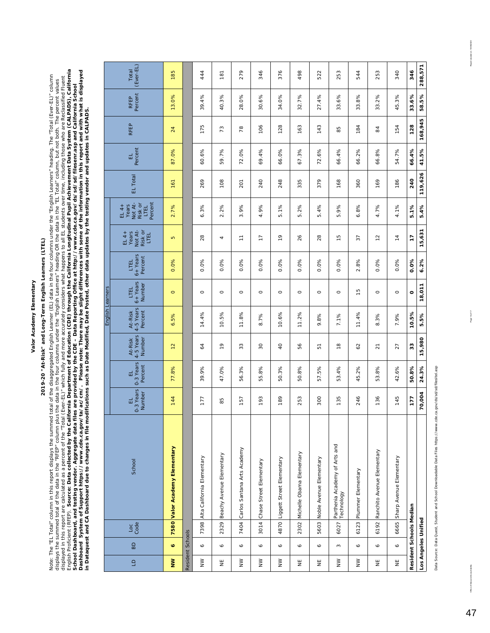## 2019-20 "At-Risk" and Long-Term English Learners (LTEL) **2019-20 "At-Risk" and Long-Term English Learners (LTEL)**

English Proficient (RFEP). Source: Data collected by the California Department of Education (CDE) through the California Longitudinal Pupil Achievement Data System (CALPADS), California<br>School Dashboard, and testing vendor English Proficient (RFEP). *Source: Data collected by the California Department of Education (CDE) through the California Longitudinal Pupil Achievement Data System (CALPADS), California Dashboard System of Support https://www.cde.ca.gov/ta/ac/cm/. Please note: There may be slight differences with some of the information in this report and with what is displayed*  Note: The "EL Total" column in this report displays the summed total of the disaggregated English Learner (EL) data in the four columns under the "English Learners" heading. The "Total (Ever-EL)" column<br>displays the summed Note: The "EL Total" column in this report displays the summed total of the disaggregated English Learner (EL) data in the four columns under the "English Learners" heading. The "Total (Ever-EL)" column displayed in this report are calculated as a percent of the "Total (Ever-EL)" which fully and more accurately considers what happens to all EL students over time, including those who are Reclassified Fluent displayed in this report are calculated as a percent of the "Total (Ever-EL)" which fully and more accurately considers what happens to all EL students over time, including those who are Reclassified Fluent displays the summed total of the data in the "RFEP" column plus the data in the four columns under the "English Learners" heading OR the data in the "EL Total" column, but not both. The percent values *School Dashboard, and testing vendor. Aggregate data files are provided by the CDE – Data Reporting Office at http://www.cde.ca.gov/ds/sd/sd/filesenr.asp and California School in Dataquest and CA Dashboard due to changes in file modifications such as Date Modified, Date Posted, other data updates by the testing vendor and updates in CALPADS.* 

|                                                                             |                  |                         |                                             |                          |                           |                                |                                 | English Learners           |                               |                                                |                                                         |          |              |               |                 |                    |
|-----------------------------------------------------------------------------|------------------|-------------------------|---------------------------------------------|--------------------------|---------------------------|--------------------------------|---------------------------------|----------------------------|-------------------------------|------------------------------------------------|---------------------------------------------------------|----------|--------------|---------------|-----------------|--------------------|
| $\Xi$                                                                       | BD               | Loc<br>Code             | School                                      | 0-3 Years<br>Number<br>급 | 0-3 Years<br>Percent<br>급 | 4-5 Years<br>Number<br>At-Risk | 4-5 Years<br>Percent<br>At-Risk | 6+ Years<br>Number<br>LTEL | 6+ Years<br>Percent<br>LTEL   | Not At-<br>Risk or<br>Years<br>$EL4+$<br>LTEL  | Not At-<br>Percent<br>Risk or<br>EL 4+<br>Years<br>LTEL | EL Total | Percent<br>급 | <b>RFEP</b>   | Percent<br>RFEP | (Ever-EL)<br>Total |
| $\geq$                                                                      | Ó                |                         | 7580 Valor Academy Elementary               | 144                      | 77.8%                     | $\overline{12}$                | 5%<br>ة                         | $\circ$                    | 0.0%                          | Б                                              | 2.7%                                                    | 161      | 87.0%        | 24            | 13.0%           | 185                |
|                                                                             | Resident Schools |                         |                                             |                          |                           |                                |                                 |                            |                               |                                                |                                                         |          |              |               |                 |                    |
| $\geq$                                                                      | $\bullet$        | 7398                    | Alta California Elementary                  | 177                      | 39.9%                     | 3                              | 14.4%                           | $\circ$                    | 0.0%                          | 28                                             | 6.3%                                                    | 269      | 60.6%        | 175           | 39.4%           | 444                |
| $\overline{z}$                                                              | $\mathsf{o}$     | 2329                    | Beachy Avenue Elementary                    | 85                       | 47.0%                     | $\overline{e}$                 | 10.5%                           | $\circ$                    | 0.0%                          | 4                                              | 2.2%                                                    | 108      | 59.7%        | 73            | 40.3%           | 181                |
| $\geq$                                                                      | $\mathsf{o}$     |                         | 7404 Carlos Santana Arts Academy            | 157                      | 56.3%                     | 33                             | 11.8%                           | $\circ$                    | 0.0%                          | $\overline{\overline{\phantom{a}}\phantom{a}}$ | 3.9%                                                    | 201      | 72.0%        | 78            | 28.0%           | 279                |
| $\geq$                                                                      | $\mathsf{o}$     | 3014                    | Chase Street Elementary                     | 193                      | 55.8%                     | $30\,$                         | 8.7%                            | $\circ$                    | 0.0%                          | $\overline{1}$                                 | 4.9%                                                    | 240      | 69.4%        | 106           | 30.6%           | 346                |
| $\geq$                                                                      | $\bullet$        | 4870                    | Liggett Street Elementary                   | 189                      | 50.3%                     | $\overline{Q}$                 | 10.6%                           | $\circ$                    | 0.0%                          | $\frac{1}{2}$                                  | 5.1%                                                    | 248      | 66.0%        | 128           | 34.0%           | 376                |
| Ψ                                                                           | Ó                | 2302                    | Michelle Obama Elementary                   | 253                      | 50.8%                     | 56                             | 11.2%                           | $\circ$                    | 0.0%                          | 26                                             | 5.2%                                                    | 335      | 67.3%        | 163           | 32.7%           | 498                |
| $\stackrel{\scriptscriptstyle{\mathsf{L}}}{\scriptscriptstyle{\mathsf{Z}}}$ | $\mathsf{o}$     | 5603                    | Noble Avenue Elementary                     | 300                      | 57.5%                     | 51                             | 9.8%                            | $\circ$                    | 0.0%                          | 28                                             | 5.4%                                                    | 379      | 72.6%        | 143           | 27.4%           | 522                |
| $\geq$                                                                      | $\sim$           | 6027                    | Parthenia Academy of Arts and<br>Technology | 135                      | 53.4%                     | $\frac{\infty}{2}$             | 7.1%                            | $\circ$                    | 0.0%                          | $\frac{5}{1}$                                  | 5.9%                                                    | 168      | 66.4%        | 85            | 33.6%           | 253                |
| $\geq$                                                                      | $\mathsf{o}$     | 6123                    | Plummer Elementary                          | 246                      | 45.2%                     | 62                             | 11.4%                           | $\frac{5}{1}$              | 8%<br>$\overline{\mathsf{N}}$ | 37                                             | 6.8%                                                    | 360      | 66.2%        | 184           | 33.8%           | 544                |
| Ψ                                                                           | $\mathsf{o}$     | 6192                    | Ranchito Avenue Elementary                  | 136                      | 53.8%                     | $\overline{2}$                 | 3%<br>∞                         | $\circ$                    | 0.0%                          | $\overline{1}$                                 | 4.7%                                                    | 169      | 66.8%        | $\frac{4}{3}$ | 33.2%           | 253                |
| Ψ                                                                           | $\mathsf{o}$     | 6665                    | Sharp Avenue Elementary                     | 145                      | 42.6%                     | 27                             | 7.9%                            | $\circ$                    | 0.0%                          | $\frac{4}{3}$                                  | 4.1%                                                    | 186      | 54.7%        | 154           | 45.3%           | 340                |
|                                                                             |                  | Resident Schools Median |                                             | 177                      | 50.8%                     | 33                             | 10.5%                           | $\circ$                    | 0.0%                          | LL                                             | 5.1%                                                    | 240      | 66.4%        | 128           | 33.6%           | 346                |
|                                                                             |                  | Los Angeles Unified     |                                             | 70,004                   | 24.3%                     | 15,980                         | 5.5%                            | 18,011                     | 6.2%                          | 631<br>$\overline{15}$                         | 5.4%                                                    | 119,626  | 41.5%        | 168,945       | 58.5%           | 288,571            |

Data Source: Data Quest, Student and School Downloadable Data Files https://www.cde.ca.gov/ds/sd/sd/filesitel.asp Data Source: Data Quest, Student and School Downloadable Data Files https://www.cde.ca.gov/ds/sd/sd/filesltel.asp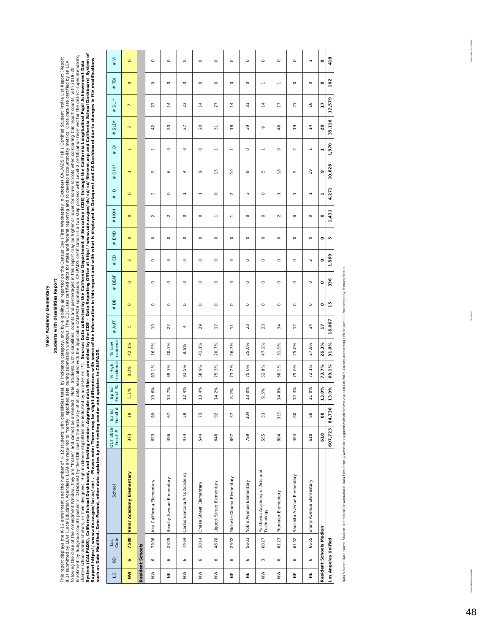## Students with Disabilities Report **Students with Disabilities Report**

This report displays the K-12 arrollment and the number of K-12 students with disabilities total, ly incidence category, and by eligibility as reported on the Census Day (First Wednesslay in October) CALPADS Fall 1 Certifi System (CALPADS), California School of asthing vendor. Aggregate data files are provided by the CDE – Data Reporting Office at http://www.cde.ca.gov/da/sd/silesem.asp and California School Dashboard System of Enrollment by Subgroup counts posted in DataDuest by the CDE due to the accuracy of all data associated with the applicable CALPADS submission. CALPADS certification is a two-step process with Level-2 certification resenve This report displays the K-12 enrollment and the number of K-12 students with disabilities total, by incidence category, and by eligibility as reported on the Census Day (First Wednesday in October) CALPADS Fall 1 Centifie Support https://www.cde.ca.gov/ta/ac/cm/. Please note: There may be slight differences with some of the information in this report and with what is displayed in Dataquest and CA Dashboard due to changes in file modificatio *Source: Data collected by the California Department of Education (CDE) through the California Longitudinal Pupil Achievement Data*  8.1) submitted by LEAs are required to "certify" specified data during submission windows. The CDE uses certified data for state and federal reporting and to develop accountability metrics. Once data are certified by an LE following the close of the Amend Mindow, they are "frozen" and cannot be amended values butters when this report may be higher or lower for some schools when comparing with 2019-20 *such as Date Modified, Date Posted, other data updates by the testing vendor and updates in CALPADS.*  charter school administrators, or their designees. High incidence eligibilities are indicated by an asterisk (\*).

Data Source: Data Quest, Student and School Downloadable Data Files Hitps://www.cde.ca.gov/dssd/ilessen.asp and CALPADS County Authorizing LEA Report 1.1 Enrollment by Primary Status Data Source: Data Quest, Student and School Downloadable Data Files https://www.cde.ca.gov/ds/sd/sd/filesenr.asp and CALPADS County Authorizing LEA Report 1.1 Enrollment by Primary Status.

Report anested on: 1009/2020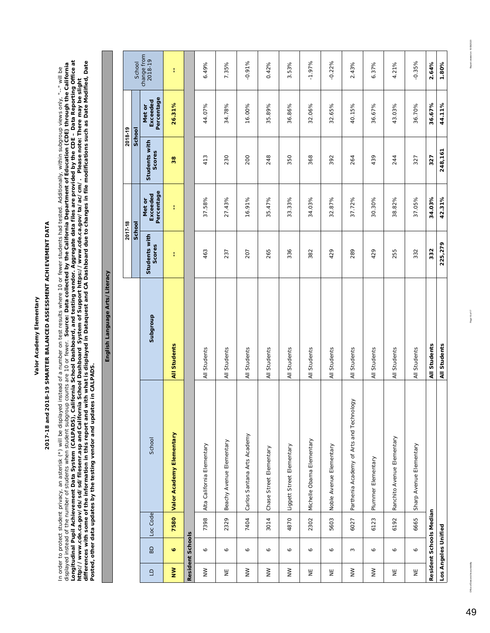# 2017-18 and 2018-19 SMARTER BALANCED ASSESSMENT ACHIEVEMENT DATA **2017-18 and 2018-19 SMARTER BALANCED ASSESSMENT ACHIEVEMENT DATA**

In order to protect student privacy, an asterisk (\*) will be displayed instead of a number on test results where 10 or fewer students had tested. Additionally, within subgroup views only, "--" will be<br>displayed instead of *Longitudinal Pupil Achievement Data System (CALPADS), California School Dashboard, and testing vendor. Aggregate data files are provided by the CDE – Data Reporting Office at differences with some of the information in this report and with what is displayed in Dataquest and CA Dashboard due to changes in file modifications such as Date Modified, Date*  displayed instead of the number of students when student subgroup counts are 10 or fewer. *Source: Data collected by the California Department of Education (CDE) through the California*  In order to protect student privacy, an asterisk (\*) will be displayed instead of a number on test results where 10 or fewer students had tested. Additionally, within subgroup views only, "--" will be *http://www.cde.ca.gov/ds/sd/sd/filesenr.asp and California School Dashboard System of Support https://www.cde.ca.gov/ta/ac/cm/. Please note: There may be slight Posted, other data updates by the testing vendor and updates in CALPADS.* 

**English Language Arts/Literacy**

English Language Arts/Literacy

|                                                                             |                     |                         |                                          |              | 2017-18                 |                                  | 2018-19                 |                                  |                        |
|-----------------------------------------------------------------------------|---------------------|-------------------------|------------------------------------------|--------------|-------------------------|----------------------------------|-------------------------|----------------------------------|------------------------|
|                                                                             |                     |                         |                                          |              | School                  |                                  | School                  |                                  | School                 |
| $\Box$                                                                      | BD                  | Loc Code                | School                                   | Subgroup     | Students with<br>Scores | Percentage<br>Exceeded<br>Met or | Students with<br>Scores | Percentage<br>Exceeded<br>Met or | change from<br>2018-19 |
| $\geq$                                                                      | ø                   | 7580                    | Valor Academy Elementary                 | All Students | ŧ                       | ł                                | 38                      | 26.31%                           | ł                      |
|                                                                             | Resident Schools    |                         |                                          |              |                         |                                  |                         |                                  |                        |
| $\geq$                                                                      | $\bullet$           | 7398                    | Alta California Elementary               | All Students | 463                     | 37.58%                           | 413                     | 44.07%                           | 6.49%                  |
| $\stackrel{\scriptscriptstyle{\mathsf{L}}}{\scriptscriptstyle{\mathsf{Z}}}$ | $\bullet$           | 2329                    | Beachy Avenue Elementary                 | All Students | 237                     | 27.43%                           | 230                     | 34.78%                           | 7.35%                  |
| $\geq$                                                                      | $\bullet$           | 7404                    | Carlos Santana Arts Academy              | All Students | 207                     | 16.91%                           | 200                     | 16.00%                           | $-0.91%$               |
| $\geq$                                                                      | $\bullet$           | 3014                    | Chase Street Elementary                  | All Students | 265                     | 35.47%                           | 248                     | 35.89%                           | 0.42%                  |
| $\geq$                                                                      | $\circ$             | 4870                    | Liggett Street Elementary                | All Students | 336                     | 33.33%                           | 350                     | 36.86%                           | 3.53%                  |
| Ψ                                                                           | Ó                   | 2302                    | Michelle Obama Elementary                | All Students | 382                     | 34.03%                           | 368                     | 32.06%                           | $-1.97%$               |
| $\overline{z}$                                                              | $\circ$             | 5603                    | Noble Avenue Elementary                  | All Students | 429                     | 32.87%                           | 392                     | 32.65%                           | $-0.22%$               |
| $\geq$                                                                      | 3                   | 6027                    | Parthenia Academy of Arts and Technology | All Students | 289                     | 37.72%                           | 264                     | 40.15%                           | 2.43%                  |
| $\geq$                                                                      | Ó                   | 6123                    | Plummer Elementary                       | All Students | 429                     | 30.30%                           | 439                     | 36.67%                           | 6.37%                  |
| Ψ                                                                           | 6                   | 6192                    | Ranchito Avenue Elementary               | All Students | 255                     | 38.82%                           | 244                     | 43.03%                           | 4.21%                  |
| 当                                                                           | P                   | 6665                    | Sharp Avenue Elementary                  | All Students | 332                     | 37.05%                           | 327                     | 36.70%                           | $-0.35%$               |
|                                                                             |                     | Resident Schools Median |                                          | All Students | 332                     | 34.03%                           | 327                     | 36.67%                           | 2.64%                  |
|                                                                             | Los Angeles Unified |                         |                                          | All Students | 225,279                 | 42.31%                           | 248,161                 | 44.11%                           | 1.80%                  |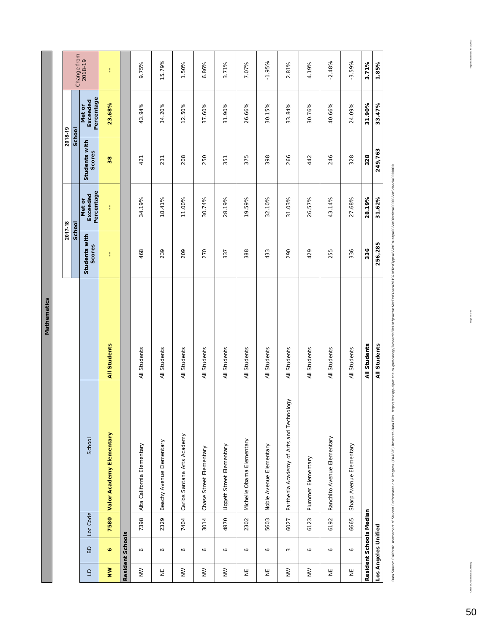Mathematics **Mathematics**

|                                                                                                                                                                                          |                         |                         |                                                                                                                                                                                                                                |                     | 2017-18                 |                                  | 2018-19                 |                                  |             |
|------------------------------------------------------------------------------------------------------------------------------------------------------------------------------------------|-------------------------|-------------------------|--------------------------------------------------------------------------------------------------------------------------------------------------------------------------------------------------------------------------------|---------------------|-------------------------|----------------------------------|-------------------------|----------------------------------|-------------|
|                                                                                                                                                                                          |                         |                         |                                                                                                                                                                                                                                |                     | School                  |                                  | School                  |                                  | Change from |
| $\Box$                                                                                                                                                                                   | BD                      | Loc Code                | School                                                                                                                                                                                                                         |                     | Students with<br>Scores | Percentage<br>Exceeded<br>Met or | Students with<br>Scores | Percentage<br>Exceeded<br>Met or | 2018-19     |
| $\geq$                                                                                                                                                                                   | o                       | 7580                    | Valor Academy Elementary                                                                                                                                                                                                       | <b>All Students</b> | Ŧ                       | ŧ                                | 38                      | 23.68%                           | ŧ           |
|                                                                                                                                                                                          | <b>Resident Schools</b> |                         |                                                                                                                                                                                                                                |                     |                         |                                  |                         |                                  |             |
| $\geq$                                                                                                                                                                                   | $\bullet$               | 7398                    | Alta California Elementary                                                                                                                                                                                                     | All Students        | 468                     | 34.19%                           | 421                     | 43.94%                           | 9.75%       |
| Ψ                                                                                                                                                                                        | P                       | 2329                    | Beachy Avenue Elementary                                                                                                                                                                                                       | All Students        | 239                     | 18.41%                           | 231                     | 34.20%                           | 15.79%      |
| $\geq$                                                                                                                                                                                   | Ó                       | 7404                    | Carlos Santana Arts Academy                                                                                                                                                                                                    | All Students        | 209                     | 11.00%                           | 208                     | 12.50%                           | 1.50%       |
| $\geqq$                                                                                                                                                                                  | Ó                       | 3014                    | Chase Street Elementary                                                                                                                                                                                                        | All Students        | 270                     | 30.74%                           | 250                     | 37.60%                           | 6.86%       |
| $\geqq$                                                                                                                                                                                  | $\bullet$               | 4870                    | Liggett Street Elementary                                                                                                                                                                                                      | All Students        | 337                     | 28.19%                           | 351                     | 31.90%                           | 3.71%       |
| $\stackrel{\scriptscriptstyle{\mathsf{E}}}{\scriptscriptstyle{\mathsf{Z}}}$                                                                                                              | ∘                       | 2302                    | Michelle Obama Elementary                                                                                                                                                                                                      | All Students        | 388                     | 19.59%                           | 375                     | 26.66%                           | 7.07%       |
| Ψ                                                                                                                                                                                        | $\bullet$               | 5603                    | Noble Avenue Elementary                                                                                                                                                                                                        | All Students        | 433                     | 32.10%                           | 398                     | 30.15%                           | $-1.95%$    |
| $\geq$                                                                                                                                                                                   | 2                       | 6027                    | Parthenia Academy of Arts and Technology                                                                                                                                                                                       | All Students        | 290                     | 31.03%                           | 266                     | 33.84%                           | 2.81%       |
| $\geqq$                                                                                                                                                                                  | Ó                       | 6123                    | Plummer<br>Elementary                                                                                                                                                                                                          | All Students        | 429                     | 26.57%                           | 442                     | 30.76%                           | 4.19%       |
| $\stackrel{\smash{\mathop{\boldsymbol{\mathop{\scriptstyle\mathop{\boldsymbol{\mathop{\scriptstyle\mathop{\boldsymbol{z}}}}}}}}}{\smash{\mathop{\boldsymbol{\mathop{\boldsymbol{z}}}}}}$ | $\bullet$               | 6192                    | Ranchito Avenue Elementary                                                                                                                                                                                                     | All Students        | 255                     | 43.14%                           | 246                     | 40.66%                           | $-2.48%$    |
| Ψ                                                                                                                                                                                        | $\bullet$               | 6665                    | Sharp Avenue Elementary                                                                                                                                                                                                        | All Students        | 336                     | 27.68%                           | 328                     | 24.09%                           | $-3.59%$    |
|                                                                                                                                                                                          |                         | Resident Schools Median |                                                                                                                                                                                                                                | All Students        | 336                     | 28.19%                           | 328                     | 31.90%                           | 3.71%       |
|                                                                                                                                                                                          | Los Angeles Unified     |                         |                                                                                                                                                                                                                                | All Students        | 256,285                 | 31.62%                           | 249,763                 | 33.47%                           | 1.85%       |
|                                                                                                                                                                                          |                         |                         | Data Source: California Assessment of Student Performance and Progress (CAASPP) Research Data Elles. https://caaspp-leas.cde.ca.gov/caaspp/ResearchFielLEr/25=irue&isfTestYea=2019&isfTestType=B&isfCounty=00&isfDefici+000000 |                     |                         |                                  |                         |                                  |             |

š ì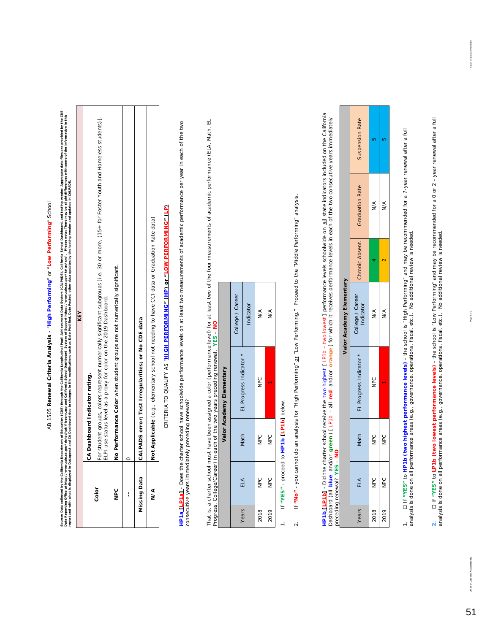# AB 1505 Renewal Criteria Analysis - "High Performing" or "Low Performing" School AB 1505 **Renewal Criteria Analysis** - "**High Performing**" or "**Low Performing**" School

Sarre: Data celected by the California Department of Education (CDE) through the Californic Data System (CALPADS), California School and testing verder. Aggregate data files are provided by the CDE –<br>Provided a market of t Source: Data collected by the California Department of Education of CED in the California Longitudinal Pupil Achievement Data System (CALPADS), California School Dashboard, and testing vendor. Aggregate data files are prov Data Reporting Office at http://www.cde.ca.gov/ds/sdde.ca.gov/19/3d/file.sem or Support https://www.cde.ca.gov/ta/2ac/cm/. Please note: There may be slight differences with some of the information in this *report and with what is displayed in Dataquest and CA Dashboard due to changes in file modifications such as Date Modified, Date Posted, other data updates by the testing vendor and updates in CALPADS.* 

|        | KEY                                                                                                                                                                                                          |
|--------|--------------------------------------------------------------------------------------------------------------------------------------------------------------------------------------------------------------|
|        | CA Dashboard Indicator rating.                                                                                                                                                                               |
| Color  | For student groups, colors represent numerically significant subgroups [i.e. 30 or more, (15+ for Foster Youth and Homeless students)].<br>ELPI use status level as a proxy for color on the 2019 Dashboard. |
| s<br>S | No Performance Color when student groups are not numerically significant.                                                                                                                                    |
|        |                                                                                                                                                                                                              |
|        | Missing Data   CALPADS error; Test Irregularities; or No CDE data                                                                                                                                            |
| ≤<br>≥ | Not Applicable (e.g., elementary school not needing to have CCI data or Graduation Rate data)                                                                                                                |
|        |                                                                                                                                                                                                              |

CRITERIA TO QUALIFY AS "<mark>HIGH PERFORMING" (HP) or "LOW PERFORMING" (LP)</mark> CRITERIA TO QUALIFY AS "**HIGH PERFORMING" (HP) or "LOW PERFORMING" (LP)** HP1a [LP1a] - Does the charter school have schoolwide performance levels on at least two measurements of academic performance per year in each of the two **HP1a [LP1a]** - *Does the charter school have schoolwide performance levels on at least two measurements of academic performance per year in each of the two*  consecutive years immediately preceding renewal? *consecutive years immediately preceding renewal?* 

That is, a charter school must have been assigned a color (performance level) for at least two of the four measurements of academic performance (ELA, Math, EL<br>Progress, College/Career) in each of the two years preceding re That is, a charter school must have been assigned a color (performance level) for at least two of the four measurements of academic performance (ELA, Math, EL Progress, College/Career) in each of the two years preceding renewal. **YES** – **NO**

|                          | College / Career | Indicator               | $\frac{1}{2}$ | $\frac{1}{2}$ |
|--------------------------|------------------|-------------------------|---------------|---------------|
| Valor Academy Elementary |                  | EL Progress Indicator * | NPC           |               |
|                          |                  | Math                    | DC            | NPC           |
|                          |                  | ELA                     | <b>NPC</b>    | NPC           |
|                          |                  | Years                   | 2018          | 2019          |

If "YES" - proceed to HP1b [LP1b] below. 1. If **"YES"** - proceed to **HP1b [LP1b]** below.  $\frac{1}{\sqrt{2}}$  If "No" - you cannot do an analysis for "High Performing" or "Low Performing." Proceed to the "Middle Performing" analysis. 2. If **"No"** - you cannot do an analysis for "High Performing" or "Low Performing." Proceed to the "Middle Performing" analysis.  $\alpha$ 

**HP1b<u>,</u> [LP1b]** - Did the charter school receive the two highest [ LP1b – two lowest] performance levels schoolwide on <u>all</u> state indicators included on the California<br>Dashboard (all **blue** and/or **green**) [ LP1b – all **HP1b [LP1b]** - *Did the charter school receive the two highest [ LP1b – two lowest ] performance levels schoolwide on all state indicators included on the California*  Dashboard (all blue and/or green) [LP1b - all red and/or orange] for which it receives performance levels in each of the two consecutive years immediately *preceding renewal?* **YES** – **NO**

|                          | Suspension Rate                 |               |               |
|--------------------------|---------------------------------|---------------|---------------|
|                          | Chronic Absent. Graduation Rate | ≸             | $\leq$        |
|                          |                                 |               |               |
| Valor Academy Elementary | College / Career<br>Indicator   | $\frac{1}{2}$ | $\frac{1}{2}$ |
|                          | EL Progress Indicator           | )<br>B        |               |
|                          | Math                            | DC<br>D       | DC<br>PC      |
|                          | É                               | o<br>N        | nec           |
|                          | Years                           | 2018          | 2019          |

1. ☐ If **"YES"** to **HP1b (two highest performance levels)** - the school is "High Performing" and may be recommended for a 7-year renewal after a full analysis is done on all performance areas (e.g., governance, operations, fiscal, etc.). No additional review is needed.

2. [1 f "YES" to **LP1b (two lowest performance levels)** - the school is "Low Performing" and may be recommended for a 0 or 2 - year renewal after a full<br>analysis is done on all performance areas (e.g., governance, operatio **2.** ☐ If **"YES"** to **LP1b (two lowest performance levels)** - the school is "Low Performing" and may be recommended for a 0 or 2 - year renewal after a full analysis is done on all performance areas (e.g., governance, operations, fiscal, etc.). No additional review is needed.

51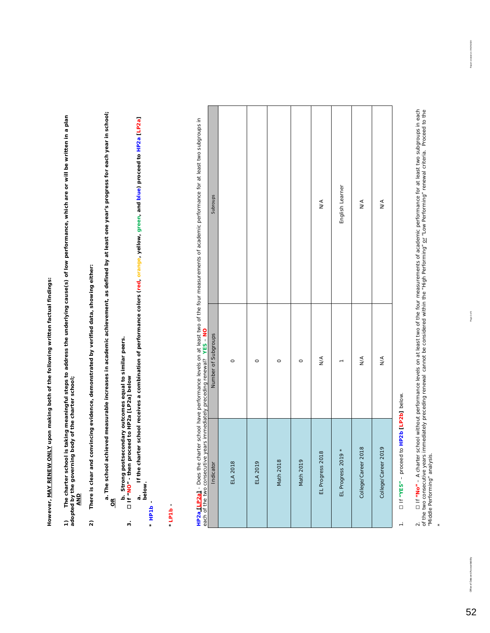However, MAY RENEW ONLY upon making both of the following written factual findings: **However, MAY RENEW ONLY upon making both of the following written factual findings:**

**1) The charter school is taking meaningful steps to address the underlying cause(s) of low performance, which are or will be written in a plan adopted by the governing body of the charter school;**  1) The charter school is taking meaningful steps to address the underlying cause(s) of low performance, which are or will be written in a plan<br>adopted by the governing body of the charter school;<br>\_AND

There is clear and convincing evidence, demonstrated by verified data, showing either: **2) There is clear and convincing evidence, demonstrated by verified data, showing either:**  $\widehat{\mathbf{z}}$ 

**a. The school achieved measurable increases in academic achievement, as defined by at least one year's progress for each year in school;** a. The school achieved measurable increases in academic achievement, as defined by at least one year's progress for each year in school;<br><u>OR</u>

b. Strong postsecondary outcomes equal to similar peers.<br>[11 "NO" - then proceed to HP2a [LP2a] below **b. Strong postsecondary outcomes equal to similar peers. 3.** ☐ **If "NO" - then proceed to HP2a [LP2a] below**

 $\ddot{\phantom{0}}$ 

If the charter school receives a combination of performance colors (red, orange, yellow, green, and blue) proceed to HP2a [LP2a] **a. If the charter school receives a combination of performance colors (red, orange, yellow, green, and blue) proceed to HP2a [LP2a]**  a.<br>below. **below.** 

**\****HP1b -* 

#### *\*LP1b -*

| ļ                                                           |             |
|-------------------------------------------------------------|-------------|
|                                                             |             |
|                                                             |             |
|                                                             |             |
|                                                             |             |
|                                                             |             |
|                                                             |             |
|                                                             |             |
|                                                             |             |
|                                                             |             |
|                                                             |             |
|                                                             |             |
|                                                             |             |
|                                                             |             |
|                                                             |             |
|                                                             |             |
|                                                             |             |
|                                                             |             |
|                                                             |             |
|                                                             |             |
| i                                                           |             |
|                                                             |             |
| י<br>י                                                      |             |
| j                                                           |             |
| ֚֕֡֡֡֡<br>١<br>į                                            |             |
| ֚֚֚֡                                                        |             |
| į                                                           |             |
|                                                             |             |
|                                                             |             |
|                                                             |             |
|                                                             |             |
|                                                             |             |
|                                                             |             |
|                                                             |             |
|                                                             |             |
|                                                             |             |
| í                                                           | ľ<br>l      |
|                                                             |             |
|                                                             |             |
|                                                             |             |
|                                                             |             |
|                                                             |             |
|                                                             |             |
| i                                                           |             |
| Se ces                                                      |             |
|                                                             |             |
|                                                             |             |
|                                                             |             |
|                                                             |             |
|                                                             | ć           |
|                                                             |             |
|                                                             |             |
|                                                             |             |
|                                                             |             |
| ֖֖֖֖֖֖֖֖֧ׅ֖ׅ֪ׅ֪֪ׅ֪֪֪ׅ֪֧֪֧֚֚֚֚֚֚֚֚֚֚֚֚֚֚֚֚֚֚֚֚֚֚֚֬֝֓֓֓֞֬֝֬֝֬ |             |
|                                                             |             |
|                                                             |             |
|                                                             | Í           |
| ι                                                           |             |
|                                                             |             |
|                                                             |             |
| $\overline{\phantom{a}}$                                    |             |
| I                                                           | ï           |
|                                                             | Ξ           |
| è                                                           | ì<br>ī<br>; |

|                                                                           | Subroups            |                 |                 |           |           | $\mathbb{N}^{\mathbb{A}}$ | English Learner    | $\sum_{i=1}^{n}$    | $\mathbb{N}^{\mathbb{A}}$ |  |
|---------------------------------------------------------------------------|---------------------|-----------------|-----------------|-----------|-----------|---------------------------|--------------------|---------------------|---------------------------|--|
|                                                                           | Number of Subgroups | $\circ$         | $\circ$         | $\circ$   | $\circ$   | $\frac{4}{\sqrt{2}}$      |                    | $\sum_{i=1}^{n}$    | $\sum_{i=1}^{n}$          |  |
| each of the two consecutive years immediately preceding renewal? YES - NO | Indicator           | <b>ELA 2018</b> | <b>ELA 2019</b> | Math 2018 | Math 2019 | EL Progress 2018          | EL Progress 2019 * | College/Career 2018 | College/Career 2019       |  |

1. ☐ If **"YES"** – proceed to **HP2b [LP2b]** below. If "YES" - proceed to HP2b [LP2b] below.  $\frac{1}{2}$ 

52

<sup>2. [1</sup> f "No" – A charter school without performance levels on at least two of the four measurements of academic performance for at least two subgroups in each<br>of the two consecutive years immediately preceding renewal cann 2. ☐ If **"No"** – A charter school without *performance levels on at least two of the four measurements of academic performance for at least two subgroups in each of the two consecutive years immediately preceding renewal* cannot be considered within the "High Performing" or "Low Performing" renewal criteria. Proceed to the "Middle Performing" analysis. \*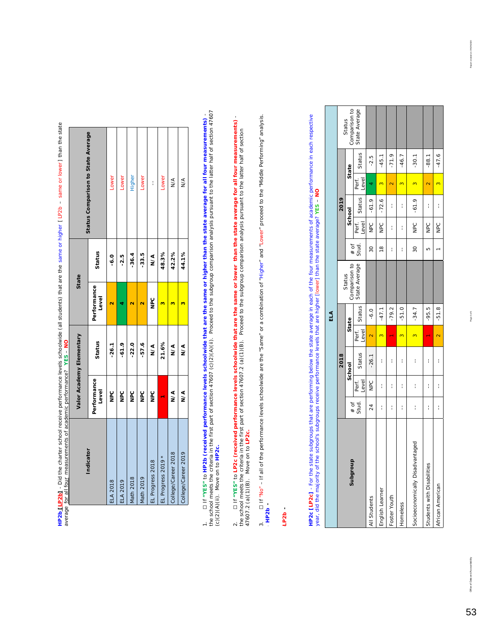|                                                                                                                                                                                                                                |                          | Status Comparison to State Average | Lower           | Lower           | <b>Higher</b> | Lower     | I                | Lower              | ∧<br>M∕             | $\frac{4}{2}$       |
|--------------------------------------------------------------------------------------------------------------------------------------------------------------------------------------------------------------------------------|--------------------------|------------------------------------|-----------------|-----------------|---------------|-----------|------------------|--------------------|---------------------|---------------------|
|                                                                                                                                                                                                                                |                          | Status                             | 0.<br>م         | $-2.5$          | $-36.4$       | $-33.5$   | N/A              | 48.3%              | 42.2%               | 44.1%               |
|                                                                                                                                                                                                                                | State                    | Performance<br>Level               |                 |                 |               |           | o<br>S           |                    |                     |                     |
|                                                                                                                                                                                                                                | Valor Academy Elementary | Status                             | $-26.1$         | $-61.9$         | $-22.0$       | $-57.6$   | ∕<br>N∕A         | 21.6%              | ∕<br>≥              | ∖<br>≥              |
|                                                                                                                                                                                                                                |                          | Performance<br>Level               | o<br>B          | o<br>B          | o<br>B        | o<br>B    | )<br>PC          |                    | Տ∕∢                 | ∕<br>≥              |
| DISPLACEMENT CONTROLLED STREET CONSTRUCTION CONTROLLED IN THE STATE OF THE STATE OF THE STATE OF THE STATE OF THE STATE OF THE STATE OF THE STATE OF THE STATE OF THE STATE OF THE STATE OF THE STATE OF THE STATE OF THE STAT |                          | Indicator                          | <b>ELA 2018</b> | <b>ELA 2019</b> | Math 2018     | Math 2019 | EL Progress 2018 | EL Progress 2019 * | College/Career 2018 | College/Career 2019 |

HP2b<mark>[LP2b]</mark> - Did the charter school receive performance levels schoolwide (all students) that are the same or higher [LP2b – same or lower] than the state<br>average <u>for all four</u> measurements of academic performance? YES **HP2b [LP2b]** - *Did the charter school receive performance levels schoolwide (all students) that are the same or higher [ LP2b – same or lower ] than the state average for all four measurements of academic performance?* **YES** – **NO**

1. [] if "YES" to HP2b (received performance levels schoolwide that are the same or higher than the state average for all four measurements) -<br>the school meets the criteria in the first part of section 47607 (c)(2)(A) the school meets the criteria in the first part of section 47607 (c)(2)(A)(ii). Proceed to the subgroup comparison analysis pursuant to the latter half of section 47607 1. ☐ If **"YES"** to **HP2b (received performance levels schoolwide that are the same or higher than the state average for all four measurements)** - (c)(2)(A)(ii). Move on to **HP2c.**

2. ☐ If **"YES"** to **LP2c (received performance levels schoolwide that are the same or lower than the state average for all four measurements)** the school meets the criteria in the first part of section 47607.2 (a)(1)(B). Proceed to the subgroup comparison analysis pursuant to the latter half of section 47607.2 (a)(1)(B). Move on to **LP2c.**

D If "No" - If all of the performance levels schoolwide are the "Same" or a combination of "Higher" and "Lower" proceed to the "Middle Performing" analysis. 3. □ If "No" – If all of the performance levels schoolwide are the "Same" or a combination of "Higher" and "Lower" proceed to the "Middle Performing" analysis.  $-$ HP2b $-$  \* *HP2b -*   $\ddot{\mathrm{s}}$ 

LP2b-\**LP2b -*  **HP2c [LP2c]** - For the state subgroups that are performing below the state average in each of the four measurements of academic performance in each respective<br>year, did the majority of the school's subgroups receive perfo **HP2c [LP2c]** - For the state subgroups that are performing below the state average in each of the four measurements of academic performance in each respective year, did the majority of the school's subgroups receive performance levels that are higher [lower] than the state average? **YES** – **NO**

|                                 |                 |                |         |                         | ELA     |                         |               |                |         |                |         |                         |
|---------------------------------|-----------------|----------------|---------|-------------------------|---------|-------------------------|---------------|----------------|---------|----------------|---------|-------------------------|
|                                 |                 |                | 2018    |                         |         |                         |               |                | 2019    |                |         |                         |
| 윽<br>Subgrou                    |                 |                | School  |                         | State   | Comparison to<br>Status | $#$ of        |                | School  |                | State   | Comparison to<br>Status |
|                                 | $*$ of<br>Stud. | Level<br>Perf. | Status  | Perf.<br>Level          | Status  | State Average           | Stud.         | Level<br>Perf. | Status  | Level<br>Perf. | Status  | State Average           |
| All Students                    | 24              | <b>NPC</b>     | $-26.1$ | $\overline{\mathbf{C}}$ | $-6.0$  |                         | 30            | DdR            | $-61.9$ |                | $-2.5$  |                         |
| English Learner                 | I               | ł              | í       | 3                       | $-47.1$ |                         | $\frac{8}{1}$ | Dep            | $-72.6$ |                | $-45.1$ |                         |
| Foster Youth                    | I               | I              | í       |                         | $-79.2$ |                         | i             | í              | í       |                | $-71.9$ |                         |
| Homeless                        | I               | I              | í       | $\mathbf{\infty}$       | $-51.0$ |                         | í             | I              | I       |                | $-46.7$ |                         |
| Socioeconomically Disadvantaged | i               | i              | ł       | 3                       | $-34.7$ |                         | 30            | O<br>PC        | $-61.9$ | 3              | $-30.1$ |                         |
| Students with Disabilities      | I               | I              | í       |                         | $-95.5$ |                         | Б             | <b>DeD</b>     | í       |                | $-88.1$ |                         |
| African American                | i               | i              | i       | $\overline{\mathsf{c}}$ | $-51.8$ |                         |               | <b>NPC</b>     | I       |                | $-47.6$ |                         |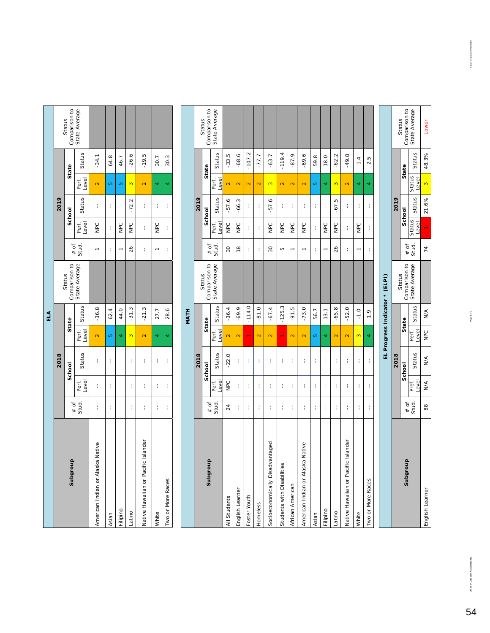|     |      | Status      | Comparison to<br>State Average |                                  |       |            |                          |                                     |       |                   |
|-----|------|-------------|--------------------------------|----------------------------------|-------|------------|--------------------------|-------------------------------------|-------|-------------------|
|     |      | State       | Status                         | $-34.1$                          | 64.8  | 46.7       | $-26.6$                  | $-19.5$                             | 30.7  | 30.3              |
|     |      |             | Level<br>Perf.                 |                                  |       | ю          |                          |                                     |       |                   |
|     | 2019 | School      | Status                         | Í                                | í     | i          | $-72.2$                  | Í                                   | ł     | i                 |
|     |      |             | Perf.<br>Level                 | NPC                              | í     | <b>NPC</b> | DdR                      | Í                                   | DeC   | i                 |
|     |      |             | # of<br>Stud.                  |                                  | i     |            | 26                       | Í                                   |       | i                 |
|     |      | Status      | Comparison to<br>State Average |                                  |       |            |                          |                                     |       |                   |
| ELA |      |             | Status                         | $-36.8$                          | 62.4  | 44.0       | $-31.3$                  | $-21.3$                             | 27.7  | 28.6              |
|     |      | State       | Perf.<br>Level                 | $\overline{\mathbf{N}}$          | Ю     |            | $\overline{\mathcal{C}}$ | $\overline{\mathsf{N}}$             |       | 4                 |
|     | 2018 | School      | Status                         | Í                                | ł     | i          | I                        | Í                                   | i     | i                 |
|     |      |             | Level<br>Perf.                 | ł                                | ł     | I          | I                        | ł                                   | i     | I                 |
|     |      |             | $*$ of<br>Stud.                | ł                                | ł     | I          | I                        | ł                                   | ł     | ł                 |
|     |      | 음<br>Subgro |                                | American Indian or Alaska Native | Asian | Filipino   | atino                    | Native Hawaiian or Pacific Islander | Mhite | Two or More Races |

|                                        |        |                |               |                         | NATH                  |                                |                 |                 |         |                         |                |                         |
|----------------------------------------|--------|----------------|---------------|-------------------------|-----------------------|--------------------------------|-----------------|-----------------|---------|-------------------------|----------------|-------------------------|
|                                        |        |                | 2018          |                         |                       |                                |                 |                 | 2019    |                         |                |                         |
| <b>Subgroup</b>                        | $#$ of |                | School        |                         | State                 | Comparison to<br>Status        | $#$ of          |                 | School  |                         | State          | Comparison to<br>Status |
|                                        | Stud.  | Level<br>Perf. | Status        | Level<br>Perf.          | Status                | State Average                  | Stud.           | Level<br>Perf.  | Status  | Level<br>Perf.          | Status         | State Average           |
| All Students                           | 24     | Dd             | $-22.0$       | $\overline{\mathbf{C}}$ | $-36.4$               |                                | 30              | Dec             | $-57.6$ | $\mathbf{\Omega}$       | $-33.5$        |                         |
| English Learner                        | ł      | ł              | ţ             | $\overline{\mathbf{C}}$ | $-69.9$               |                                | $\frac{8}{1}$   | DeC             | $-66.3$ | $\overline{\mathbf{C}}$ | $-68.6$        |                         |
| Foster Youth                           | I      | I              | t             | $\blacksquare$          | $-114.0$              |                                | t               | t               | ţ       | $\overline{\mathbf{C}}$ | $-107.2$       |                         |
| Homeless                               | ł      | ł              | t             | $\mathbf{\alpha}$       | $-81.0$               |                                | ţ               | t               | ţ       | $\overline{\mathbf{C}}$ | $-77.7$        |                         |
| Socioeconomically Disadvantaged        | ł      | ł              | t             | $\overline{\mathbf{C}}$ | $-67.4$               |                                | $\overline{30}$ | Dep             | $-57.6$ | $\infty$                | $-63.7$        |                         |
| Students with Disabilities             | ł      | ł              | ł             | ÷                       | $-125.3$              |                                | Б               | NPC             | t       | $\overline{\mathbf{C}}$ | $-119.4$       |                         |
| African American                       | ł      | ł              | ł             | $\overline{\mathbf{C}}$ | LO <sub>.</sub><br>Ģ. |                                | $\overline{ }$  | Dep             | ł       | $\overline{\mathbf{C}}$ | $-87.9$        |                         |
| Native<br>American Indian or Alaska    | ł      | ł              | ł             | $\overline{\mathbf{C}}$ | $-73.0$               |                                | $\overline{ }$  | Dep             | t       | $\overline{\mathbf{C}}$ | $-69.6$        |                         |
| Asian                                  | t      | ł              | t             | Ю                       | 56.7                  |                                | t               | t               | ţ       | Ю                       | 59.8           |                         |
| Filipino                               | I,     | I,             | t             | 4                       | 13.1                  |                                | $\overline{ }$  | Dep             | ţ       | 4                       | 18.0           |                         |
| Latino                                 | ł      | ţ.             | t             | $\overline{\mathbf{C}}$ | $-65.8$               |                                | 26              | DeD             | $-67.5$ | $\infty$                | $-62.2$        |                         |
| Islander<br>Native Hawaiian or Pacific | ł      | ł              | t             | $\overline{\mathbf{C}}$ | $-52.0$               |                                | t               | t               | t       | $\overline{\mathbf{C}}$ | $-49.8$        |                         |
| White                                  | ł      | t              | t             | $\infty$                | $-1.0$                |                                | $\overline{ }$  | DC              | Í       | 4                       | $\overline{1}$ |                         |
| Two or More Races                      | I      | ł              | t             | 4                       | $\frac{1}{2}$         |                                | ţ               | ţ               | Í       | 4                       | 2.5            |                         |
|                                        |        |                |               |                         |                       |                                |                 |                 |         |                         |                |                         |
|                                        |        |                |               |                         |                       | EL Progress Indicator * (ELPI) |                 |                 |         |                         |                |                         |
|                                        |        |                | 2018          |                         |                       | Status                         |                 |                 | 2019    |                         |                | Status                  |
| dnoubqns                               | $#$ of |                | School        |                         | State                 | Comparison to                  | $#$ of          |                 | School  |                         | State          | Comparison to           |
|                                        | Stud.  | Pref.<br>Level | Status        | Perf.<br>Level          | Status                | State Average                  | Stud.           | Status<br>Level | Status  | Status<br>Level         | Status         | State Average           |
| English Learner                        | 88     | $\frac{4}{2}$  | $\frac{4}{2}$ | NPC                     | $\frac{4}{2}$         |                                | 74              | ÷               | 21.6%   | $\infty$                | 48.3%          | Lower                   |

Office of Data and Accountability Page 4 of 5 Report created on: 09/2020 Data and Accountability Page 4 of 5 Report created on: 09/2020 Data Created on: 09/2020 Data Created on: 09/2020 Data Created on: 09/29/2020 Data Cre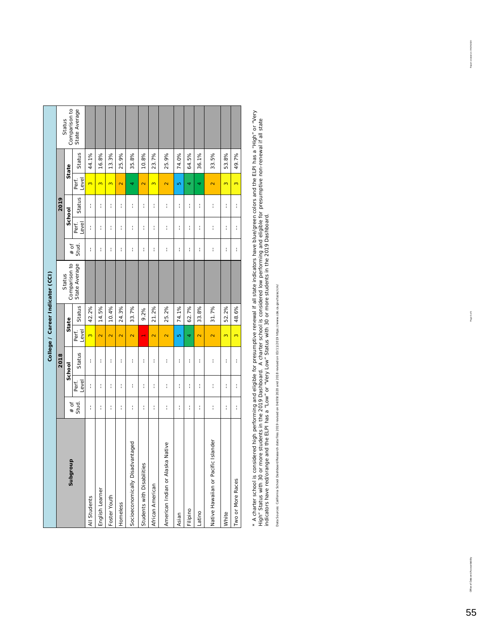|                                     |       |                |               |                         |        | College / Career Indicator (CCI) |               |                |        |                         |        |                         |
|-------------------------------------|-------|----------------|---------------|-------------------------|--------|----------------------------------|---------------|----------------|--------|-------------------------|--------|-------------------------|
|                                     |       |                | 2018          |                         |        |                                  |               |                | 2019   |                         |        |                         |
| $\overline{a}$<br>pougqns           | # of  |                | School        |                         | State  | Comparison to<br>Status          | $#$ of        |                | School |                         | State  | Comparison to<br>Status |
|                                     | Stud. | Level<br>Perf. | Status        | Perf.<br>Level          | Status | State Average                    | Stud.         | Perf.<br>Level | Status | Level<br>Perf.          | Status | State Average           |
| All Students                        | ł     | ł              | ł             | $\infty$                | 42.2%  |                                  | ł             | ţ              | Í      | $\infty$                | 44.1%  |                         |
| English Learner                     | ł     | ł              | Í             | $\overline{\mathbf{C}}$ | 14.5%  |                                  | t             | ţ              | ł      | $\overline{\mathbf{c}}$ | 16.8%  |                         |
| Foster Youth                        | ł     | f.             | Í             | $\overline{\mathbf{C}}$ | 10.4%  |                                  | ţ             | ţ              | t      | $\overline{\mathbf{c}}$ | 13.3%  |                         |
| Homeless                            | ł     | ł.             | ţ             | $\overline{\mathbf{C}}$ | 24.3%  |                                  | ţ             | ţ              | ł      | $\overline{\mathbf{C}}$ | 25.9%  |                         |
| Socioeconomically Disadvantaged     | ţ     | ł              | ţ             | $\overline{\mathbf{C}}$ | 33.7%  |                                  | ţ             | ţ              | ł      | 4                       | 35.8%  |                         |
| Students with Disabilities          | ŧ     | ł              | ţ             |                         | 9.2%   |                                  | ţ             | ţ              | ţ      | $\overline{\mathbf{C}}$ | 10.8%  |                         |
| African American                    | ł     | ŧ              | Í             | $\overline{\mathbf{C}}$ | 21.2%  |                                  | ţ             | ţ              | ł      | $\overline{\mathbf{c}}$ | 23.7%  |                         |
| American Indian or Alaska Native    | ł     | ł              | Í             | $\overline{\mathbf{C}}$ | 25.2%  |                                  | Î             | ţ              | ţ      | $\overline{\mathbf{C}}$ | 25.9%  |                         |
| Asian                               | ł     | ł              | ţ             | Ю                       | 74.1%  |                                  | t             | ţ              | t      | Ю                       | 74.0%  |                         |
| Filipino                            | Í     | ł              | Í             | 4                       | 62.7%  |                                  | Í             | ţ              | Í      | 4                       | 64.5%  |                         |
| Latino                              | ł     | ł              | ţ             | $\overline{\mathbf{C}}$ | 33.8%  |                                  | ţ             | ţ              | t      | 4                       | 36.1%  |                         |
| Vative Hawaiian or Pacific Islander | ł     | ł              | $\frac{1}{1}$ | $\overline{\mathbf{C}}$ | 31.7%  |                                  | $\frac{1}{1}$ | $\frac{1}{1}$  | ţ      | $\overline{\mathbf{C}}$ | 33.5%  |                         |
| White                               | ŧ     | ŧ              | ţ             | 3                       | 52.2%  |                                  | ţ             | ţ              | t      | $\infty$                | 53.8%  |                         |
| Two or More Races                   | ŧ     | ŧ              | ţ             | $\infty$                | 48.6%  |                                  | ţ             | ţ              | ţ      | $\infty$                | 49.7%  |                         |
|                                     |       |                |               |                         |        |                                  |               |                |        |                         |        |                         |

\* A charter school is considered high performing and eligible for presumptive renewal if all state indicators have blue/green colors and the ELPI has a "High" or "Very<br>High" Status with 30 or more students in the 2019 Dash \* A charter school is considered high performing and eligible for presumptive renewal if all state indicators have blue/green colors and the ELPI has a "High" or "Very High" Status with 30 or more students in the 2019 Dashboard. A charter school is considered low performing and eligible for presumptive non-renewal if all state indicators have red/orange and the ELPI has a "Low" or "Very Low" Status with 30 or more students in the 2019 Dashboard.

Data Sources: California School Dashboard Research data files 2019 revised on 04/09/2020 and 2018 revised on 03/11/2019 https://www.cde.ca.gov/ta/ac/cm/ Data Sources: California School Dashboard Research data files 2019 revised on 04/09/2020 and 2018 revised on 03/11/2019 https://www.cde.ca.gov/ta/ac/cm/

office of Data and Accountability